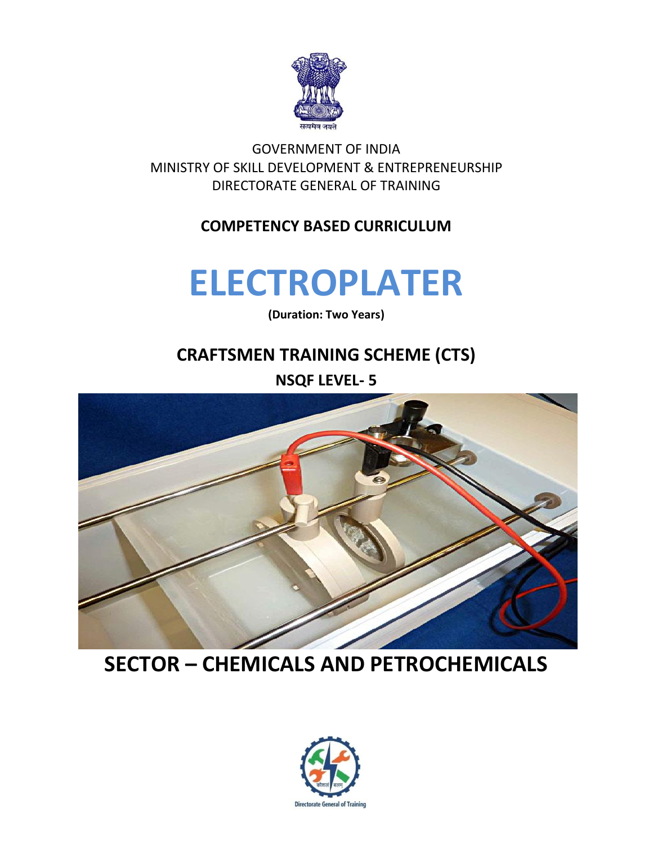

GOVERNMENT OF INDIA MINISTRY OF SKILL DEVELOPMENT & ENTREPRENEURSHIP DIRECTORATE GENERAL OF TRAINING

#### **COMPETENCY BASED CURRICULUM**

## **ELECTROPLATER**

**(Duration: Two Years)**

## **CRAFTSMEN TRAINING SCHEME (CTS) NSQF LEVEL- 5**



## **SECTOR – CHEMICALS AND PETROCHEMICALS**

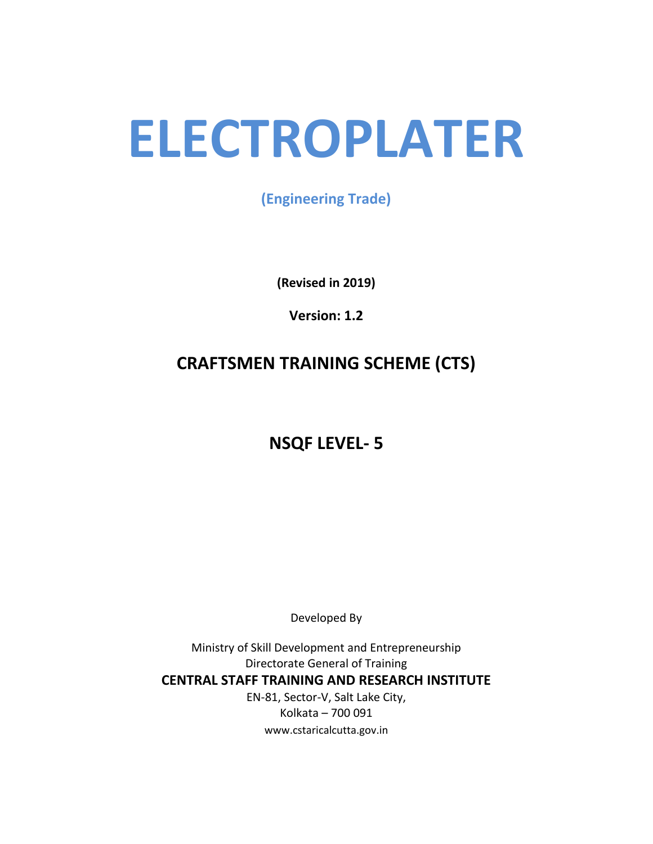# **ELECTROPLATER**

**(Engineering Trade)**

**(Revised in 2019)**

**Version: 1.2**

### **CRAFTSMEN TRAINING SCHEME (CTS)**

**NSQF LEVEL- 5**

Developed By

Ministry of Skill Development and Entrepreneurship Directorate General of Training **CENTRAL STAFF TRAINING AND RESEARCH INSTITUTE** EN-81, Sector-V, Salt Lake City, Kolkata – 700 091 www.cstaricalcutta.gov.in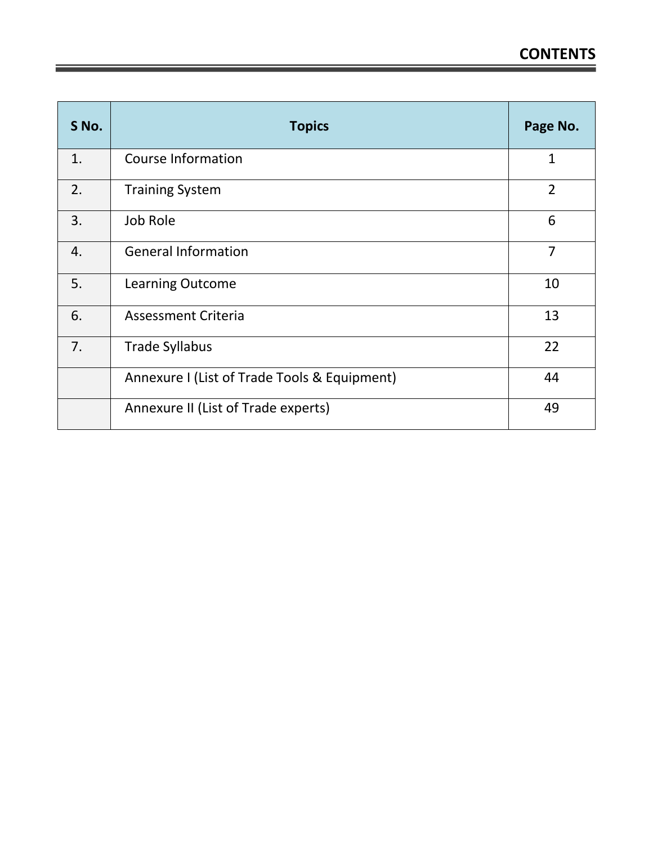| S No. | <b>Topics</b>                                | Page No.       |
|-------|----------------------------------------------|----------------|
| 1.    | <b>Course Information</b>                    | $\overline{1}$ |
| 2.    | <b>Training System</b>                       | $\overline{2}$ |
| 3.    | Job Role                                     | 6              |
| 4.    | <b>General Information</b>                   | $\overline{7}$ |
| 5.    | <b>Learning Outcome</b>                      | 10             |
| 6.    | <b>Assessment Criteria</b>                   | 13             |
| 7.    | <b>Trade Syllabus</b>                        | 22             |
|       | Annexure I (List of Trade Tools & Equipment) | 44             |
|       | Annexure II (List of Trade experts)          | 49             |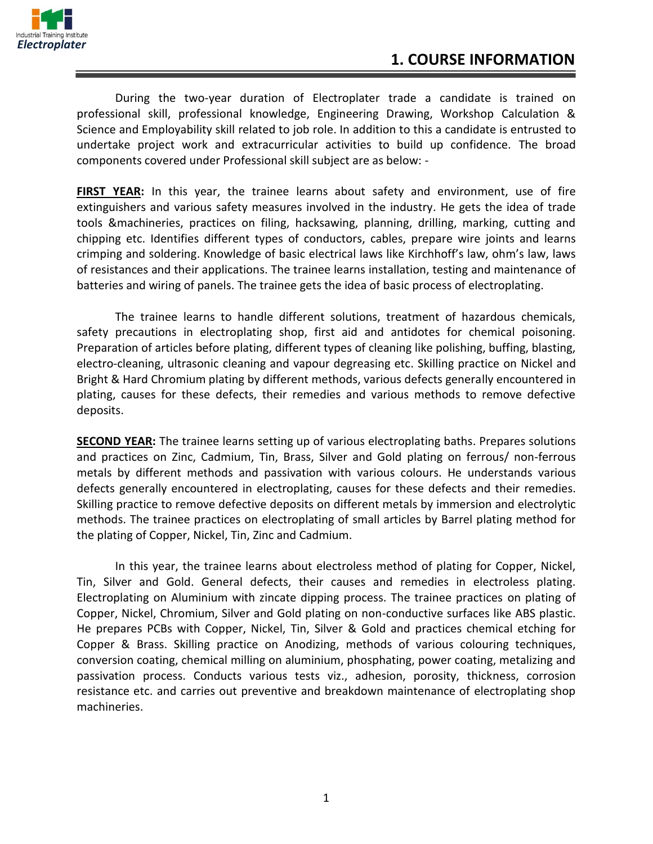

During the two-year duration of Electroplater trade a candidate is trained on professional skill, professional knowledge, Engineering Drawing, Workshop Calculation & Science and Employability skill related to job role. In addition to this a candidate is entrusted to undertake project work and extracurricular activities to build up confidence. The broad components covered under Professional skill subject are as below: -

**FIRST YEAR:** In this year, the trainee learns about safety and environment, use of fire extinguishers and various safety measures involved in the industry. He gets the idea of trade tools &machineries, practices on filing, hacksawing, planning, drilling, marking, cutting and chipping etc. Identifies different types of conductors, cables, prepare wire joints and learns crimping and soldering. Knowledge of basic electrical laws like Kirchhoff's law, ohm's law, laws of resistances and their applications. The trainee learns installation, testing and maintenance of batteries and wiring of panels. The trainee gets the idea of basic process of electroplating.

The trainee learns to handle different solutions, treatment of hazardous chemicals, safety precautions in electroplating shop, first aid and antidotes for chemical poisoning. Preparation of articles before plating, different types of cleaning like polishing, buffing, blasting, electro-cleaning, ultrasonic cleaning and vapour degreasing etc. Skilling practice on Nickel and Bright & Hard Chromium plating by different methods, various defects generally encountered in plating, causes for these defects, their remedies and various methods to remove defective deposits.

**SECOND YEAR:** The trainee learns setting up of various electroplating baths. Prepares solutions and practices on Zinc, Cadmium, Tin, Brass, Silver and Gold plating on ferrous/ non-ferrous metals by different methods and passivation with various colours. He understands various defects generally encountered in electroplating, causes for these defects and their remedies. Skilling practice to remove defective deposits on different metals by immersion and electrolytic methods. The trainee practices on electroplating of small articles by Barrel plating method for the plating of Copper, Nickel, Tin, Zinc and Cadmium.

In this year, the trainee learns about electroless method of plating for Copper, Nickel, Tin, Silver and Gold. General defects, their causes and remedies in electroless plating. Electroplating on Aluminium with zincate dipping process. The trainee practices on plating of Copper, Nickel, Chromium, Silver and Gold plating on non-conductive surfaces like ABS plastic. He prepares PCBs with Copper, Nickel, Tin, Silver & Gold and practices chemical etching for Copper & Brass. Skilling practice on Anodizing, methods of various colouring techniques, conversion coating, chemical milling on aluminium, phosphating, power coating, metalizing and passivation process. Conducts various tests viz., adhesion, porosity, thickness, corrosion resistance etc. and carries out preventive and breakdown maintenance of electroplating shop machineries.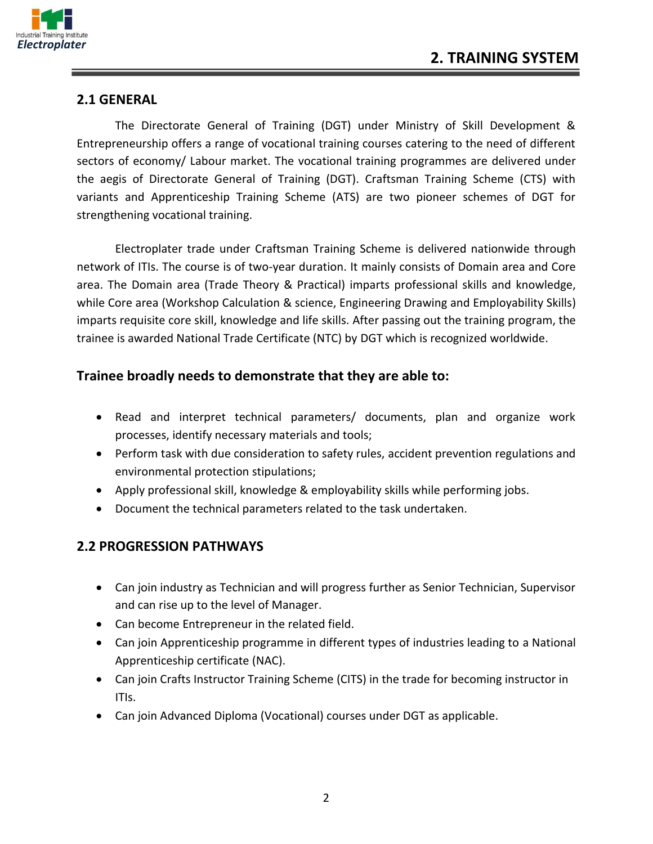

#### **2.1 GENERAL**

The Directorate General of Training (DGT) under Ministry of Skill Development & Entrepreneurship offers a range of vocational training courses catering to the need of different sectors of economy/ Labour market. The vocational training programmes are delivered under the aegis of Directorate General of Training (DGT). Craftsman Training Scheme (CTS) with variants and Apprenticeship Training Scheme (ATS) are two pioneer schemes of DGT for strengthening vocational training.

Electroplater trade under Craftsman Training Scheme is delivered nationwide through network of ITIs. The course is of two-year duration. It mainly consists of Domain area and Core area. The Domain area (Trade Theory & Practical) imparts professional skills and knowledge, while Core area (Workshop Calculation & science, Engineering Drawing and Employability Skills) imparts requisite core skill, knowledge and life skills. After passing out the training program, the trainee is awarded National Trade Certificate (NTC) by DGT which is recognized worldwide.

#### **Trainee broadly needs to demonstrate that they are able to:**

- Read and interpret technical parameters/ documents, plan and organize work processes, identify necessary materials and tools;
- Perform task with due consideration to safety rules, accident prevention regulations and environmental protection stipulations;
- Apply professional skill, knowledge & employability skills while performing jobs.
- Document the technical parameters related to the task undertaken.

#### **2.2 PROGRESSION PATHWAYS**

- Can join industry as Technician and will progress further as Senior Technician, Supervisor and can rise up to the level of Manager.
- Can become Entrepreneur in the related field.
- Can join Apprenticeship programme in different types of industries leading to a National Apprenticeship certificate (NAC).
- Can join Crafts Instructor Training Scheme (CITS) in the trade for becoming instructor in ITIs.
- Can join Advanced Diploma (Vocational) courses under DGT as applicable.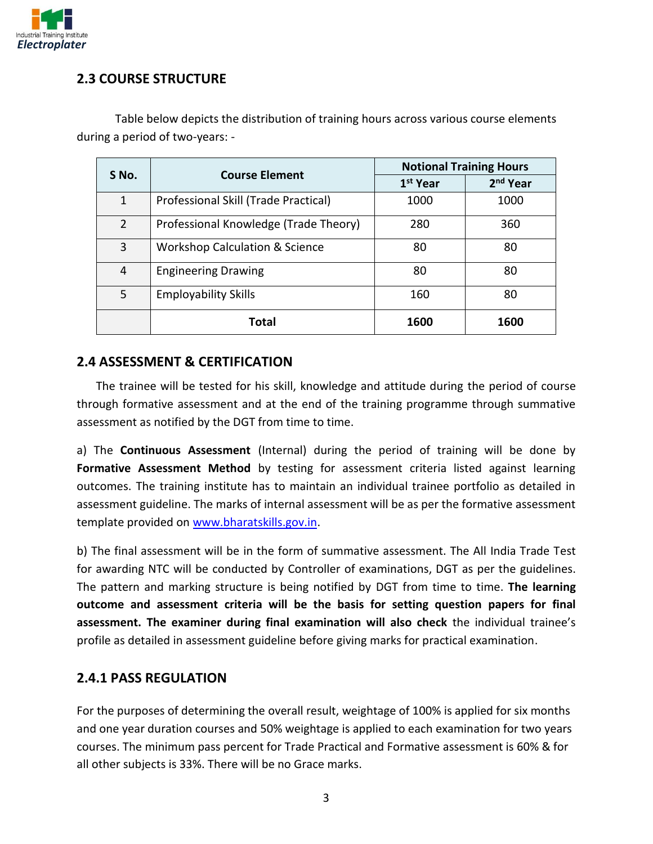

#### **2.3 COURSE STRUCTURE**

| <b>Course Element</b><br>S No. |                                           | <b>Notional Training Hours</b> |            |
|--------------------------------|-------------------------------------------|--------------------------------|------------|
|                                |                                           | 1 <sup>st</sup> Year           | $2nd$ Year |
| $\mathbf{1}$                   | Professional Skill (Trade Practical)      | 1000                           | 1000       |
| $\mathcal{P}$                  | Professional Knowledge (Trade Theory)     | 280                            | 360        |
| 3                              | <b>Workshop Calculation &amp; Science</b> | 80                             | 80         |
| 4                              | <b>Engineering Drawing</b>                | 80                             | 80         |
| 5                              | <b>Employability Skills</b>               | 160                            | 80         |
|                                | Total                                     | 1600                           | 1600       |

Table below depicts the distribution of training hours across various course elements during a period of two-years: -

#### **2.4 ASSESSMENT & CERTIFICATION**

The trainee will be tested for his skill, knowledge and attitude during the period of course through formative assessment and at the end of the training programme through summative assessment as notified by the DGT from time to time.

a) The **Continuous Assessment** (Internal) during the period of training will be done by Formative Assessment Method by testing for assessment criteria listed against learning outcomes. The training institute has to maintain an individual trainee portfolio as detailed in assessment guideline. The marks of internal assessment will be as per the formative assessment template provided on [www.bharatskills.gov.in.](http://www.bharatskills.gov.in/)

b) The final assessment will be in the form of summative assessment. The All India Trade Test for awarding NTC will be conducted by Controller of examinations, DGT as per the guidelines. The pattern and marking structure is being notified by DGT from time to time. **The learning outcome and assessment criteria will be the basis for setting question papers for final assessment. The examiner during final examination will also check** the individual trainee's profile as detailed in assessment guideline before giving marks for practical examination.

#### **2.4.1 PASS REGULATION**

For the purposes of determining the overall result, weightage of 100% is applied for six months and one year duration courses and 50% weightage is applied to each examination for two years courses. The minimum pass percent for Trade Practical and Formative assessment is 60% & for all other subjects is 33%. There will be no Grace marks.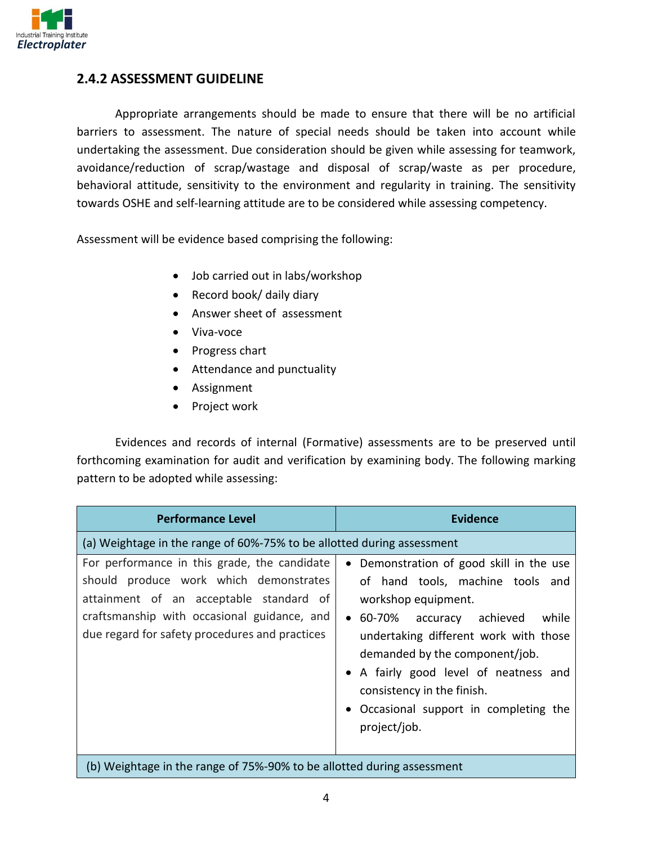

#### **2.4.2 ASSESSMENT GUIDELINE**

Appropriate arrangements should be made to ensure that there will be no artificial barriers to assessment. The nature of special needs should be taken into account while undertaking the assessment. Due consideration should be given while assessing for teamwork, avoidance/reduction of scrap/wastage and disposal of scrap/waste as per procedure, behavioral attitude, sensitivity to the environment and regularity in training. The sensitivity towards OSHE and self-learning attitude are to be considered while assessing competency.

Assessment will be evidence based comprising the following:

- Job carried out in labs/workshop
- Record book/ daily diary
- Answer sheet of assessment
- Viva-voce
- Progress chart
- Attendance and punctuality
- Assignment
- Project work

Evidences and records of internal (Formative) assessments are to be preserved until forthcoming examination for audit and verification by examining body. The following marking pattern to be adopted while assessing:

| <b>Performance Level</b>                                                                                                                                                                                                           | <b>Evidence</b>                                                                                                                                                                                                                                                                                                                                                              |
|------------------------------------------------------------------------------------------------------------------------------------------------------------------------------------------------------------------------------------|------------------------------------------------------------------------------------------------------------------------------------------------------------------------------------------------------------------------------------------------------------------------------------------------------------------------------------------------------------------------------|
| (a) Weightage in the range of 60%-75% to be allotted during assessment                                                                                                                                                             |                                                                                                                                                                                                                                                                                                                                                                              |
| For performance in this grade, the candidate<br>should produce work which demonstrates<br>attainment of an acceptable standard of<br>craftsmanship with occasional guidance, and<br>due regard for safety procedures and practices | Demonstration of good skill in the use<br>$\bullet$<br>of hand tools, machine tools and<br>workshop equipment.<br>• 60-70% accuracy achieved<br>while<br>undertaking different work with those<br>demanded by the component/job.<br>• A fairly good level of neatness and<br>consistency in the finish.<br>Occasional support in completing the<br>$\bullet$<br>project/job. |
| (b) Weightage in the range of 75%-90% to be allotted during assessment                                                                                                                                                             |                                                                                                                                                                                                                                                                                                                                                                              |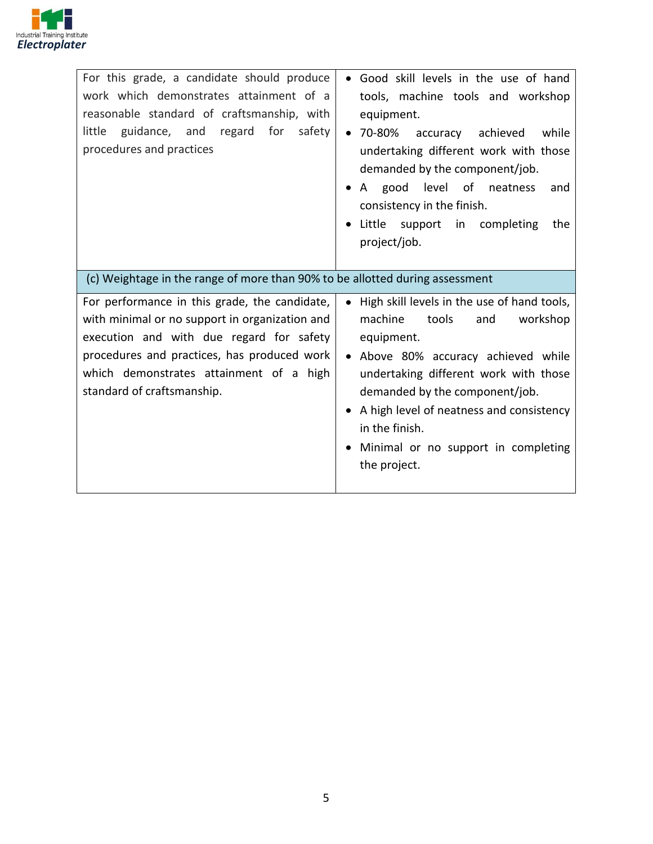

| For this grade, a candidate should produce<br>work which demonstrates attainment of a<br>reasonable standard of craftsmanship, with<br>guidance, and regard<br>for<br>safety<br>little<br>procedures and practices                                                  | • Good skill levels in the use of hand<br>tools, machine tools and workshop<br>equipment.<br>$• 70-80%$<br>accuracy<br>achieved<br>while<br>undertaking different work with those<br>demanded by the component/job.                                                                                                                                  |
|---------------------------------------------------------------------------------------------------------------------------------------------------------------------------------------------------------------------------------------------------------------------|------------------------------------------------------------------------------------------------------------------------------------------------------------------------------------------------------------------------------------------------------------------------------------------------------------------------------------------------------|
|                                                                                                                                                                                                                                                                     | A good level of neatness<br>and<br>consistency in the finish.                                                                                                                                                                                                                                                                                        |
|                                                                                                                                                                                                                                                                     | Little support<br>in completing<br>the<br>project/job.                                                                                                                                                                                                                                                                                               |
| (c) Weightage in the range of more than 90% to be allotted during assessment                                                                                                                                                                                        |                                                                                                                                                                                                                                                                                                                                                      |
| For performance in this grade, the candidate,<br>with minimal or no support in organization and<br>execution and with due regard for safety<br>procedures and practices, has produced work<br>which demonstrates attainment of a high<br>standard of craftsmanship. | High skill levels in the use of hand tools,<br>$\bullet$<br>machine<br>tools<br>workshop<br>and<br>equipment.<br>• Above 80% accuracy achieved while<br>undertaking different work with those<br>demanded by the component/job.<br>A high level of neatness and consistency<br>in the finish.<br>Minimal or no support in completing<br>the project. |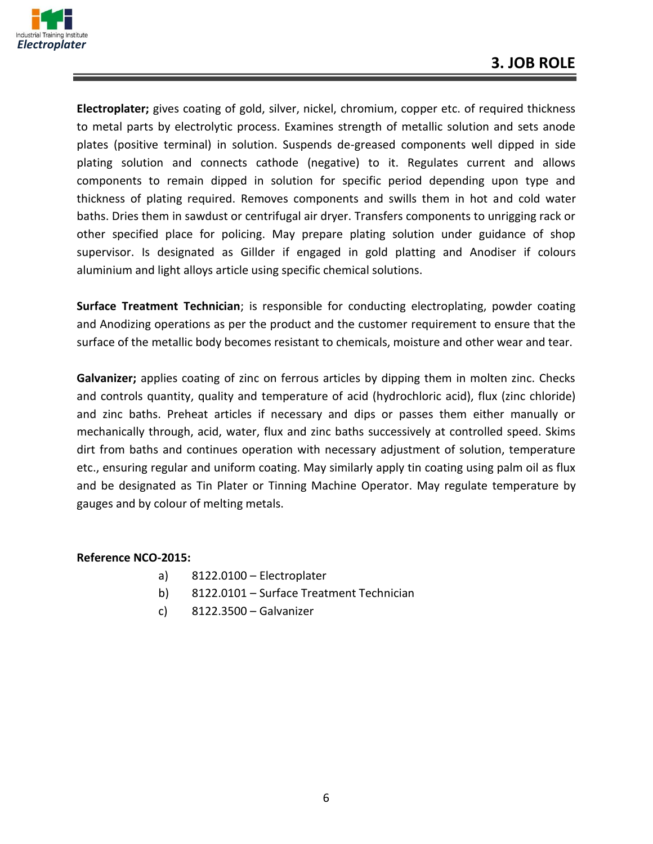

**Electroplater;** gives coating of gold, silver, nickel, chromium, copper etc. of required thickness to metal parts by electrolytic process. Examines strength of metallic solution and sets anode plates (positive terminal) in solution. Suspends de-greased components well dipped in side plating solution and connects cathode (negative) to it. Regulates current and allows components to remain dipped in solution for specific period depending upon type and thickness of plating required. Removes components and swills them in hot and cold water baths. Dries them in sawdust or centrifugal air dryer. Transfers components to unrigging rack or other specified place for policing. May prepare plating solution under guidance of shop supervisor. Is designated as Gillder if engaged in gold platting and Anodiser if colours aluminium and light alloys article using specific chemical solutions.

**Surface Treatment Technician**; is responsible for conducting electroplating, powder coating and Anodizing operations as per the product and the customer requirement to ensure that the surface of the metallic body becomes resistant to chemicals, moisture and other wear and tear.

**Galvanizer;** applies coating of zinc on ferrous articles by dipping them in molten zinc. Checks and controls quantity, quality and temperature of acid (hydrochloric acid), flux (zinc chloride) and zinc baths. Preheat articles if necessary and dips or passes them either manually or mechanically through, acid, water, flux and zinc baths successively at controlled speed. Skims dirt from baths and continues operation with necessary adjustment of solution, temperature etc., ensuring regular and uniform coating. May similarly apply tin coating using palm oil as flux and be designated as Tin Plater or Tinning Machine Operator. May regulate temperature by gauges and by colour of melting metals.

#### **Reference NCO-2015:**

- a) 8122.0100 Electroplater
- b) 8122.0101 Surface Treatment Technician
- c) 8122.3500 Galvanizer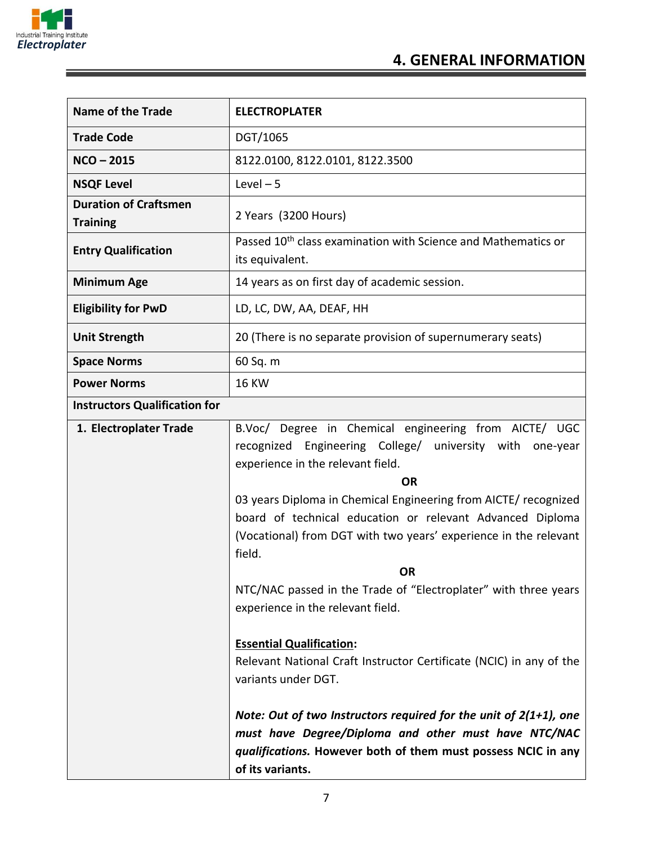

F

| <b>Name of the Trade</b>                        | <b>ELECTROPLATER</b>                                                                         |  |
|-------------------------------------------------|----------------------------------------------------------------------------------------------|--|
| <b>Trade Code</b>                               | DGT/1065                                                                                     |  |
| $NCO - 2015$                                    | 8122.0100, 8122.0101, 8122.3500                                                              |  |
| <b>NSQF Level</b>                               | Level $-5$                                                                                   |  |
| <b>Duration of Craftsmen</b><br><b>Training</b> | 2 Years (3200 Hours)                                                                         |  |
| <b>Entry Qualification</b>                      | Passed 10 <sup>th</sup> class examination with Science and Mathematics or<br>its equivalent. |  |
| <b>Minimum Age</b>                              | 14 years as on first day of academic session.                                                |  |
| <b>Eligibility for PwD</b>                      | LD, LC, DW, AA, DEAF, HH                                                                     |  |
| <b>Unit Strength</b>                            | 20 (There is no separate provision of supernumerary seats)                                   |  |
| <b>Space Norms</b>                              | 60 Sq. m                                                                                     |  |
| <b>Power Norms</b>                              | <b>16 KW</b>                                                                                 |  |
| <b>Instructors Qualification for</b>            |                                                                                              |  |

| 1. Electroplater Trade | B.Voc/ Degree in Chemical engineering from AICTE/ UGC                |
|------------------------|----------------------------------------------------------------------|
|                        | recognized Engineering College/ university with one-year             |
|                        | experience in the relevant field.                                    |
|                        | OR                                                                   |
|                        | 03 years Diploma in Chemical Engineering from AICTE/ recognized      |
|                        | board of technical education or relevant Advanced Diploma            |
|                        | (Vocational) from DGT with two years' experience in the relevant     |
|                        | field.                                                               |
|                        | <b>OR</b>                                                            |
|                        | NTC/NAC passed in the Trade of "Electroplater" with three years      |
|                        | experience in the relevant field.                                    |
|                        |                                                                      |
|                        | <b>Essential Qualification:</b>                                      |
|                        | Relevant National Craft Instructor Certificate (NCIC) in any of the  |
|                        | variants under DGT.                                                  |
|                        |                                                                      |
|                        | Note: Out of two Instructors required for the unit of $2(1+1)$ , one |
|                        |                                                                      |
|                        | must have Degree/Diploma and other must have NTC/NAC                 |
|                        | qualifications. However both of them must possess NCIC in any        |
|                        | of its variants.                                                     |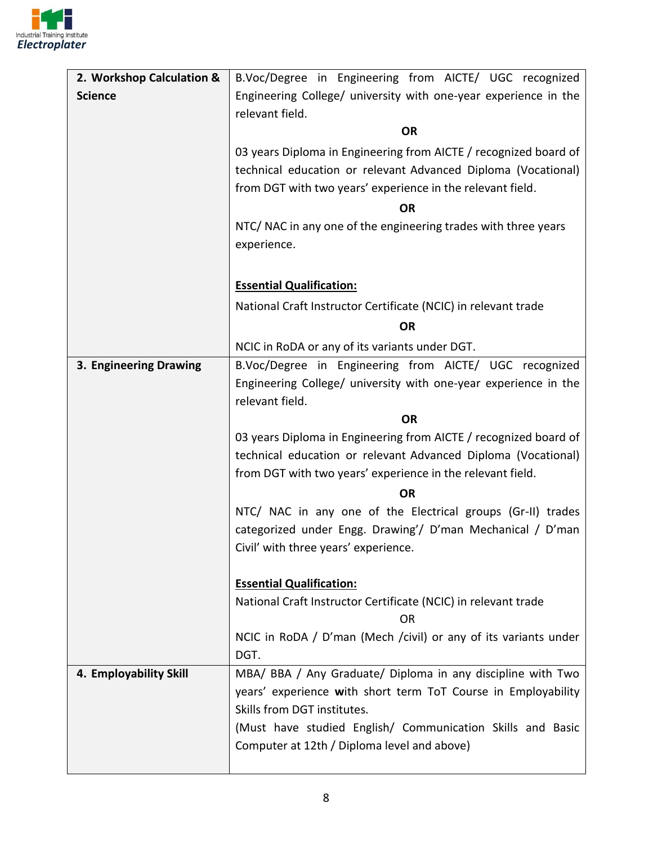

| 2. Workshop Calculation & | B.Voc/Degree in Engineering from AICTE/ UGC recognized                                                                            |  |  |
|---------------------------|-----------------------------------------------------------------------------------------------------------------------------------|--|--|
| <b>Science</b>            | Engineering College/ university with one-year experience in the<br>relevant field.                                                |  |  |
|                           | <b>OR</b>                                                                                                                         |  |  |
|                           | 03 years Diploma in Engineering from AICTE / recognized board of                                                                  |  |  |
|                           | technical education or relevant Advanced Diploma (Vocational)                                                                     |  |  |
|                           | from DGT with two years' experience in the relevant field.                                                                        |  |  |
|                           | <b>OR</b>                                                                                                                         |  |  |
|                           | NTC/ NAC in any one of the engineering trades with three years                                                                    |  |  |
|                           | experience.                                                                                                                       |  |  |
|                           |                                                                                                                                   |  |  |
|                           | <b>Essential Qualification:</b>                                                                                                   |  |  |
|                           | National Craft Instructor Certificate (NCIC) in relevant trade                                                                    |  |  |
|                           | <b>OR</b>                                                                                                                         |  |  |
|                           | NCIC in RoDA or any of its variants under DGT.                                                                                    |  |  |
| 3. Engineering Drawing    | B.Voc/Degree in Engineering from AICTE/ UGC recognized                                                                            |  |  |
|                           | Engineering College/ university with one-year experience in the                                                                   |  |  |
|                           | relevant field.                                                                                                                   |  |  |
|                           | <b>OR</b>                                                                                                                         |  |  |
|                           | 03 years Diploma in Engineering from AICTE / recognized board of<br>technical education or relevant Advanced Diploma (Vocational) |  |  |
|                           | from DGT with two years' experience in the relevant field.                                                                        |  |  |
|                           | <b>OR</b>                                                                                                                         |  |  |
|                           | NTC/ NAC in any one of the Electrical groups (Gr-II) trades                                                                       |  |  |
|                           | categorized under Engg. Drawing'/ D'man Mechanical / D'man                                                                        |  |  |
|                           | Civil' with three years' experience.                                                                                              |  |  |
|                           |                                                                                                                                   |  |  |
|                           | <b>Essential Qualification:</b>                                                                                                   |  |  |
|                           | National Craft Instructor Certificate (NCIC) in relevant trade<br><b>OR</b>                                                       |  |  |
|                           | NCIC in RoDA / D'man (Mech /civil) or any of its variants under                                                                   |  |  |
|                           | DGT.                                                                                                                              |  |  |
| 4. Employability Skill    | MBA/ BBA / Any Graduate/ Diploma in any discipline with Two                                                                       |  |  |
|                           | years' experience with short term ToT Course in Employability                                                                     |  |  |
|                           | Skills from DGT institutes.<br>(Must have studied English/ Communication Skills and Basic                                         |  |  |
|                           | Computer at 12th / Diploma level and above)                                                                                       |  |  |
|                           |                                                                                                                                   |  |  |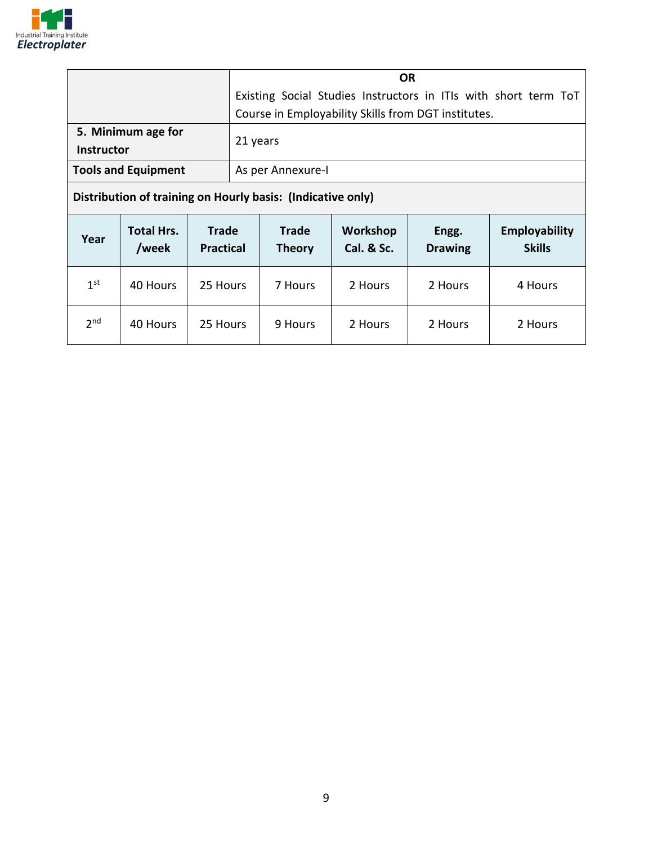

|                            | ΟR                                                              |
|----------------------------|-----------------------------------------------------------------|
|                            | Existing Social Studies Instructors in ITIs with short term ToT |
|                            | Course in Employability Skills from DGT institutes.             |
| 5. Minimum age for         | 21 years                                                        |
| <b>Instructor</b>          |                                                                 |
| <b>Tools and Equipment</b> | As per Annexure-I                                               |
|                            |                                                                 |

**Distribution of training on Hourly basis: (Indicative only)**

| Year            | <b>Total Hrs.</b><br>/week | <b>Trade</b><br><b>Practical</b> | <b>Trade</b><br><b>Theory</b> | Workshop<br>Cal. & Sc. | Engg.<br><b>Drawing</b> | <b>Employability</b><br><b>Skills</b> |
|-----------------|----------------------------|----------------------------------|-------------------------------|------------------------|-------------------------|---------------------------------------|
| 1 <sup>st</sup> | 40 Hours                   | 25 Hours                         | 7 Hours                       | 2 Hours                | 2 Hours                 | 4 Hours                               |
| 2 <sub>nd</sub> | 40 Hours                   | 25 Hours                         | 9 Hours                       | 2 Hours                | 2 Hours                 | 2 Hours                               |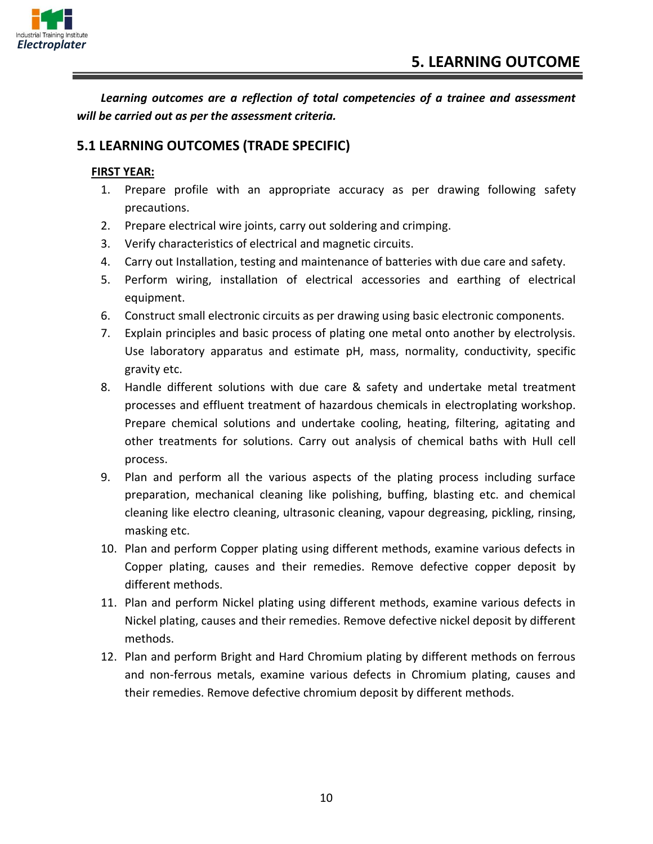

*Learning outcomes are a reflection of total competencies of a trainee and assessment will be carried out as per the assessment criteria.*

#### **5.1 LEARNING OUTCOMES (TRADE SPECIFIC)**

#### **FIRST YEAR:**

- 1. Prepare profile with an appropriate accuracy as per drawing following safety precautions.
- 2. Prepare electrical wire joints, carry out soldering and crimping.
- 3. Verify characteristics of electrical and magnetic circuits.
- 4. Carry out Installation, testing and maintenance of batteries with due care and safety.
- 5. Perform wiring, installation of electrical accessories and earthing of electrical equipment.
- 6. Construct small electronic circuits as per drawing using basic electronic components.
- 7. Explain principles and basic process of plating one metal onto another by electrolysis. Use laboratory apparatus and estimate pH, mass, normality, conductivity, specific gravity etc.
- 8. Handle different solutions with due care & safety and undertake metal treatment processes and effluent treatment of hazardous chemicals in electroplating workshop. Prepare chemical solutions and undertake cooling, heating, filtering, agitating and other treatments for solutions. Carry out analysis of chemical baths with Hull cell process.
- 9. Plan and perform all the various aspects of the plating process including surface preparation, mechanical cleaning like polishing, buffing, blasting etc. and chemical cleaning like electro cleaning, ultrasonic cleaning, vapour degreasing, pickling, rinsing, masking etc.
- 10. Plan and perform Copper plating using different methods, examine various defects in Copper plating, causes and their remedies. Remove defective copper deposit by different methods.
- 11. Plan and perform Nickel plating using different methods, examine various defects in Nickel plating, causes and their remedies. Remove defective nickel deposit by different methods.
- 12. Plan and perform Bright and Hard Chromium plating by different methods on ferrous and non-ferrous metals, examine various defects in Chromium plating, causes and their remedies. Remove defective chromium deposit by different methods.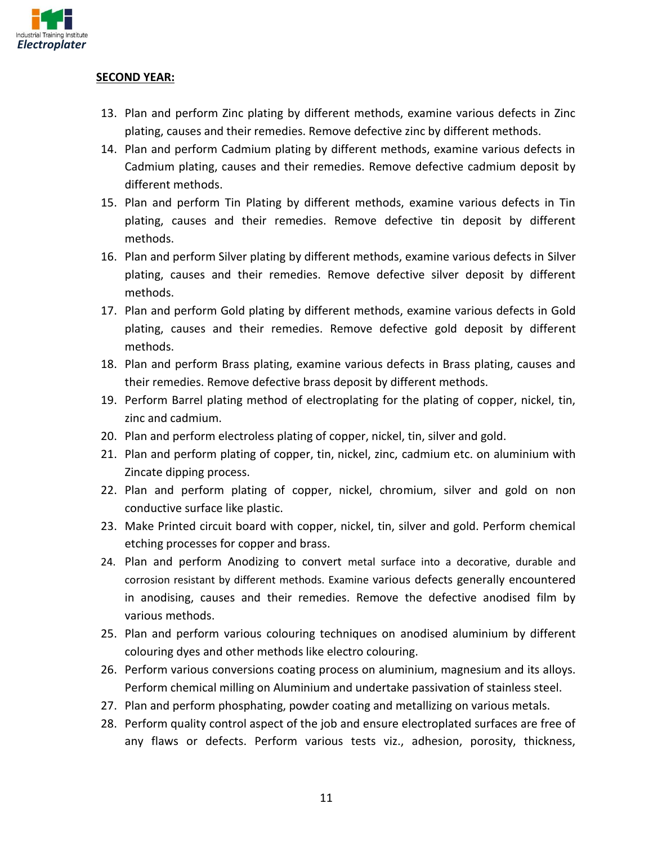

#### **SECOND YEAR:**

- 13. Plan and perform Zinc plating by different methods, examine various defects in Zinc plating, causes and their remedies. Remove defective zinc by different methods.
- 14. Plan and perform Cadmium plating by different methods, examine various defects in Cadmium plating, causes and their remedies. Remove defective cadmium deposit by different methods.
- 15. Plan and perform Tin Plating by different methods, examine various defects in Tin plating, causes and their remedies. Remove defective tin deposit by different methods.
- 16. Plan and perform Silver plating by different methods, examine various defects in Silver plating, causes and their remedies. Remove defective silver deposit by different methods.
- 17. Plan and perform Gold plating by different methods, examine various defects in Gold plating, causes and their remedies. Remove defective gold deposit by different methods.
- 18. Plan and perform Brass plating, examine various defects in Brass plating, causes and their remedies. Remove defective brass deposit by different methods.
- 19. Perform Barrel plating method of electroplating for the plating of copper, nickel, tin, zinc and cadmium.
- 20. Plan and perform electroless plating of copper, nickel, tin, silver and gold.
- 21. Plan and perform plating of copper, tin, nickel, zinc, cadmium etc. on aluminium with Zincate dipping process.
- 22. Plan and perform plating of copper, nickel, chromium, silver and gold on non conductive surface like plastic.
- 23. Make Printed circuit board with copper, nickel, tin, silver and gold. Perform chemical etching processes for copper and brass.
- 24. Plan and perform Anodizing to convert metal surface into a decorative, durable and corrosion resistant by different methods. Examine various defects generally encountered in anodising, causes and their remedies. Remove the defective anodised film by various methods.
- 25. Plan and perform various colouring techniques on anodised aluminium by different colouring dyes and other methods like electro colouring.
- 26. Perform various conversions coating process on aluminium, magnesium and its alloys. Perform chemical milling on Aluminium and undertake passivation of stainless steel.
- 27. Plan and perform phosphating, powder coating and metallizing on various metals.
- 28. Perform quality control aspect of the job and ensure electroplated surfaces are free of any flaws or defects. Perform various tests viz., adhesion, porosity, thickness,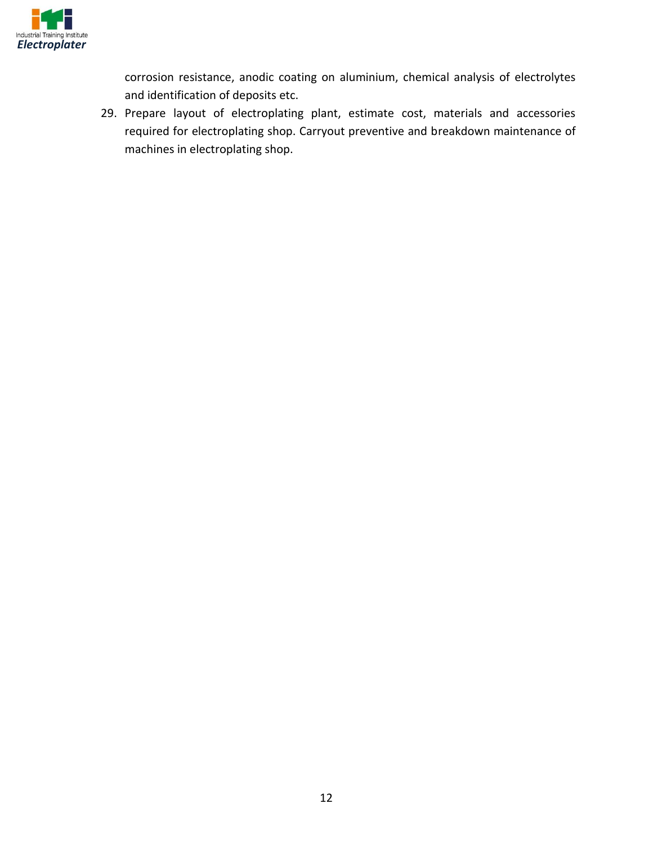

corrosion resistance, anodic coating on aluminium, chemical analysis of electrolytes and identification of deposits etc.

29. Prepare layout of electroplating plant, estimate cost, materials and accessories required for electroplating shop. Carryout preventive and breakdown maintenance of machines in electroplating shop.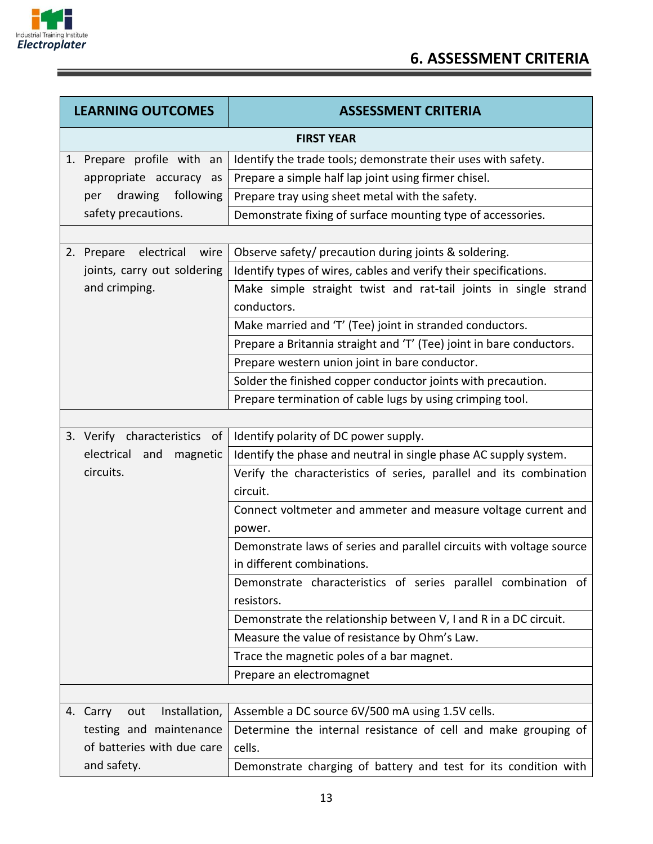

î

| <b>LEARNING OUTCOMES</b>         | <b>ASSESSMENT CRITERIA</b>                                                                         |
|----------------------------------|----------------------------------------------------------------------------------------------------|
|                                  | <b>FIRST YEAR</b>                                                                                  |
| 1. Prepare profile with an       | Identify the trade tools; demonstrate their uses with safety.                                      |
| appropriate accuracy as          | Prepare a simple half lap joint using firmer chisel.                                               |
| per drawing following            | Prepare tray using sheet metal with the safety.                                                    |
| safety precautions.              | Demonstrate fixing of surface mounting type of accessories.                                        |
|                                  |                                                                                                    |
| electrical<br>wire<br>2. Prepare | Observe safety/ precaution during joints & soldering.                                              |
| joints, carry out soldering      | Identify types of wires, cables and verify their specifications.                                   |
| and crimping.                    | Make simple straight twist and rat-tail joints in single strand<br>conductors.                     |
|                                  | Make married and 'T' (Tee) joint in stranded conductors.                                           |
|                                  | Prepare a Britannia straight and 'T' (Tee) joint in bare conductors.                               |
|                                  | Prepare western union joint in bare conductor.                                                     |
|                                  | Solder the finished copper conductor joints with precaution.                                       |
|                                  | Prepare termination of cable lugs by using crimping tool.                                          |
|                                  |                                                                                                    |
| 3. Verify characteristics of     | Identify polarity of DC power supply.                                                              |
| electrical<br>and<br>magnetic    | Identify the phase and neutral in single phase AC supply system.                                   |
| circuits.                        | Verify the characteristics of series, parallel and its combination<br>circuit.                     |
|                                  | Connect voltmeter and ammeter and measure voltage current and<br>power.                            |
|                                  | Demonstrate laws of series and parallel circuits with voltage source<br>in different combinations. |
|                                  | Demonstrate characteristics of series parallel combination of<br>resistors.                        |
|                                  | Demonstrate the relationship between V, I and R in a DC circuit.                                   |
|                                  | Measure the value of resistance by Ohm's Law.                                                      |
|                                  | Trace the magnetic poles of a bar magnet.                                                          |
|                                  | Prepare an electromagnet                                                                           |
|                                  |                                                                                                    |
| Installation,<br>4. Carry<br>out | Assemble a DC source 6V/500 mA using 1.5V cells.                                                   |
| testing and maintenance          | Determine the internal resistance of cell and make grouping of                                     |
| of batteries with due care       | cells.                                                                                             |
| and safety.                      | Demonstrate charging of battery and test for its condition with                                    |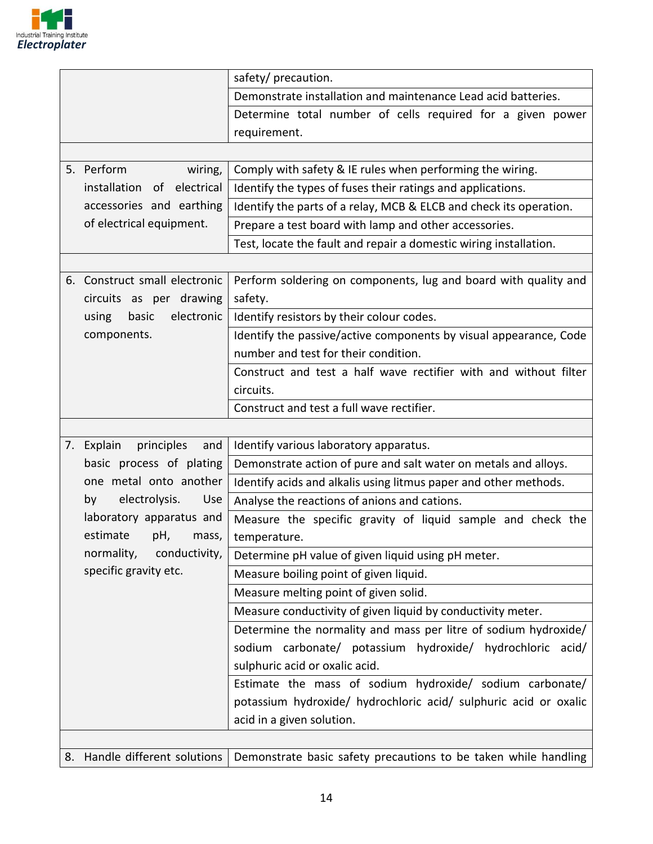

|                                   | safety/ precaution.                                                |
|-----------------------------------|--------------------------------------------------------------------|
|                                   | Demonstrate installation and maintenance Lead acid batteries.      |
|                                   | Determine total number of cells required for a given power         |
|                                   | requirement.                                                       |
|                                   |                                                                    |
| 5. Perform<br>wiring,             | Comply with safety & IE rules when performing the wiring.          |
| installation of electrical        | Identify the types of fuses their ratings and applications.        |
| accessories and earthing          | Identify the parts of a relay, MCB & ELCB and check its operation. |
| of electrical equipment.          | Prepare a test board with lamp and other accessories.              |
|                                   | Test, locate the fault and repair a domestic wiring installation.  |
|                                   |                                                                    |
| 6. Construct small electronic     | Perform soldering on components, lug and board with quality and    |
| circuits as per drawing           | safety.                                                            |
| electronic<br>using<br>basic      | Identify resistors by their colour codes.                          |
| components.                       | Identify the passive/active components by visual appearance, Code  |
|                                   | number and test for their condition.                               |
|                                   | Construct and test a half wave rectifier with and without filter   |
|                                   | circuits.                                                          |
|                                   | Construct and test a full wave rectifier.                          |
|                                   |                                                                    |
|                                   |                                                                    |
| principles<br>7. Explain<br>and   | Identify various laboratory apparatus.                             |
| basic process of plating          | Demonstrate action of pure and salt water on metals and alloys.    |
| one metal onto another            | Identify acids and alkalis using litmus paper and other methods.   |
| electrolysis.<br><b>Use</b><br>by | Analyse the reactions of anions and cations.                       |
| laboratory apparatus and          | Measure the specific gravity of liquid sample and check the        |
| estimate<br>pH,<br>mass,          | temperature.                                                       |
| normality,<br>conductivity,       | Determine pH value of given liquid using pH meter.                 |
| specific gravity etc.             | Measure boiling point of given liquid.                             |
|                                   | Measure melting point of given solid.                              |
|                                   | Measure conductivity of given liquid by conductivity meter.        |
|                                   | Determine the normality and mass per litre of sodium hydroxide/    |
|                                   | sodium carbonate/ potassium hydroxide/ hydrochloric acid/          |
|                                   | sulphuric acid or oxalic acid.                                     |
|                                   | Estimate the mass of sodium hydroxide/ sodium carbonate/           |
|                                   | potassium hydroxide/ hydrochloric acid/ sulphuric acid or oxalic   |
|                                   | acid in a given solution.                                          |
|                                   |                                                                    |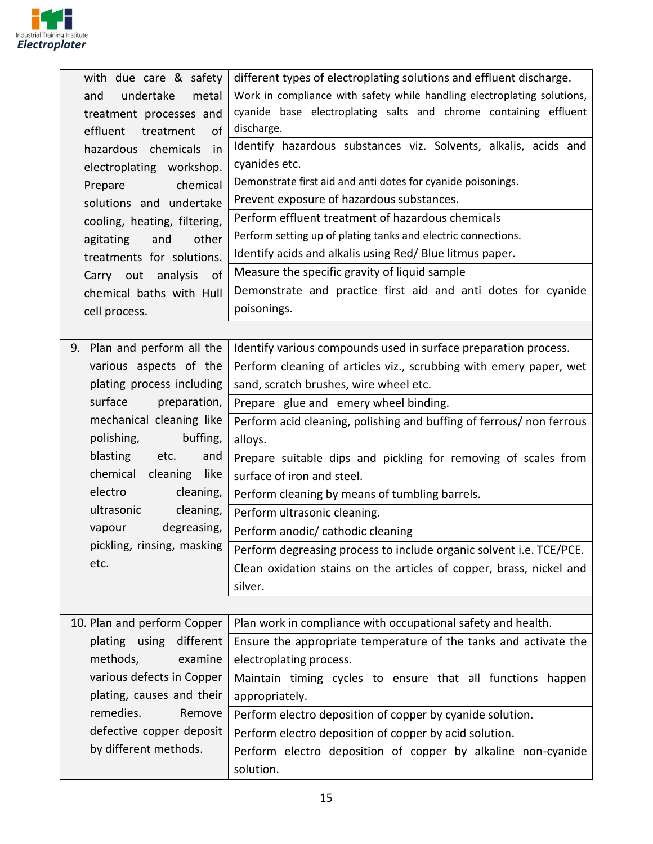

| with due care & safety       | different types of electroplating solutions and effluent discharge.     |
|------------------------------|-------------------------------------------------------------------------|
| undertake<br>metal<br>and    | Work in compliance with safety while handling electroplating solutions, |
| treatment processes and      | cyanide base electroplating salts and chrome containing effluent        |
| effluent treatment<br>of     | discharge.                                                              |
| hazardous chemicals<br>in    | Identify hazardous substances viz. Solvents, alkalis, acids and         |
| electroplating workshop.     | cyanides etc.                                                           |
| chemical<br>Prepare          | Demonstrate first aid and anti dotes for cyanide poisonings.            |
| solutions and undertake      | Prevent exposure of hazardous substances.                               |
| cooling, heating, filtering, | Perform effluent treatment of hazardous chemicals                       |
| agitating<br>and<br>other    | Perform setting up of plating tanks and electric connections.           |
| treatments for solutions.    | Identify acids and alkalis using Red/Blue litmus paper.                 |
| Carry out analysis<br>of     | Measure the specific gravity of liquid sample                           |
| chemical baths with Hull     | Demonstrate and practice first aid and anti dotes for cyanide           |
| cell process.                | poisonings.                                                             |
|                              |                                                                         |
| 9. Plan and perform all the  | Identify various compounds used in surface preparation process.         |
| various aspects of the       | Perform cleaning of articles viz., scrubbing with emery paper, wet      |
| plating process including    | sand, scratch brushes, wire wheel etc.                                  |
| surface<br>preparation,      | Prepare glue and emery wheel binding.                                   |
| mechanical cleaning like     | Perform acid cleaning, polishing and buffing of ferrous/ non ferrous    |
| buffing,<br>polishing,       | alloys.                                                                 |
| blasting<br>etc.<br>and      | Prepare suitable dips and pickling for removing of scales from          |
| chemical<br>cleaning<br>like | surface of iron and steel.                                              |
| electro<br>cleaning,         | Perform cleaning by means of tumbling barrels.                          |
| ultrasonic<br>cleaning,      | Perform ultrasonic cleaning.                                            |
| degreasing,<br>vapour        | Perform anodic/ cathodic cleaning                                       |
| pickling, rinsing, masking   | Perform degreasing process to include organic solvent i.e. TCE/PCE.     |
| etc.                         | Clean oxidation stains on the articles of copper, brass, nickel and     |
|                              | silver.                                                                 |
|                              |                                                                         |
| 10. Plan and perform Copper  | Plan work in compliance with occupational safety and health.            |
| different<br>plating using   | Ensure the appropriate temperature of the tanks and activate the        |
| methods,<br>examine          | electroplating process.                                                 |
| various defects in Copper    | Maintain timing cycles to ensure that all functions happen              |
| plating, causes and their    | appropriately.                                                          |
| remedies.<br>Remove          | Perform electro deposition of copper by cyanide solution.               |
| defective copper deposit     | Perform electro deposition of copper by acid solution.                  |
| by different methods.        | Perform electro deposition of copper by alkaline non-cyanide            |
|                              | solution.                                                               |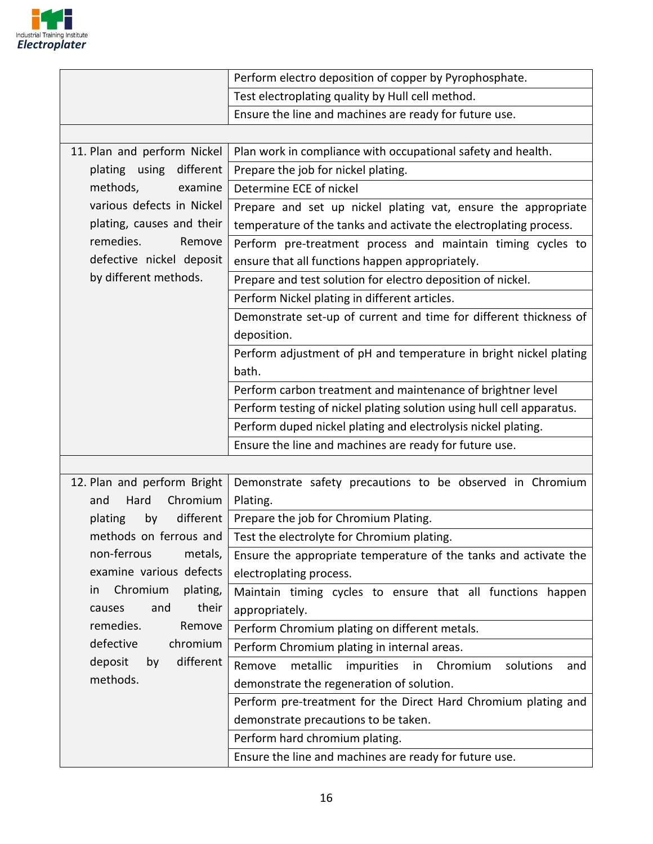

|                             | Perform electro deposition of copper by Pyrophosphate.                 |
|-----------------------------|------------------------------------------------------------------------|
|                             | Test electroplating quality by Hull cell method.                       |
|                             | Ensure the line and machines are ready for future use.                 |
|                             |                                                                        |
| 11. Plan and perform Nickel | Plan work in compliance with occupational safety and health.           |
| plating using different     | Prepare the job for nickel plating.                                    |
| methods,<br>examine         | Determine ECE of nickel                                                |
| various defects in Nickel   | Prepare and set up nickel plating vat, ensure the appropriate          |
| plating, causes and their   | temperature of the tanks and activate the electroplating process.      |
| remedies.<br>Remove         | Perform pre-treatment process and maintain timing cycles to            |
| defective nickel deposit    | ensure that all functions happen appropriately.                        |
| by different methods.       | Prepare and test solution for electro deposition of nickel.            |
|                             | Perform Nickel plating in different articles.                          |
|                             | Demonstrate set-up of current and time for different thickness of      |
|                             | deposition.                                                            |
|                             | Perform adjustment of pH and temperature in bright nickel plating      |
|                             | bath.                                                                  |
|                             | Perform carbon treatment and maintenance of brightner level            |
|                             | Perform testing of nickel plating solution using hull cell apparatus.  |
|                             | Perform duped nickel plating and electrolysis nickel plating.          |
|                             | Ensure the line and machines are ready for future use.                 |
|                             |                                                                        |
| 12. Plan and perform Bright | Demonstrate safety precautions to be observed in Chromium              |
| Chromium<br>Hard<br>and     | Plating.                                                               |
| different<br>plating<br>by  | Prepare the job for Chromium Plating.                                  |
| methods on ferrous and      | Test the electrolyte for Chromium plating.                             |
| non-ferrous<br>metals,      | Ensure the appropriate temperature of the tanks and activate the       |
| examine various defects     | electroplating process.                                                |
| Chromium<br>plating,<br>in. | Maintain timing cycles to ensure that all functions happen             |
| their<br>and<br>causes      | appropriately.                                                         |
| remedies.<br>Remove         | Perform Chromium plating on different metals.                          |
| defective<br>chromium       | Perform Chromium plating in internal areas.                            |
| different<br>deposit<br>by  | metallic<br>impurities<br>Chromium<br>Remove<br>solutions<br>in<br>and |
| methods.                    | demonstrate the regeneration of solution.                              |
|                             | Perform pre-treatment for the Direct Hard Chromium plating and         |
|                             | demonstrate precautions to be taken.                                   |
|                             | Perform hard chromium plating.                                         |
|                             | Ensure the line and machines are ready for future use.                 |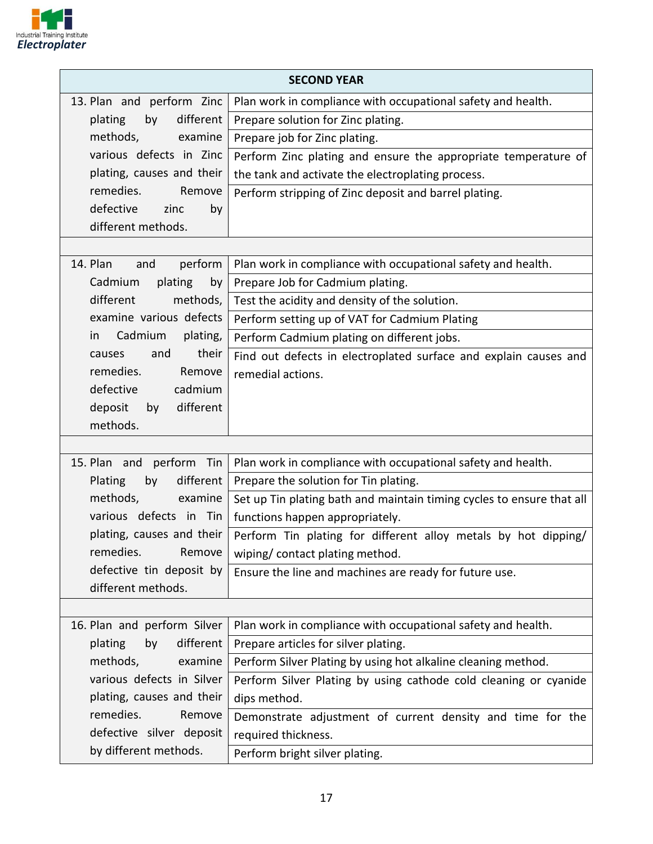

| <b>SECOND YEAR</b>          |                                                                       |  |
|-----------------------------|-----------------------------------------------------------------------|--|
| 13. Plan and perform Zinc   | Plan work in compliance with occupational safety and health.          |  |
| by<br>different<br>plating  | Prepare solution for Zinc plating.                                    |  |
| methods,<br>examine         | Prepare job for Zinc plating.                                         |  |
| various defects in Zinc     | Perform Zinc plating and ensure the appropriate temperature of        |  |
| plating, causes and their   | the tank and activate the electroplating process.                     |  |
| remedies.<br>Remove         | Perform stripping of Zinc deposit and barrel plating.                 |  |
| defective<br>zinc<br>by     |                                                                       |  |
| different methods.          |                                                                       |  |
|                             |                                                                       |  |
| 14. Plan<br>and<br>perform  | Plan work in compliance with occupational safety and health.          |  |
| plating<br>by<br>Cadmium    | Prepare Job for Cadmium plating.                                      |  |
| different<br>methods,       | Test the acidity and density of the solution.                         |  |
| examine various defects     | Perform setting up of VAT for Cadmium Plating                         |  |
| Cadmium<br>plating,<br>in   | Perform Cadmium plating on different jobs.                            |  |
| their<br>and<br>causes      | Find out defects in electroplated surface and explain causes and      |  |
| remedies.<br>Remove         | remedial actions.                                                     |  |
| defective<br>cadmium        |                                                                       |  |
| different<br>deposit<br>by  |                                                                       |  |
| methods.                    |                                                                       |  |
|                             |                                                                       |  |
| 15. Plan and perform Tin    | Plan work in compliance with occupational safety and health.          |  |
| Plating<br>by<br>different  | Prepare the solution for Tin plating.                                 |  |
| methods,<br>examine         | Set up Tin plating bath and maintain timing cycles to ensure that all |  |
| various defects in Tin      | functions happen appropriately.                                       |  |
| plating, causes and their   | Perform Tin plating for different alloy metals by hot dipping/        |  |
| remedies.<br>Remove         | wiping/contact plating method.                                        |  |
| defective tin deposit by    | Ensure the line and machines are ready for future use.                |  |
| different methods.          |                                                                       |  |
| 16. Plan and perform Silver | Plan work in compliance with occupational safety and health.          |  |
| different<br>plating<br>by  | Prepare articles for silver plating.                                  |  |
| methods,<br>examine         | Perform Silver Plating by using hot alkaline cleaning method.         |  |
| various defects in Silver   | Perform Silver Plating by using cathode cold cleaning or cyanide      |  |
| plating, causes and their   | dips method.                                                          |  |
| remedies.<br>Remove         | Demonstrate adjustment of current density and time for the            |  |
| defective silver deposit    | required thickness.                                                   |  |
| by different methods.       |                                                                       |  |
|                             | Perform bright silver plating.                                        |  |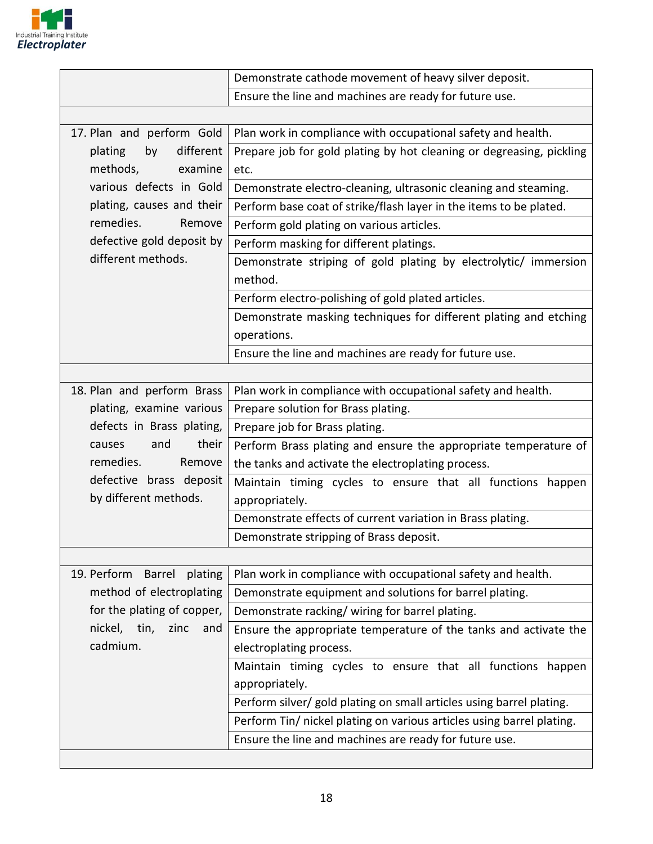

|                                                                                           | Demonstrate cathode movement of heavy silver deposit.                 |  |  |
|-------------------------------------------------------------------------------------------|-----------------------------------------------------------------------|--|--|
|                                                                                           | Ensure the line and machines are ready for future use.                |  |  |
|                                                                                           |                                                                       |  |  |
| Plan work in compliance with occupational safety and health.<br>17. Plan and perform Gold |                                                                       |  |  |
| different<br>plating<br>by                                                                | Prepare job for gold plating by hot cleaning or degreasing, pickling  |  |  |
| methods,<br>examine                                                                       | etc.                                                                  |  |  |
| various defects in Gold                                                                   | Demonstrate electro-cleaning, ultrasonic cleaning and steaming.       |  |  |
| plating, causes and their                                                                 | Perform base coat of strike/flash layer in the items to be plated.    |  |  |
| remedies.<br>Remove                                                                       | Perform gold plating on various articles.                             |  |  |
| defective gold deposit by                                                                 | Perform masking for different platings.                               |  |  |
| different methods.                                                                        | Demonstrate striping of gold plating by electrolytic/ immersion       |  |  |
|                                                                                           | method.                                                               |  |  |
|                                                                                           | Perform electro-polishing of gold plated articles.                    |  |  |
|                                                                                           | Demonstrate masking techniques for different plating and etching      |  |  |
|                                                                                           | operations.                                                           |  |  |
|                                                                                           | Ensure the line and machines are ready for future use.                |  |  |
|                                                                                           |                                                                       |  |  |
| 18. Plan and perform Brass                                                                | Plan work in compliance with occupational safety and health.          |  |  |
| plating, examine various                                                                  | Prepare solution for Brass plating.                                   |  |  |
| defects in Brass plating,                                                                 | Prepare job for Brass plating.                                        |  |  |
| their<br>and<br>causes                                                                    | Perform Brass plating and ensure the appropriate temperature of       |  |  |
| remedies.<br>Remove                                                                       | the tanks and activate the electroplating process.                    |  |  |
| defective brass deposit                                                                   | Maintain timing cycles to ensure that all functions happen            |  |  |
| by different methods.                                                                     | appropriately.                                                        |  |  |
|                                                                                           | Demonstrate effects of current variation in Brass plating.            |  |  |
|                                                                                           | Demonstrate stripping of Brass deposit.                               |  |  |
|                                                                                           |                                                                       |  |  |
| 19. Perform<br><b>Barrel</b><br>plating                                                   | Plan work in compliance with occupational safety and health.          |  |  |
| method of electroplating                                                                  | Demonstrate equipment and solutions for barrel plating.               |  |  |
| for the plating of copper,                                                                | Demonstrate racking/wiring for barrel plating.                        |  |  |
| nickel, tin,<br>zinc<br>and                                                               | Ensure the appropriate temperature of the tanks and activate the      |  |  |
| cadmium.                                                                                  | electroplating process.                                               |  |  |
|                                                                                           | Maintain timing cycles to ensure that all functions happen            |  |  |
|                                                                                           | appropriately.                                                        |  |  |
|                                                                                           | Perform silver/ gold plating on small articles using barrel plating.  |  |  |
|                                                                                           | Perform Tin/ nickel plating on various articles using barrel plating. |  |  |
|                                                                                           | Ensure the line and machines are ready for future use.                |  |  |
|                                                                                           |                                                                       |  |  |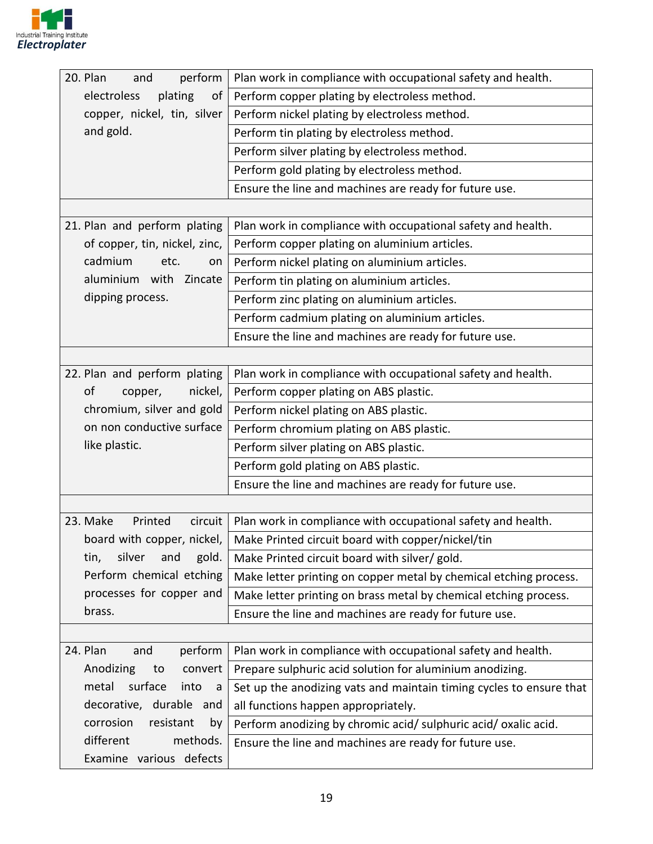

| 20. Plan<br>perform<br>and     | Plan work in compliance with occupational safety and health.        |
|--------------------------------|---------------------------------------------------------------------|
| electroless<br>plating<br>οf   | Perform copper plating by electroless method.                       |
| copper, nickel, tin, silver    | Perform nickel plating by electroless method.                       |
| and gold.                      | Perform tin plating by electroless method.                          |
|                                | Perform silver plating by electroless method.                       |
|                                | Perform gold plating by electroless method.                         |
|                                | Ensure the line and machines are ready for future use.              |
|                                |                                                                     |
| 21. Plan and perform plating   | Plan work in compliance with occupational safety and health.        |
| of copper, tin, nickel, zinc,  | Perform copper plating on aluminium articles.                       |
| cadmium<br>etc.<br>on          | Perform nickel plating on aluminium articles.                       |
| aluminium with Zincate         | Perform tin plating on aluminium articles.                          |
| dipping process.               | Perform zinc plating on aluminium articles.                         |
|                                | Perform cadmium plating on aluminium articles.                      |
|                                | Ensure the line and machines are ready for future use.              |
|                                |                                                                     |
| 22. Plan and perform plating   | Plan work in compliance with occupational safety and health.        |
| of<br>nickel,<br>copper,       | Perform copper plating on ABS plastic.                              |
| chromium, silver and gold      | Perform nickel plating on ABS plastic.                              |
| on non conductive surface      | Perform chromium plating on ABS plastic.                            |
| like plastic.                  | Perform silver plating on ABS plastic.                              |
|                                | Perform gold plating on ABS plastic.                                |
|                                | Ensure the line and machines are ready for future use.              |
|                                |                                                                     |
| 23. Make<br>Printed<br>circuit | Plan work in compliance with occupational safety and health.        |
| board with copper, nickel,     | Make Printed circuit board with copper/nickel/tin                   |
| gold.<br>tin,<br>silver<br>and | Make Printed circuit board with silver/ gold.                       |
| Perform chemical etching       | Make letter printing on copper metal by chemical etching process.   |
| processes for copper and       | Make letter printing on brass metal by chemical etching process.    |
| brass.                         | Ensure the line and machines are ready for future use.              |
|                                |                                                                     |
| 24. Plan<br>perform<br>and     | Plan work in compliance with occupational safety and health.        |
| Anodizing<br>to<br>convert     | Prepare sulphuric acid solution for aluminium anodizing.            |
| metal<br>surface<br>into<br>a  | Set up the anodizing vats and maintain timing cycles to ensure that |
| decorative, durable and        | all functions happen appropriately.                                 |
| corrosion<br>resistant<br>by   | Perform anodizing by chromic acid/ sulphuric acid/ oxalic acid.     |
| different<br>methods.          | Ensure the line and machines are ready for future use.              |
| Examine various defects        |                                                                     |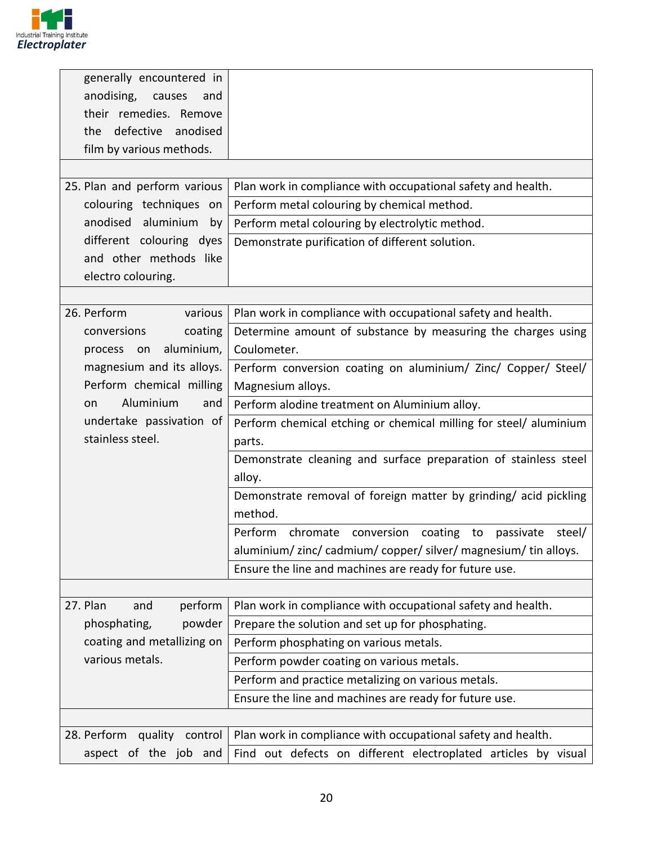

| generally encountered in       |                                                                   |  |  |
|--------------------------------|-------------------------------------------------------------------|--|--|
| anodising, causes<br>and       |                                                                   |  |  |
| their remedies. Remove         |                                                                   |  |  |
| defective<br>anodised<br>the   |                                                                   |  |  |
| film by various methods.       |                                                                   |  |  |
|                                |                                                                   |  |  |
| 25. Plan and perform various   | Plan work in compliance with occupational safety and health.      |  |  |
| colouring techniques on        | Perform metal colouring by chemical method.                       |  |  |
| anodised aluminium by          | Perform metal colouring by electrolytic method.                   |  |  |
| different colouring dyes       | Demonstrate purification of different solution.                   |  |  |
| and other methods like         |                                                                   |  |  |
| electro colouring.             |                                                                   |  |  |
|                                |                                                                   |  |  |
| 26. Perform<br>various         | Plan work in compliance with occupational safety and health.      |  |  |
| conversions<br>coating         | Determine amount of substance by measuring the charges using      |  |  |
| aluminium,<br>process on       | Coulometer.                                                       |  |  |
| magnesium and its alloys.      | Perform conversion coating on aluminium/ Zinc/ Copper/ Steel/     |  |  |
| Perform chemical milling       | Magnesium alloys.                                                 |  |  |
| Aluminium<br>and<br>on         | Perform alodine treatment on Aluminium alloy.                     |  |  |
| undertake passivation of       | Perform chemical etching or chemical milling for steel/ aluminium |  |  |
| stainless steel.               | parts.                                                            |  |  |
|                                | Demonstrate cleaning and surface preparation of stainless steel   |  |  |
|                                | alloy.                                                            |  |  |
|                                | Demonstrate removal of foreign matter by grinding/acid pickling   |  |  |
|                                | method.                                                           |  |  |
|                                | Perform                                                           |  |  |
|                                | chromate conversion coating to passivate<br>steel/                |  |  |
|                                | aluminium/zinc/cadmium/copper/silver/magnesium/tin alloys.        |  |  |
|                                | Ensure the line and machines are ready for future use.            |  |  |
|                                |                                                                   |  |  |
| 27. Plan<br>perform<br>and     | Plan work in compliance with occupational safety and health.      |  |  |
| phosphating,<br>powder         | Prepare the solution and set up for phosphating.                  |  |  |
| coating and metallizing on     | Perform phosphating on various metals.                            |  |  |
| various metals.                | Perform powder coating on various metals.                         |  |  |
|                                | Perform and practice metalizing on various metals.                |  |  |
|                                | Ensure the line and machines are ready for future use.            |  |  |
|                                |                                                                   |  |  |
| 28. Perform<br>quality control | Plan work in compliance with occupational safety and health.      |  |  |
| aspect of the job and          | Find out defects on different electroplated articles by visual    |  |  |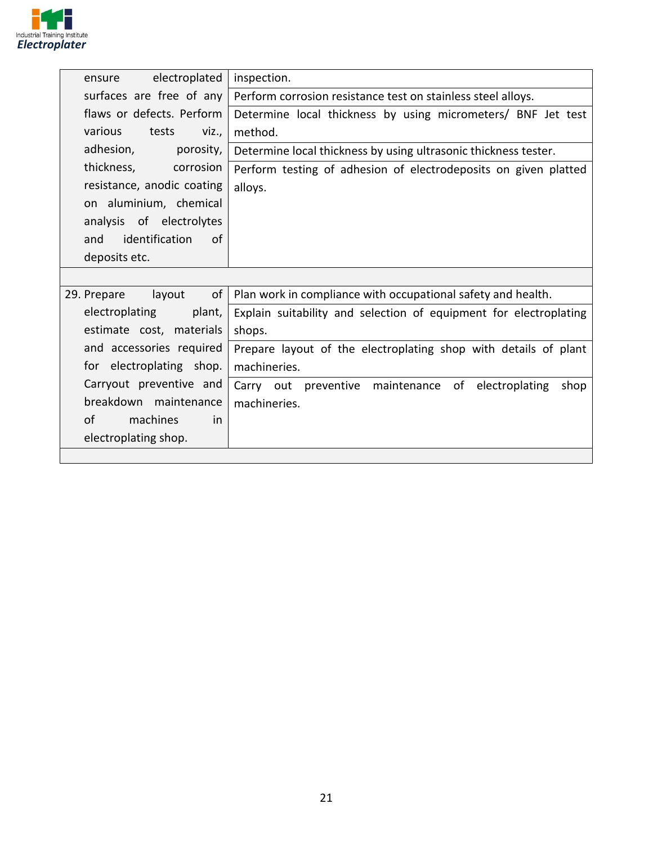

| electroplated<br>ensure     | inspection.                                                       |
|-----------------------------|-------------------------------------------------------------------|
| surfaces are free of any    | Perform corrosion resistance test on stainless steel alloys.      |
| flaws or defects. Perform   | Determine local thickness by using micrometers/ BNF Jet test      |
| various<br>tests<br>VZ      | method.                                                           |
| adhesion,<br>porosity,      | Determine local thickness by using ultrasonic thickness tester.   |
| thickness,<br>corrosion     | Perform testing of adhesion of electrodeposits on given platted   |
| resistance, anodic coating  | alloys.                                                           |
| on aluminium, chemical      |                                                                   |
| analysis of electrolytes    |                                                                   |
| identification<br>and<br>0f |                                                                   |
| deposits etc.               |                                                                   |
|                             |                                                                   |
| of<br>layout<br>29. Prepare | Plan work in compliance with occupational safety and health.      |
| electroplating<br>plant,    | Explain suitability and selection of equipment for electroplating |
| estimate cost, materials    | shops.                                                            |
| and accessories required    | Prepare layout of the electroplating shop with details of plant   |
| for electroplating shop.    | machineries.                                                      |
| Carryout preventive and     | Carry out preventive maintenance of electroplating<br>shop        |
| breakdown maintenance       | machineries.                                                      |
| οf<br>machines<br>in        |                                                                   |
| electroplating shop.        |                                                                   |
|                             |                                                                   |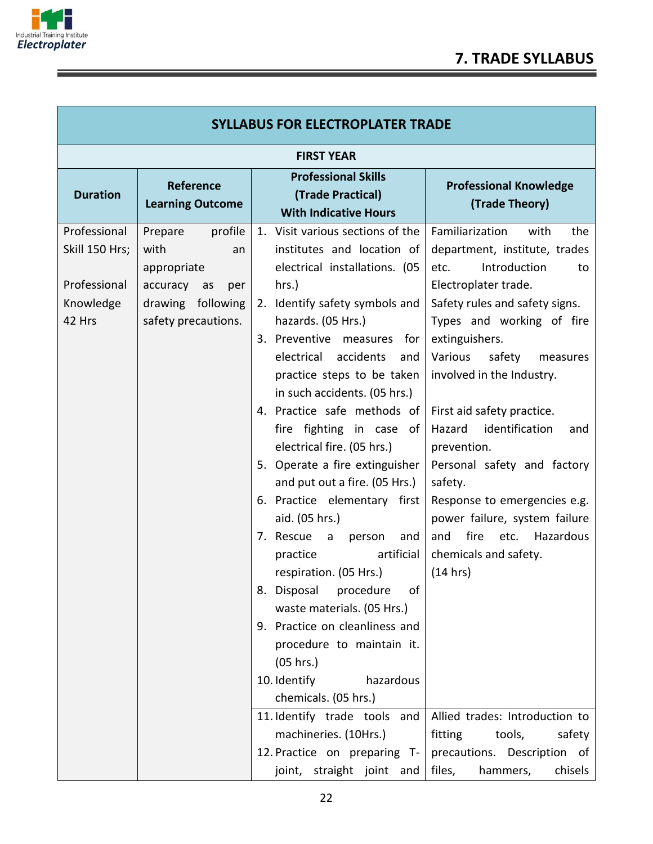

î

г

|                                                                                                                   |                                                                                                                                                                                                                                                                                                                                                                                                                                                                                                                                                                                                                                                                                                                                                                                                                                                                                                 | <b>SYLLABUS FOR ELECTROPLATER TRADE</b>                                                                                                                                                                                                                                                                                                                                                                                                                                                                                                                                                                                                                                   |  |  |  |
|-------------------------------------------------------------------------------------------------------------------|-------------------------------------------------------------------------------------------------------------------------------------------------------------------------------------------------------------------------------------------------------------------------------------------------------------------------------------------------------------------------------------------------------------------------------------------------------------------------------------------------------------------------------------------------------------------------------------------------------------------------------------------------------------------------------------------------------------------------------------------------------------------------------------------------------------------------------------------------------------------------------------------------|---------------------------------------------------------------------------------------------------------------------------------------------------------------------------------------------------------------------------------------------------------------------------------------------------------------------------------------------------------------------------------------------------------------------------------------------------------------------------------------------------------------------------------------------------------------------------------------------------------------------------------------------------------------------------|--|--|--|
| <b>FIRST YEAR</b>                                                                                                 |                                                                                                                                                                                                                                                                                                                                                                                                                                                                                                                                                                                                                                                                                                                                                                                                                                                                                                 |                                                                                                                                                                                                                                                                                                                                                                                                                                                                                                                                                                                                                                                                           |  |  |  |
| Reference<br><b>Learning Outcome</b>                                                                              | <b>Professional Skills</b><br>(Trade Practical)<br><b>With Indicative Hours</b>                                                                                                                                                                                                                                                                                                                                                                                                                                                                                                                                                                                                                                                                                                                                                                                                                 | <b>Professional Knowledge</b><br>(Trade Theory)                                                                                                                                                                                                                                                                                                                                                                                                                                                                                                                                                                                                                           |  |  |  |
| profile<br>Prepare<br>with<br>an<br>appropriate<br>accuracy as<br>per<br>drawing following<br>safety precautions. | 1. Visit various sections of the<br>institutes and location of<br>electrical installations. (05<br>hrs.)<br>2. Identify safety symbols and<br>hazards. (05 Hrs.)<br>3. Preventive measures for<br>electrical accidents<br>and<br>practice steps to be taken<br>in such accidents. (05 hrs.)<br>4. Practice safe methods of<br>fire fighting in case of<br>electrical fire. (05 hrs.)<br>5. Operate a fire extinguisher<br>and put out a fire. (05 Hrs.)<br>6. Practice elementary first<br>aid. (05 hrs.)<br>7. Rescue<br>$\mathsf{a}$<br>person<br>and<br>artificial<br>practice<br>respiration. (05 Hrs.)<br>8. Disposal procedure of<br>waste materials. (05 Hrs.)<br>9. Practice on cleanliness and<br>procedure to maintain it.<br>(05 hrs.)<br>10. Identify<br>hazardous<br>chemicals. (05 hrs.)<br>11. Identify trade tools and<br>machineries. (10Hrs.)<br>12. Practice on preparing T- | Familiarization<br>with<br>the<br>department, institute, trades<br>Introduction<br>etc.<br>to<br>Electroplater trade.<br>Safety rules and safety signs.<br>Types and working of fire<br>extinguishers.<br>Various<br>safety<br>measures<br>involved in the Industry.<br>First aid safety practice.<br>Hazard<br>identification<br>and<br>prevention.<br>Personal safety and factory<br>safety.<br>Response to emergencies e.g.<br>power failure, system failure<br>fire<br>Hazardous<br>etc.<br>and<br>chemicals and safety.<br>(14 hrs)<br>Allied trades: Introduction to<br>fitting<br>tools,<br>safety<br>precautions. Description of<br>files,<br>hammers,<br>chisels |  |  |  |
|                                                                                                                   |                                                                                                                                                                                                                                                                                                                                                                                                                                                                                                                                                                                                                                                                                                                                                                                                                                                                                                 | joint, straight joint and                                                                                                                                                                                                                                                                                                                                                                                                                                                                                                                                                                                                                                                 |  |  |  |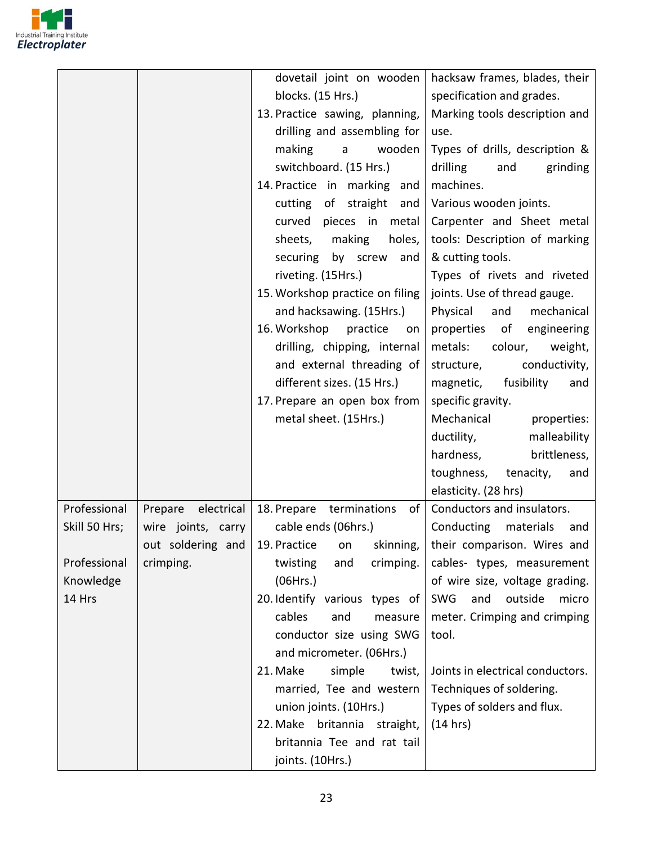

|                                                                      |                                                                            | dovetail joint on wooden<br>blocks. (15 Hrs.)<br>13. Practice sawing, planning,<br>drilling and assembling for<br>making<br>$\overline{a}$<br>wooden<br>switchboard. (15 Hrs.)<br>14. Practice in marking<br>and<br>cutting of straight<br>and<br>curved pieces in<br>metal<br>sheets,<br>making<br>holes,<br>securing<br>by screw<br>and<br>riveting. (15Hrs.)<br>15. Workshop practice on filing<br>and hacksawing. (15Hrs.)<br>16. Workshop practice<br>on<br>drilling, chipping, internal<br>and external threading of<br>different sizes. (15 Hrs.)<br>17. Prepare an open box from<br>metal sheet. (15Hrs.) | hacksaw frames, blades, their<br>specification and grades.<br>Marking tools description and<br>use.<br>Types of drills, description &<br>drilling<br>grinding<br>and<br>machines.<br>Various wooden joints.<br>Carpenter and Sheet metal<br>tools: Description of marking<br>& cutting tools.<br>Types of rivets and riveted<br>joints. Use of thread gauge.<br>and<br>Physical<br>mechanical<br>properties of<br>engineering<br>metals: colour,<br>weight,<br>conductivity,<br>structure,<br>magnetic, fusibility<br>and<br>specific gravity.<br>Mechanical<br>properties:<br>ductility,<br>malleability<br>hardness,<br>brittleness,<br>toughness,<br>tenacity,<br>and<br>elasticity. (28 hrs) |
|----------------------------------------------------------------------|----------------------------------------------------------------------------|-------------------------------------------------------------------------------------------------------------------------------------------------------------------------------------------------------------------------------------------------------------------------------------------------------------------------------------------------------------------------------------------------------------------------------------------------------------------------------------------------------------------------------------------------------------------------------------------------------------------|--------------------------------------------------------------------------------------------------------------------------------------------------------------------------------------------------------------------------------------------------------------------------------------------------------------------------------------------------------------------------------------------------------------------------------------------------------------------------------------------------------------------------------------------------------------------------------------------------------------------------------------------------------------------------------------------------|
| Professional<br>Skill 50 Hrs;<br>Professional<br>Knowledge<br>14 Hrs | Prepare electrical<br>wire joints, carry<br>out soldering and<br>crimping. | 18. Prepare terminations<br>of<br>cable ends (06hrs.)<br>19. Practice<br>skinning,<br>on<br>twisting<br>crimping.<br>and<br>(06Hrs.)<br>20. Identify various types of<br>cables<br>and<br>measure<br>conductor size using SWG<br>and micrometer. (06Hrs.)<br>21. Make<br>simple<br>twist,<br>married, Tee and western<br>union joints. (10Hrs.)<br>22. Make britannia straight,<br>britannia Tee and rat tail<br>joints. (10Hrs.)                                                                                                                                                                                 | Conductors and insulators.<br>Conducting materials<br>and<br>their comparison. Wires and<br>cables- types, measurement<br>of wire size, voltage grading.<br><b>SWG</b><br>outside<br>and<br>micro<br>meter. Crimping and crimping<br>tool.<br>Joints in electrical conductors.<br>Techniques of soldering.<br>Types of solders and flux.<br>(14 hrs)                                                                                                                                                                                                                                                                                                                                             |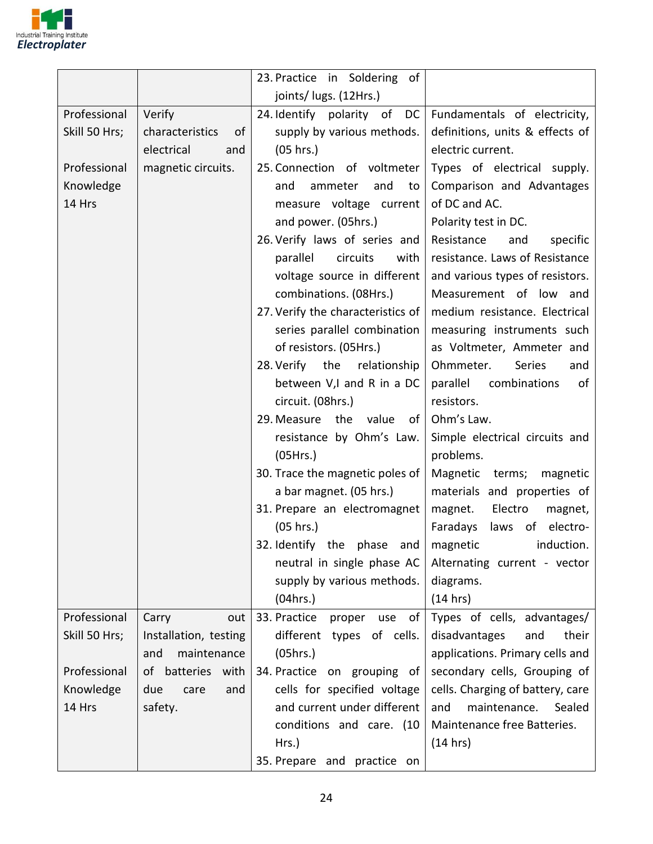

|               |                       | 23. Practice in Soldering of        |                                  |
|---------------|-----------------------|-------------------------------------|----------------------------------|
|               |                       | joints/ lugs. (12Hrs.)              |                                  |
| Professional  | Verify                | 24. Identify polarity of DC         | Fundamentals of electricity,     |
| Skill 50 Hrs; | characteristics<br>of | supply by various methods.          | definitions, units & effects of  |
|               | electrical<br>and     | (05 hrs.)                           | electric current.                |
| Professional  | magnetic circuits.    | 25. Connection of voltmeter         | Types of electrical supply.      |
| Knowledge     |                       | and<br>ammeter<br>and<br>to         | Comparison and Advantages        |
| 14 Hrs        |                       | measure voltage current             | of DC and AC.                    |
|               |                       | and power. (05hrs.)                 | Polarity test in DC.             |
|               |                       | 26. Verify laws of series and       | Resistance<br>and<br>specific    |
|               |                       | parallel<br>circuits<br>with        | resistance. Laws of Resistance   |
|               |                       | voltage source in different         | and various types of resistors.  |
|               |                       | combinations. (08Hrs.)              | Measurement of low and           |
|               |                       | 27. Verify the characteristics of   | medium resistance. Electrical    |
|               |                       | series parallel combination         | measuring instruments such       |
|               |                       | of resistors. (05Hrs.)              | as Voltmeter, Ammeter and        |
|               |                       | 28. Verify the<br>relationship      | Ohmmeter.<br>Series<br>and       |
|               |                       | between V,I and R in a DC           | parallel<br>combinations<br>of   |
|               |                       | circuit. (08hrs.)                   | resistors.                       |
|               |                       | 29. Measure<br>the<br>value<br>of l | Ohm's Law.                       |
|               |                       | resistance by Ohm's Law.            | Simple electrical circuits and   |
|               |                       | (05Hrs.)                            | problems.                        |
|               |                       | 30. Trace the magnetic poles of     | Magnetic terms; magnetic         |
|               |                       | a bar magnet. (05 hrs.)             | materials and properties of      |
|               |                       | 31. Prepare an electromagnet        | Electro<br>magnet.<br>magnet,    |
|               |                       | (05 hrs.)                           | Faradays<br>laws of electro-     |
|               |                       | 32. Identify the phase and          | magnetic<br>induction.           |
|               |                       | neutral in single phase AC          | Alternating current - vector     |
|               |                       | supply by various methods.          | diagrams.                        |
|               |                       | (04hrs.)                            | (14 hrs)                         |
| Professional  | Carry<br>out          | 33. Practice<br>proper<br>use<br>of | Types of cells, advantages/      |
| Skill 50 Hrs; | Installation, testing | different types of cells.           | disadvantages<br>their<br>and    |
|               | and<br>maintenance    | (05hrs.)                            | applications. Primary cells and  |
| Professional  | of batteries with     | 34. Practice on grouping of         | secondary cells, Grouping of     |
| Knowledge     | due<br>care<br>and    | cells for specified voltage         | cells. Charging of battery, care |
| 14 Hrs        | safety.               | and current under different         | maintenance.<br>Sealed<br>and    |
|               |                       | conditions and care. (10            | Maintenance free Batteries.      |
|               |                       | Hrs.)                               | (14 hrs)                         |
|               |                       | 35. Prepare and practice on         |                                  |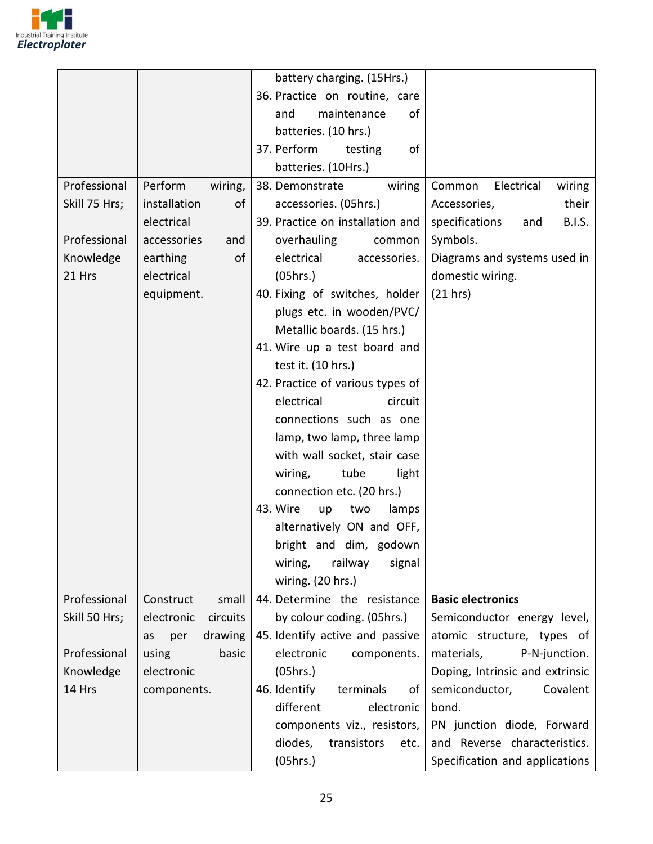

|               |                        | battery charging. (15Hrs.)       |                                        |
|---------------|------------------------|----------------------------------|----------------------------------------|
|               |                        | 36. Practice on routine, care    |                                        |
|               |                        | maintenance<br>and<br>of         |                                        |
|               |                        | batteries. (10 hrs.)             |                                        |
|               |                        | 37. Perform<br>testing<br>οf     |                                        |
|               |                        | batteries. (10Hrs.)              |                                        |
| Professional  | Perform<br>wiring,     | 38. Demonstrate<br>wiring        | Electrical<br>Common<br>wiring         |
| Skill 75 Hrs; | installation<br>of     | accessories. (05hrs.)            | their<br>Accessories,                  |
|               | electrical             | 39. Practice on installation and | specifications<br><b>B.I.S.</b><br>and |
| Professional  | accessories<br>and     | overhauling<br>common            | Symbols.                               |
| Knowledge     | of<br>earthing         | electrical<br>accessories.       | Diagrams and systems used in           |
| 21 Hrs        | electrical             | (05hrs.)                         | domestic wiring.                       |
|               | equipment.             | 40. Fixing of switches, holder   | (21 hrs)                               |
|               |                        | plugs etc. in wooden/PVC/        |                                        |
|               |                        | Metallic boards. (15 hrs.)       |                                        |
|               |                        | 41. Wire up a test board and     |                                        |
|               |                        | test it. (10 hrs.)               |                                        |
|               |                        | 42. Practice of various types of |                                        |
|               |                        | electrical<br>circuit            |                                        |
|               |                        | connections such as one          |                                        |
|               |                        | lamp, two lamp, three lamp       |                                        |
|               |                        | with wall socket, stair case     |                                        |
|               |                        | tube<br>wiring,<br>light         |                                        |
|               |                        | connection etc. (20 hrs.)        |                                        |
|               |                        | 43. Wire<br>two<br>up<br>lamps   |                                        |
|               |                        | alternatively ON and OFF,        |                                        |
|               |                        | bright and dim, godown           |                                        |
|               |                        | wiring,<br>railway<br>signal     |                                        |
|               |                        | wiring. (20 hrs.)                |                                        |
| Professional  | Construct<br>small     | 44. Determine the resistance     | <b>Basic electronics</b>               |
| Skill 50 Hrs; | circuits<br>electronic | by colour coding. (05hrs.)       | Semiconductor energy level,            |
|               | drawing<br>per<br>as   | 45. Identify active and passive  | atomic structure, types of             |
| Professional  | using<br>basic         | electronic<br>components.        | materials,<br>P-N-junction.            |
| Knowledge     | electronic             | (05hrs.)                         | Doping, Intrinsic and extrinsic        |
| 14 Hrs        | components.            | 46. Identify<br>terminals<br>of  | semiconductor,<br>Covalent             |
|               |                        | different<br>electronic          | bond.                                  |
|               |                        | components viz., resistors,      | PN junction diode, Forward             |
|               |                        | diodes,<br>transistors<br>etc.   | and Reverse characteristics.           |
|               |                        | (05hrs.)                         | Specification and applications         |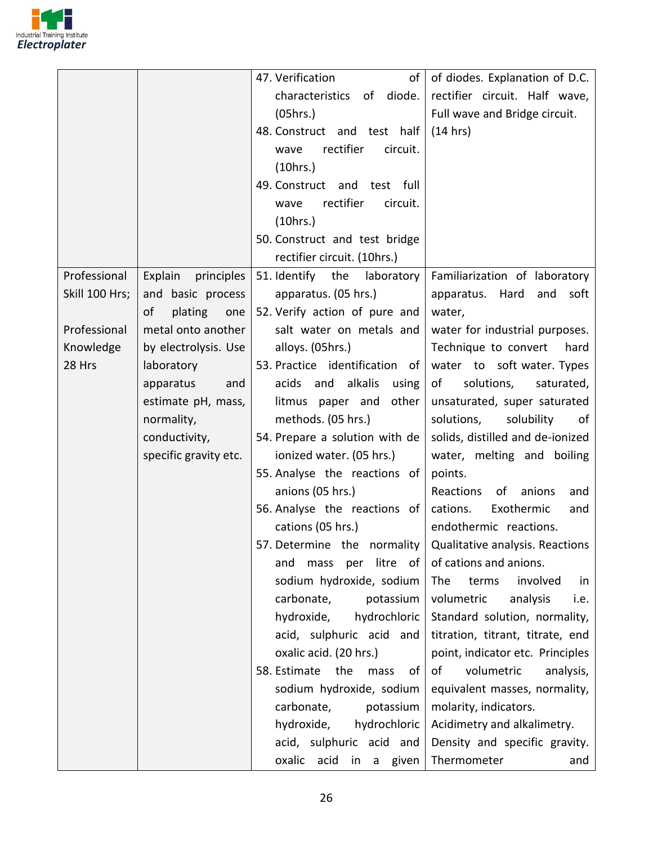

|                                       | 47. Verification<br>of                                              | of diodes. Explanation of D.C.   |
|---------------------------------------|---------------------------------------------------------------------|----------------------------------|
|                                       | characteristics of diode.                                           | rectifier circuit. Half wave,    |
|                                       | (05hrs.)                                                            | Full wave and Bridge circuit.    |
|                                       | 48. Construct and test half                                         | (14 hrs)                         |
|                                       | rectifier<br>circuit.<br>wave                                       |                                  |
|                                       | (10 hrs.)                                                           |                                  |
|                                       | 49. Construct and test full                                         |                                  |
|                                       | rectifier<br>circuit.<br>wave                                       |                                  |
|                                       | (10 hrs.)                                                           |                                  |
|                                       | 50. Construct and test bridge                                       |                                  |
|                                       | rectifier circuit. (10hrs.)                                         |                                  |
| Professional<br>Explain<br>principles | 51. Identify the laboratory                                         | Familiarization of laboratory    |
| Skill 100 Hrs;<br>and basic process   | apparatus. (05 hrs.)                                                | apparatus. Hard and<br>soft      |
| of<br>plating<br>one                  | 52. Verify action of pure and                                       | water,                           |
| Professional<br>metal onto another    | salt water on metals and                                            | water for industrial purposes.   |
| Knowledge<br>by electrolysis. Use     | alloys. (05hrs.)                                                    | Technique to convert<br>hard     |
| 28 Hrs<br>laboratory                  | 53. Practice identification of                                      | water to soft water. Types       |
| apparatus<br>and                      | acids and alkalis<br>using                                          | of<br>solutions,<br>saturated,   |
| estimate pH, mass,                    | other<br>litmus paper and                                           | unsaturated, super saturated     |
| normality,                            | methods. (05 hrs.)                                                  | solutions,<br>solubility<br>οf   |
| conductivity,                         | 54. Prepare a solution with de                                      | solids, distilled and de-ionized |
| specific gravity etc.                 | ionized water. (05 hrs.)                                            | water, melting and boiling       |
|                                       | 55. Analyse the reactions of                                        | points.                          |
|                                       | anions (05 hrs.)                                                    | Reactions<br>of anions<br>and    |
|                                       | 56. Analyse the reactions of                                        | Exothermic<br>cations.<br>and    |
|                                       | cations (05 hrs.)                                                   | endothermic reactions.           |
|                                       | 57. Determine the normality $\vert$ Qualitative analysis. Reactions |                                  |
|                                       | litre of $ $<br>and<br>mass<br>per                                  | of cations and anions.           |
|                                       | sodium hydroxide, sodium                                            | The<br>terms<br>involved<br>in   |
|                                       | carbonate,<br>potassium                                             | volumetric<br>analysis<br>i.e.   |
|                                       | hydroxide,<br>hydrochloric                                          | Standard solution, normality,    |
|                                       | acid, sulphuric acid and                                            | titration, titrant, titrate, end |
|                                       | oxalic acid. (20 hrs.)                                              | point, indicator etc. Principles |
|                                       | 58. Estimate<br>the<br>mass<br>of                                   | volumetric<br>of<br>analysis,    |
|                                       | sodium hydroxide, sodium                                            | equivalent masses, normality,    |
|                                       | carbonate,<br>potassium                                             | molarity, indicators.            |
|                                       | hydroxide,<br>hydrochloric                                          | Acidimetry and alkalimetry.      |
|                                       | acid, sulphuric acid and                                            | Density and specific gravity.    |
|                                       |                                                                     |                                  |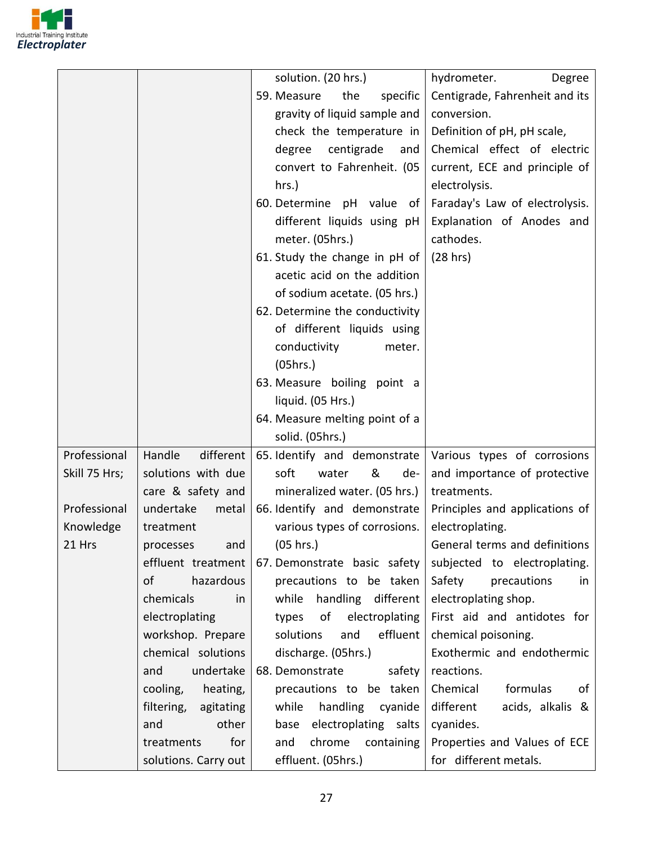

|               |                         | solution. (20 hrs.)            | hydrometer.<br>Degree          |
|---------------|-------------------------|--------------------------------|--------------------------------|
|               |                         | 59. Measure<br>the<br>specific | Centigrade, Fahrenheit and its |
|               |                         | gravity of liquid sample and   | conversion.                    |
|               |                         | check the temperature in       | Definition of pH, pH scale,    |
|               |                         | centigrade<br>degree<br>and    | Chemical effect of electric    |
|               |                         | convert to Fahrenheit. (05     | current, ECE and principle of  |
|               |                         | hrs.)                          | electrolysis.                  |
|               |                         | 60. Determine pH value of      | Faraday's Law of electrolysis. |
|               |                         | different liquids using pH     | Explanation of Anodes and      |
|               |                         | meter. (05hrs.)                | cathodes.                      |
|               |                         | 61. Study the change in pH of  | (28 hrs)                       |
|               |                         | acetic acid on the addition    |                                |
|               |                         | of sodium acetate. (05 hrs.)   |                                |
|               |                         | 62. Determine the conductivity |                                |
|               |                         | of different liquids using     |                                |
|               |                         | conductivity<br>meter.         |                                |
|               |                         | (05hrs.)                       |                                |
|               |                         | 63. Measure boiling point a    |                                |
|               |                         | liquid. (05 Hrs.)              |                                |
|               |                         | 64. Measure melting point of a |                                |
|               |                         | solid. (05hrs.)                |                                |
| Professional  | Handle<br>different     | 65. Identify and demonstrate   | Various types of corrosions    |
| Skill 75 Hrs; | solutions with due      | soft<br>&<br>water<br>de-      | and importance of protective   |
|               | care & safety and       | mineralized water. (05 hrs.)   | treatments.                    |
| Professional  | undertake<br>metal      | 66. Identify and demonstrate   | Principles and applications of |
| Knowledge     | treatment               | various types of corrosions.   | electroplating.                |
| 21 Hrs        | and<br>processes        | (05 hrs.)                      | General terms and definitions  |
|               | effluent treatment      | 67. Demonstrate basic safety   | subjected to electroplating.   |
|               | hazardous<br>of         | precautions to be taken        | Safety<br>precautions<br>in    |
|               | chemicals<br>in         | handling different<br>while    | electroplating shop.           |
|               | electroplating          | types<br>of<br>electroplating  | First aid and antidotes for    |
|               | workshop. Prepare       | effluent<br>solutions<br>and   | chemical poisoning.            |
|               | chemical solutions      | discharge. (05hrs.)            | Exothermic and endothermic     |
|               | undertake<br>and        | 68. Demonstrate<br>safety      | reactions.                     |
|               | cooling,<br>heating,    | precautions to be taken        | formulas<br>Chemical<br>οf     |
|               | filtering,<br>agitating | handling<br>while<br>cyanide   | different<br>acids, alkalis &  |
|               | other<br>and            | base electroplating salts      | cyanides.                      |
|               | for<br>treatments       | chrome containing<br>and       | Properties and Values of ECE   |
|               | solutions. Carry out    | effluent. (05hrs.)             | for different metals.          |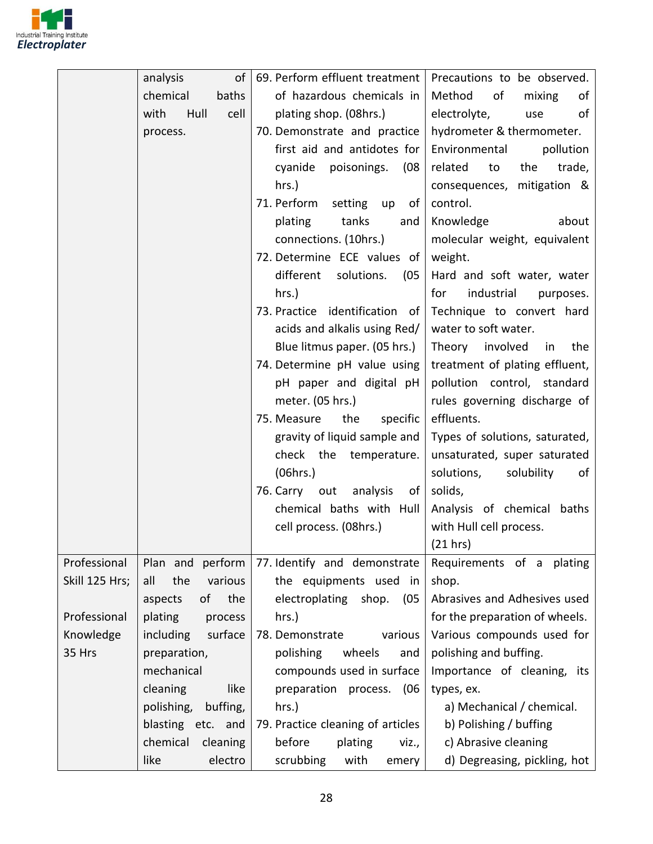

|                | of<br>analysis         | 69. Perform effluent treatment            | Precautions to be observed.    |
|----------------|------------------------|-------------------------------------------|--------------------------------|
|                | chemical<br>baths      | of hazardous chemicals in                 | Method<br>of<br>mixing<br>of   |
|                | with<br>Hull<br>cell   | plating shop. (08hrs.)                    | electrolyte,<br>of<br>use      |
|                | process.               | 70. Demonstrate and practice              | hydrometer & thermometer.      |
|                |                        | first aid and antidotes for               | pollution<br>Environmental     |
|                |                        | cyanide poisonings.<br>(08                | related<br>to<br>the<br>trade, |
|                |                        | hrs.)                                     | consequences, mitigation &     |
|                |                        | 71. Perform<br>setting up<br>of l         | control.                       |
|                |                        | tanks<br>plating<br>and                   | Knowledge<br>about             |
|                |                        | connections. (10hrs.)                     | molecular weight, equivalent   |
|                |                        | 72. Determine ECE values of               | weight.                        |
|                |                        | different solutions.<br>(05)              | Hard and soft water, water     |
|                |                        | $hrs.$ )                                  | industrial<br>for<br>purposes. |
|                |                        | 73. Practice identification of            | Technique to convert hard      |
|                |                        | acids and alkalis using Red/              | water to soft water.           |
|                |                        | Blue litmus paper. (05 hrs.)              | Theory involved<br>the<br>in   |
|                |                        | 74. Determine pH value using              | treatment of plating effluent, |
|                |                        | pH paper and digital pH                   | pollution control, standard    |
|                |                        | meter. (05 hrs.)                          | rules governing discharge of   |
|                |                        | 75. Measure<br>the<br>specific            | effluents.                     |
|                |                        | gravity of liquid sample and              | Types of solutions, saturated, |
|                |                        | check the temperature.                    | unsaturated, super saturated   |
|                |                        | (06 hrs.)                                 | solutions,<br>solubility<br>0f |
|                |                        | 76. Carry out analysis<br>of <sub>l</sub> | solids,                        |
|                |                        | chemical baths with Hull                  | Analysis of chemical baths     |
|                |                        | cell process. (08hrs.)                    | with Hull cell process.        |
|                |                        |                                           | (21 hrs)                       |
| Professional   | Plan and perform       | 77. Identify and demonstrate              | Requirements of a plating      |
| Skill 125 Hrs; | the<br>various<br>all  | the equipments used<br>in                 | shop.                          |
|                | the<br>aspects<br>οf   | electroplating<br>shop.<br>(05)           | Abrasives and Adhesives used   |
| Professional   | plating<br>process     | hrs.)                                     | for the preparation of wheels. |
| Knowledge      | including<br>surface   | 78. Demonstrate<br>various                | Various compounds used for     |
| 35 Hrs         | preparation,           | polishing<br>wheels<br>and                | polishing and buffing.         |
|                | mechanical             | compounds used in surface                 | Importance of cleaning, its    |
|                | cleaning<br>like       | preparation process.<br>(06               | types, ex.                     |
|                | polishing,<br>buffing, | $hrs.$ )                                  | a) Mechanical / chemical.      |
|                | blasting etc. and      | 79. Practice cleaning of articles         | b) Polishing / buffing         |
|                | chemical<br>cleaning   | before<br>plating<br>viz.,                | c) Abrasive cleaning           |
|                | like<br>electro        | scrubbing<br>with<br>emery                | d) Degreasing, pickling, hot   |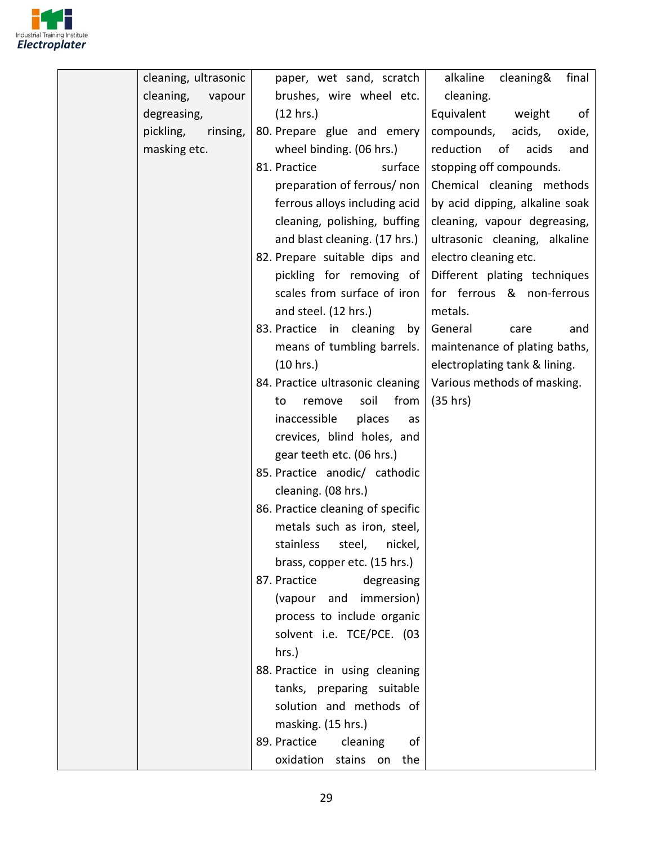

| cleaning, ultrasonic  | paper, wet sand, scratch          | alkaline<br>cleaning&<br>final  |
|-----------------------|-----------------------------------|---------------------------------|
| cleaning,<br>vapour   | brushes, wire wheel etc.          | cleaning.                       |
| degreasing,           | (12 hrs.)                         | Equivalent<br>weight<br>of      |
| pickling,<br>rinsing, | 80. Prepare glue and emery        | compounds,<br>acids,<br>oxide,  |
| masking etc.          | wheel binding. (06 hrs.)          | reduction<br>of<br>acids<br>and |
|                       | 81. Practice<br>surface           | stopping off compounds.         |
|                       | preparation of ferrous/ non       | Chemical cleaning methods       |
|                       | ferrous alloys including acid     | by acid dipping, alkaline soak  |
|                       | cleaning, polishing, buffing      | cleaning, vapour degreasing,    |
|                       | and blast cleaning. (17 hrs.)     | ultrasonic cleaning, alkaline   |
|                       | 82. Prepare suitable dips and     | electro cleaning etc.           |
|                       | pickling for removing of          | Different plating techniques    |
|                       | scales from surface of iron       | for ferrous & non-ferrous       |
|                       | and steel. (12 hrs.)              | metals.                         |
|                       | 83. Practice in cleaning<br>by    | General<br>care<br>and          |
|                       | means of tumbling barrels.        | maintenance of plating baths,   |
|                       | (10 hrs.)                         | electroplating tank & lining.   |
|                       | 84. Practice ultrasonic cleaning  | Various methods of masking.     |
|                       | soil<br>from<br>remove<br>to      | (35 hrs)                        |
|                       | inaccessible<br>places<br>as      |                                 |
|                       | crevices, blind holes, and        |                                 |
|                       | gear teeth etc. (06 hrs.)         |                                 |
|                       | 85. Practice anodic/ cathodic     |                                 |
|                       | cleaning. (08 hrs.)               |                                 |
|                       | 86. Practice cleaning of specific |                                 |
|                       | metals such as iron, steel,       |                                 |
|                       | stainless steel, nickel,          |                                 |
|                       | brass, copper etc. (15 hrs.)      |                                 |
|                       | 87. Practice<br>degreasing        |                                 |
|                       | (vapour and immersion)            |                                 |
|                       | process to include organic        |                                 |
|                       | solvent i.e. TCE/PCE. (03         |                                 |
|                       | hrs.)                             |                                 |
|                       | 88. Practice in using cleaning    |                                 |
|                       | tanks, preparing suitable         |                                 |
|                       | solution and methods of           |                                 |
|                       | masking. (15 hrs.)                |                                 |
|                       | 89. Practice<br>cleaning<br>of    |                                 |
|                       | oxidation stains on the           |                                 |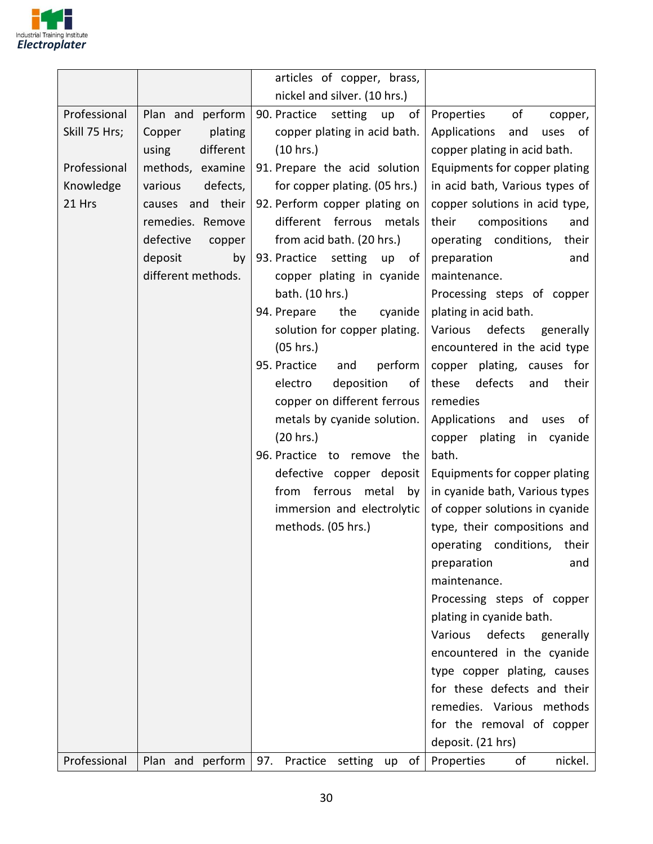

|                                     |                                                                                                                                               | articles of copper, brass,                                                                                                                                                                                                                                                                                                                                                                                                                                                                                                                                                                                                             |                                                                                                                                                                                                                                                                                                                                                                                                                                                                                                                                                                                                                                                                                                                                                                                                                                                                                                                                                           |
|-------------------------------------|-----------------------------------------------------------------------------------------------------------------------------------------------|----------------------------------------------------------------------------------------------------------------------------------------------------------------------------------------------------------------------------------------------------------------------------------------------------------------------------------------------------------------------------------------------------------------------------------------------------------------------------------------------------------------------------------------------------------------------------------------------------------------------------------------|-----------------------------------------------------------------------------------------------------------------------------------------------------------------------------------------------------------------------------------------------------------------------------------------------------------------------------------------------------------------------------------------------------------------------------------------------------------------------------------------------------------------------------------------------------------------------------------------------------------------------------------------------------------------------------------------------------------------------------------------------------------------------------------------------------------------------------------------------------------------------------------------------------------------------------------------------------------|
|                                     |                                                                                                                                               | nickel and silver. (10 hrs.)                                                                                                                                                                                                                                                                                                                                                                                                                                                                                                                                                                                                           |                                                                                                                                                                                                                                                                                                                                                                                                                                                                                                                                                                                                                                                                                                                                                                                                                                                                                                                                                           |
| Professional<br>Skill 75 Hrs;       | Plan and perform<br>Copper<br>plating<br>different<br>using                                                                                   | 90. Practice<br>setting<br>of<br>up<br>copper plating in acid bath.<br>(10 hrs.)                                                                                                                                                                                                                                                                                                                                                                                                                                                                                                                                                       | of<br>Properties<br>copper,<br>Applications<br>and<br>uses of<br>copper plating in acid bath.                                                                                                                                                                                                                                                                                                                                                                                                                                                                                                                                                                                                                                                                                                                                                                                                                                                             |
| Professional<br>Knowledge<br>21 Hrs | methods, examine<br>defects,<br>various<br>causes and their<br>remedies. Remove<br>defective<br>copper<br>deposit<br>by<br>different methods. | 91. Prepare the acid solution<br>for copper plating. (05 hrs.)<br>92. Perform copper plating on<br>different ferrous metals<br>from acid bath. (20 hrs.)<br>93. Practice<br>setting<br>up<br>of <sub>1</sub><br>copper plating in cyanide<br>bath. (10 hrs.)<br>94. Prepare<br>the<br>cyanide<br>solution for copper plating.<br>(05 hrs.)<br>95. Practice<br>and<br>perform<br>deposition<br>electro<br>of<br>copper on different ferrous<br>metals by cyanide solution.<br>(20 hrs.)<br>96. Practice to remove the<br>defective copper deposit<br>ferrous<br>from<br>metal<br>by<br>immersion and electrolytic<br>methods. (05 hrs.) | Equipments for copper plating<br>in acid bath, Various types of<br>copper solutions in acid type,<br>their<br>compositions<br>and<br>operating conditions,<br>their<br>preparation<br>and<br>maintenance.<br>Processing steps of copper<br>plating in acid bath.<br>defects<br>Various<br>generally<br>encountered in the acid type<br>copper plating, causes for<br>these<br>defects<br>their<br>and<br>remedies<br>Applications<br>and<br>uses<br>of<br>copper plating in cyanide<br>bath.<br>Equipments for copper plating<br>in cyanide bath, Various types<br>of copper solutions in cyanide<br>type, their compositions and<br>operating conditions, their<br>preparation<br>and<br>maintenance.<br>Processing steps of copper<br>plating in cyanide bath.<br>defects<br>Various<br>generally<br>encountered in the cyanide<br>type copper plating, causes<br>for these defects and their<br>remedies. Various methods<br>for the removal of copper |
| Professional                        | Plan and perform                                                                                                                              | 97.<br>Practice<br>setting up<br>of                                                                                                                                                                                                                                                                                                                                                                                                                                                                                                                                                                                                    | deposit. (21 hrs)<br>Properties<br>nickel.<br>of                                                                                                                                                                                                                                                                                                                                                                                                                                                                                                                                                                                                                                                                                                                                                                                                                                                                                                          |
|                                     |                                                                                                                                               |                                                                                                                                                                                                                                                                                                                                                                                                                                                                                                                                                                                                                                        |                                                                                                                                                                                                                                                                                                                                                                                                                                                                                                                                                                                                                                                                                                                                                                                                                                                                                                                                                           |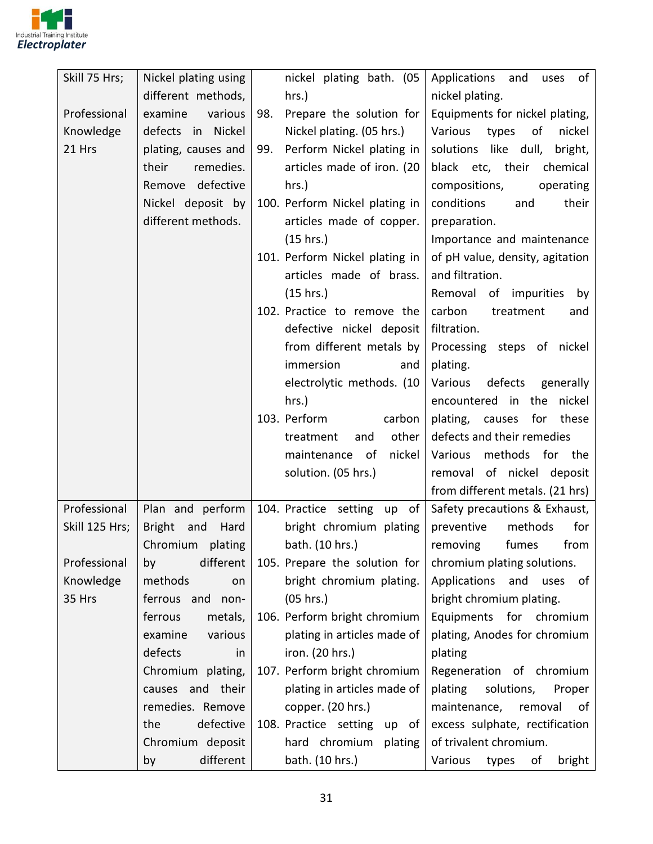

| Skill 75 Hrs;  | Nickel plating using | nickel plating bath. (05         | Applications<br>and<br>of l<br>uses          |
|----------------|----------------------|----------------------------------|----------------------------------------------|
|                | different methods,   | hrs.)                            | nickel plating.                              |
| Professional   | examine<br>various   | Prepare the solution for<br>98.  | Equipments for nickel plating,               |
| Knowledge      | defects<br>in Nickel | Nickel plating. (05 hrs.)        | Various<br>nickel<br>types<br>of             |
| 21 Hrs         | plating, causes and  | Perform Nickel plating in<br>99. | solutions like dull,<br>bright,              |
|                | their<br>remedies.   | articles made of iron. (20       | black etc, their<br>chemical                 |
|                | Remove defective     | hrs.)                            | compositions,<br>operating                   |
|                | Nickel deposit by    | 100. Perform Nickel plating in   | conditions<br>their<br>and                   |
|                | different methods.   | articles made of copper.         | preparation.                                 |
|                |                      | (15 hrs.)                        | Importance and maintenance                   |
|                |                      | 101. Perform Nickel plating in   | of pH value, density, agitation              |
|                |                      | articles made of brass.          | and filtration.                              |
|                |                      | (15 hrs.)                        | Removal of impurities by                     |
|                |                      | 102. Practice to remove the      | carbon<br>treatment<br>and                   |
|                |                      | defective nickel deposit         | filtration.                                  |
|                |                      | from different metals by         | Processing steps of nickel                   |
|                |                      | immersion                        | plating.<br>and                              |
|                |                      | electrolytic methods. (10        | defects<br>Various<br>generally              |
|                |                      | $hrs.$ )                         | in the<br>nickel<br>encountered              |
|                |                      | 103. Perform                     | carbon<br>these<br>plating,<br>causes<br>for |
|                |                      | treatment<br>and                 | other<br>defects and their remedies          |
|                |                      | maintenance<br>of                | nickel<br>Various<br>methods for the         |
|                |                      | solution. (05 hrs.)              | removal of nickel deposit                    |
|                |                      |                                  | from different metals. (21 hrs)              |
| Professional   | Plan and perform     | 104. Practice setting            | up of<br>Safety precautions & Exhaust,       |
| Skill 125 Hrs; | Bright and<br>Hard   | bright chromium plating          | methods<br>preventive<br>for                 |
|                | Chromium plating     | bath. (10 hrs.)                  | removing fumes<br>from                       |
| Professional   | different<br>by      | 105. Prepare the solution for    | chromium plating solutions.                  |
| Knowledge      | methods<br>on        | bright chromium plating.         | Applications<br>and uses of                  |
| 35 Hrs         | ferrous and non-     | (05 hrs.)                        | bright chromium plating.                     |
|                | ferrous<br>metals,   | 106. Perform bright chromium     | Equipments for chromium                      |
|                | various<br>examine   | plating in articles made of      | plating, Anodes for chromium                 |
|                | defects<br>in        | iron. (20 hrs.)                  | plating                                      |
|                | Chromium plating,    | 107. Perform bright chromium     | Regeneration of chromium                     |
|                | causes and their     | plating in articles made of      | solutions,<br>plating<br>Proper              |
|                | remedies. Remove     | copper. (20 hrs.)                | maintenance,<br>removal<br>0f                |
|                | the<br>defective     | 108. Practice setting            | excess sulphate, rectification<br>up of      |
|                | Chromium deposit     | hard chromium plating            | of trivalent chromium.                       |
|                | different<br>by      | bath. (10 hrs.)                  | Various<br>types<br>of<br>bright             |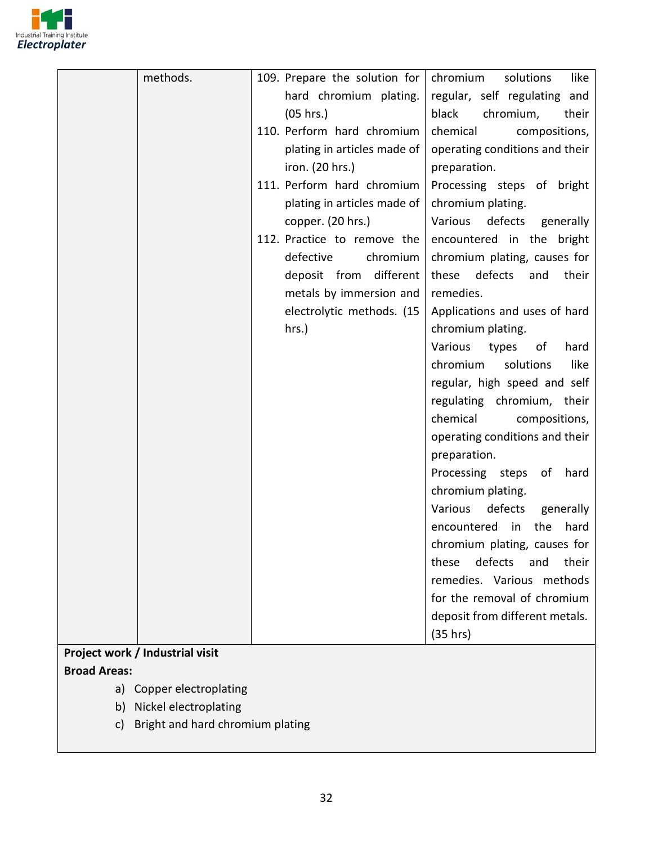

| methods.                        | 109. Prepare the solution for | chromium<br>like<br>solutions    |
|---------------------------------|-------------------------------|----------------------------------|
|                                 | hard chromium plating.        | regular, self regulating and     |
|                                 | (05 hrs.)                     | black<br>chromium,<br>their      |
|                                 | 110. Perform hard chromium    | chemical<br>compositions,        |
|                                 | plating in articles made of   | operating conditions and their   |
|                                 | iron. (20 hrs.)               | preparation.                     |
|                                 | 111. Perform hard chromium    | Processing steps of bright       |
|                                 | plating in articles made of   | chromium plating.                |
|                                 | copper. (20 hrs.)             | Various defects<br>generally     |
|                                 | 112. Practice to remove the   | encountered in the bright        |
|                                 | defective<br>chromium         | chromium plating, causes for     |
|                                 | deposit from different        | these<br>defects<br>their<br>and |
|                                 | metals by immersion and       | remedies.                        |
|                                 | electrolytic methods. (15     | Applications and uses of hard    |
|                                 | hrs.)                         | chromium plating.                |
|                                 |                               | Various<br>hard<br>types<br>of   |
|                                 |                               | chromium<br>like<br>solutions    |
|                                 |                               | regular, high speed and self     |
|                                 |                               | regulating chromium, their       |
|                                 |                               | chemical<br>compositions,        |
|                                 |                               | operating conditions and their   |
|                                 |                               | preparation.                     |
|                                 |                               | Processing steps of<br>hard      |
|                                 |                               | chromium plating.                |
|                                 |                               | Various<br>defects<br>generally  |
|                                 |                               | encountered<br>in<br>the<br>hard |
|                                 |                               | chromium plating, causes for     |
|                                 |                               | defects<br>their<br>these<br>and |
|                                 |                               | remedies. Various methods        |
|                                 |                               | for the removal of chromium      |
|                                 |                               | deposit from different metals.   |
|                                 |                               | (35 hrs)                         |
| Project work / Industrial visit |                               |                                  |
| <b>Broad Areas:</b>             |                               |                                  |
| a) Copper electroplating        |                               |                                  |
|                                 |                               |                                  |

- b) Nickel electroplating
- c) Bright and hard chromium plating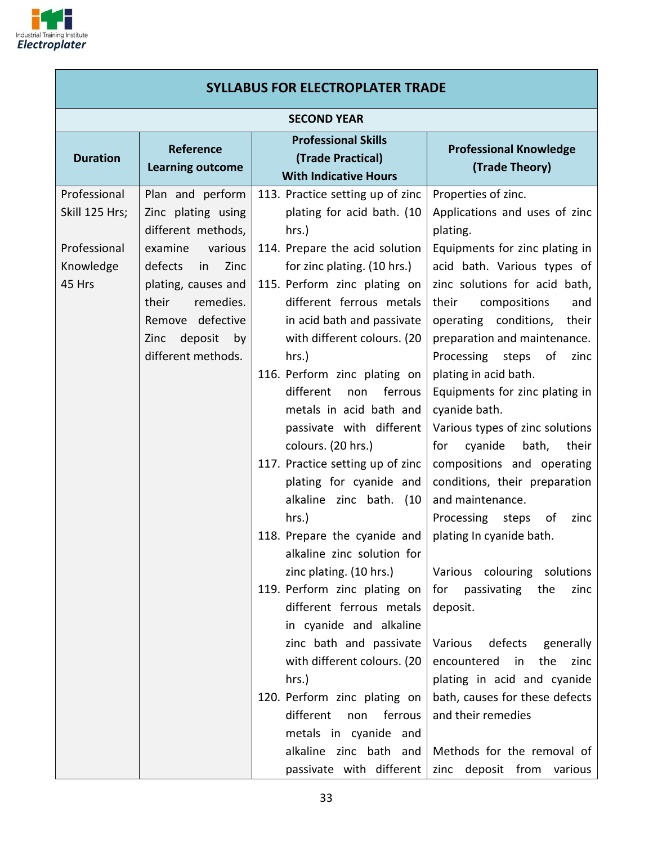

|                                                                       | <b>SYLLABUS FOR ELECTROPLATER TRADE</b>                                                                                                                                                                                     |                                                                                                                                                                                                                                                                                                                                                                                                                                                                  |                                                                                                                                                                                                                                                                                                                                                                                                                                                                                         |  |
|-----------------------------------------------------------------------|-----------------------------------------------------------------------------------------------------------------------------------------------------------------------------------------------------------------------------|------------------------------------------------------------------------------------------------------------------------------------------------------------------------------------------------------------------------------------------------------------------------------------------------------------------------------------------------------------------------------------------------------------------------------------------------------------------|-----------------------------------------------------------------------------------------------------------------------------------------------------------------------------------------------------------------------------------------------------------------------------------------------------------------------------------------------------------------------------------------------------------------------------------------------------------------------------------------|--|
|                                                                       |                                                                                                                                                                                                                             | <b>SECOND YEAR</b>                                                                                                                                                                                                                                                                                                                                                                                                                                               |                                                                                                                                                                                                                                                                                                                                                                                                                                                                                         |  |
| <b>Duration</b>                                                       | <b>Reference</b><br><b>Learning outcome</b>                                                                                                                                                                                 | <b>Professional Skills</b><br>(Trade Practical)<br><b>With Indicative Hours</b>                                                                                                                                                                                                                                                                                                                                                                                  | <b>Professional Knowledge</b><br>(Trade Theory)                                                                                                                                                                                                                                                                                                                                                                                                                                         |  |
| Professional<br>Skill 125 Hrs;<br>Professional<br>Knowledge<br>45 Hrs | Plan and perform<br>Zinc plating using<br>different methods,<br>examine<br>various<br>defects<br>Zinc<br>in<br>plating, causes and<br>remedies.<br>their<br>Remove defective<br>deposit<br>by<br>Zinc<br>different methods. | 113. Practice setting up of zinc<br>plating for acid bath. (10<br>$hrs.$ )<br>114. Prepare the acid solution<br>for zinc plating. (10 hrs.)<br>115. Perform zinc plating on<br>different ferrous metals<br>in acid bath and passivate<br>with different colours. (20<br>$hrs.$ )<br>116. Perform zinc plating on<br>different<br>non<br>ferrous<br>metals in acid bath and<br>passivate with different<br>colours. (20 hrs.)<br>117. Practice setting up of zinc | Properties of zinc.<br>Applications and uses of zinc<br>plating.<br>Equipments for zinc plating in<br>acid bath. Various types of<br>zinc solutions for acid bath,<br>their<br>compositions<br>and<br>operating conditions,<br>their<br>preparation and maintenance.<br>Processing steps<br>of<br>zinc<br>plating in acid bath.<br>Equipments for zinc plating in<br>cyanide bath.<br>Various types of zinc solutions<br>cyanide<br>bath,<br>their<br>for<br>compositions and operating |  |
|                                                                       |                                                                                                                                                                                                                             | plating for cyanide and<br>alkaline zinc bath. (10<br>$hrs.$ )<br>118. Prepare the cyanide and<br>alkaline zinc solution for<br>zinc plating. (10 hrs.)<br>119. Perform zinc plating on<br>different ferrous metals<br>in cyanide and alkaline<br>zinc bath and passivate<br>with different colours. (20<br>hrs.)<br>120. Perform zinc plating on<br>different<br>non<br>ferrous<br>metals in cyanide and<br>alkaline zinc bath and<br>passivate with different  | conditions, their preparation<br>and maintenance.<br>Processing steps<br>of<br>zinc<br>plating In cyanide bath.<br>Various colouring solutions<br>for<br>passivating<br>the<br>zinc<br>deposit.<br>Various<br>defects<br>generally<br>encountered<br>the<br>in<br>zinc<br>plating in acid and cyanide<br>bath, causes for these defects<br>and their remedies<br>Methods for the removal of<br>zinc deposit from various                                                                |  |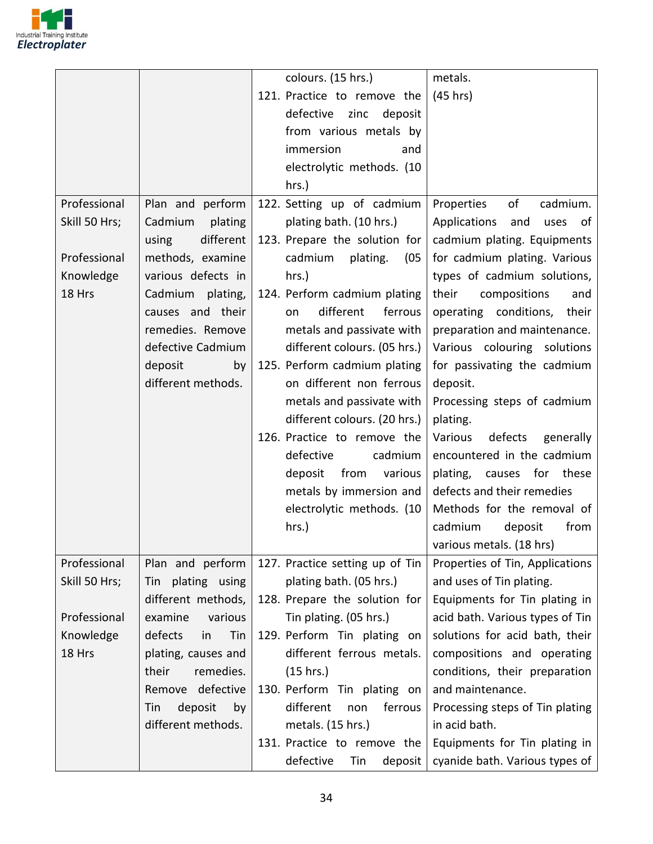

|               |                      | colours. (15 hrs.)              | metals.                           |
|---------------|----------------------|---------------------------------|-----------------------------------|
|               |                      | 121. Practice to remove the     | (45 hrs)                          |
|               |                      | defective zinc<br>deposit       |                                   |
|               |                      | from various metals by          |                                   |
|               |                      | immersion<br>and                |                                   |
|               |                      | electrolytic methods. (10       |                                   |
|               |                      | hrs.)                           |                                   |
| Professional  | Plan and perform     | 122. Setting up of cadmium      | Properties<br>of<br>cadmium.      |
| Skill 50 Hrs; | Cadmium<br>plating   | plating bath. (10 hrs.)         | Applications<br>and<br>uses<br>of |
|               | different<br>using   | 123. Prepare the solution for   | cadmium plating. Equipments       |
| Professional  | methods, examine     | cadmium<br>plating.<br>(05)     | for cadmium plating. Various      |
| Knowledge     | various defects in   | hrs.)                           | types of cadmium solutions,       |
| 18 Hrs        | Cadmium plating,     | 124. Perform cadmium plating    | their<br>compositions<br>and      |
|               | causes and their     | different<br>ferrous<br>on      | operating conditions,<br>their    |
|               | remedies. Remove     | metals and passivate with       | preparation and maintenance.      |
|               | defective Cadmium    | different colours. (05 hrs.)    | Various colouring solutions       |
|               | deposit<br>by        | 125. Perform cadmium plating    | for passivating the cadmium       |
|               | different methods.   | on different non ferrous        | deposit.                          |
|               |                      | metals and passivate with       | Processing steps of cadmium       |
|               |                      | different colours. (20 hrs.)    | plating.                          |
|               |                      | 126. Practice to remove the     | Various<br>defects<br>generally   |
|               |                      | defective<br>cadmium            | encountered in the cadmium        |
|               |                      | from<br>deposit<br>various      | plating, causes for these         |
|               |                      | metals by immersion and         | defects and their remedies        |
|               |                      | electrolytic methods. (10       | Methods for the removal of        |
|               |                      | hrs.)                           | cadmium<br>from<br>deposit        |
|               |                      |                                 | various metals. (18 hrs)          |
| Professional  | Plan and perform     | 127. Practice setting up of Tin | Properties of Tin, Applications   |
| Skill 50 Hrs; | Tin plating using    | plating bath. (05 hrs.)         | and uses of Tin plating.          |
|               | different methods,   | 128. Prepare the solution for   | Equipments for Tin plating in     |
| Professional  | examine<br>various   | Tin plating. (05 hrs.)          | acid bath. Various types of Tin   |
| Knowledge     | defects<br>Tin<br>in | 129. Perform Tin plating on     | solutions for acid bath, their    |
| 18 Hrs        | plating, causes and  | different ferrous metals.       | compositions and operating        |
|               | remedies.<br>their   | (15 hrs.)                       | conditions, their preparation     |
|               | defective<br>Remove  | 130. Perform Tin plating on     | and maintenance.                  |
|               | deposit<br>by<br>Tin | different<br>non<br>ferrous     | Processing steps of Tin plating   |
|               | different methods.   | metals. (15 hrs.)               | in acid bath.                     |
|               |                      | 131. Practice to remove the     | Equipments for Tin plating in     |
|               |                      | defective<br>Tin<br>deposit     | cyanide bath. Various types of    |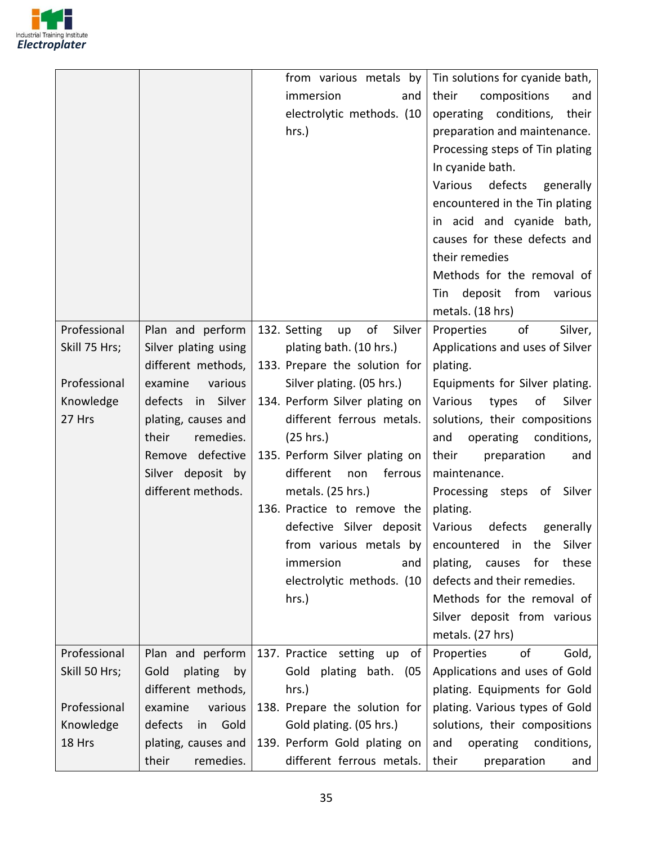

|               |                       | from various metals by             | Tin solutions for cyanide bath,                  |
|---------------|-----------------------|------------------------------------|--------------------------------------------------|
|               |                       | immersion<br>and                   | their<br>compositions<br>and                     |
|               |                       | electrolytic methods. (10          | operating conditions,<br>their                   |
|               |                       | hrs.)                              | preparation and maintenance.                     |
|               |                       |                                    | Processing steps of Tin plating                  |
|               |                       |                                    | In cyanide bath.                                 |
|               |                       |                                    | Various<br>defects generally                     |
|               |                       |                                    | encountered in the Tin plating                   |
|               |                       |                                    | in acid and cyanide bath,                        |
|               |                       |                                    | causes for these defects and                     |
|               |                       |                                    | their remedies                                   |
|               |                       |                                    | Methods for the removal of                       |
|               |                       |                                    | Tin deposit from various                         |
|               |                       |                                    | metals. (18 hrs)                                 |
| Professional  | Plan and perform      | of<br>132. Setting<br>Silver<br>up | of<br>Properties<br>Silver,                      |
| Skill 75 Hrs; | Silver plating using  | plating bath. (10 hrs.)            | Applications and uses of Silver                  |
|               | different methods,    | 133. Prepare the solution for      | plating.                                         |
| Professional  | examine<br>various    | Silver plating. (05 hrs.)          | Equipments for Silver plating.                   |
| Knowledge     | defects in Silver     | 134. Perform Silver plating on     | Various<br>Silver<br>types<br>of                 |
| 27 Hrs        | plating, causes and   | different ferrous metals.          | solutions, their compositions                    |
|               | their<br>remedies.    | (25 hrs.)                          | operating conditions,<br>and                     |
|               | Remove defective      | 135. Perform Silver plating on     | their<br>preparation<br>and                      |
|               | Silver deposit by     | different<br>ferrous<br>non        | maintenance.                                     |
|               | different methods.    | metals. $(25$ hrs.)                | Processing steps of Silver                       |
|               |                       | 136. Practice to remove the        | plating.                                         |
|               |                       | defective Silver deposit           | Various<br>defects generally                     |
|               |                       |                                    | from various metals by encountered in the Silver |
|               |                       | immersion<br>and                   | plating,<br>causes<br>for<br>these               |
|               |                       | electrolytic methods. (10          | defects and their remedies.                      |
|               |                       | hrs.)                              | Methods for the removal of                       |
|               |                       |                                    | Silver deposit from various                      |
|               |                       |                                    | metals. (27 hrs)                                 |
| Professional  | Plan and perform      | 137. Practice setting up<br>of     | of<br>Properties<br>Gold,                        |
| Skill 50 Hrs; | plating<br>Gold<br>by | Gold plating bath.<br>(05)         | Applications and uses of Gold                    |
|               | different methods,    | $hrs.$ )                           | plating. Equipments for Gold                     |
| Professional  | examine<br>various    | 138. Prepare the solution for      | plating. Various types of Gold                   |
| Knowledge     | defects<br>in<br>Gold | Gold plating. (05 hrs.)            | solutions, their compositions                    |
| 18 Hrs        | plating, causes and   | 139. Perform Gold plating on       | and<br>operating conditions,                     |
|               | their<br>remedies.    | different ferrous metals.          | their<br>preparation<br>and                      |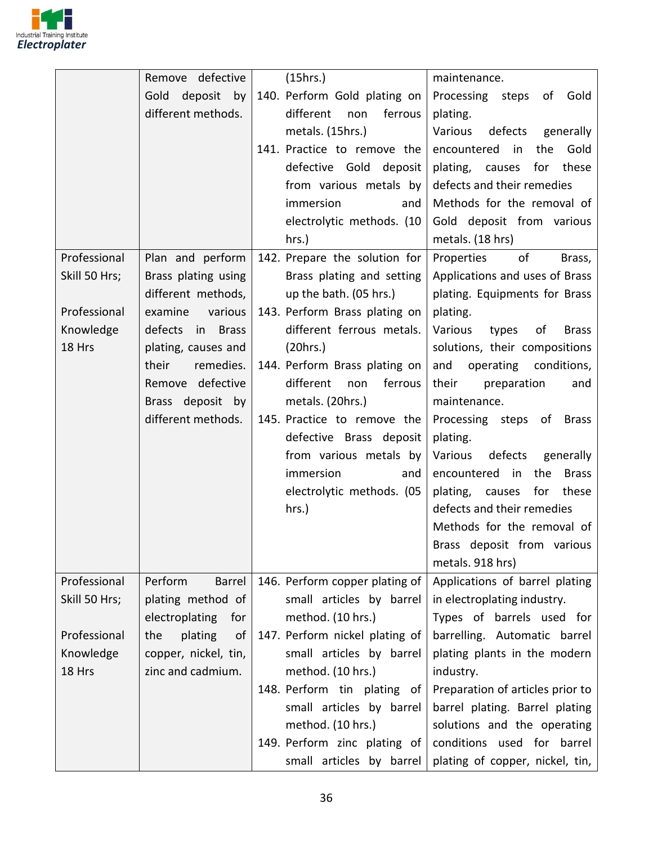

|               | Remove defective      | (15hrs.)                       | maintenance.                             |
|---------------|-----------------------|--------------------------------|------------------------------------------|
|               | deposit<br>Gold<br>by | 140. Perform Gold plating on   | Processing steps of<br>Gold              |
|               | different methods.    | different<br>ferrous<br>non    | plating.                                 |
|               |                       | metals. (15hrs.)               | Various<br>defects generally             |
|               |                       | 141. Practice to remove the    | in<br>the<br>Gold<br>encountered         |
|               |                       | defective Gold deposit         | these<br>plating, causes<br>for          |
|               |                       | from various metals by         | defects and their remedies               |
|               |                       | immersion<br>and               | Methods for the removal of               |
|               |                       | electrolytic methods. (10      | Gold deposit from various                |
|               |                       | $hrs.$ )                       | metals. (18 hrs)                         |
| Professional  | Plan and perform      | 142. Prepare the solution for  | of<br>Properties<br>Brass,               |
| Skill 50 Hrs; | Brass plating using   | Brass plating and setting      | Applications and uses of Brass           |
|               | different methods,    | up the bath. (05 hrs.)         | plating. Equipments for Brass            |
| Professional  | various<br>examine    | 143. Perform Brass plating on  | plating.                                 |
| Knowledge     | defects in Brass      | different ferrous metals.      | Various<br>types of<br><b>Brass</b>      |
| 18 Hrs        | plating, causes and   | (20 hrs.)                      | solutions, their compositions            |
|               | remedies.<br>their    | 144. Perform Brass plating on  | operating conditions,<br>and             |
|               | Remove defective      | different<br>ferrous<br>non    | their<br>preparation<br>and              |
|               | Brass deposit by      | metals. (20hrs.)               | maintenance.                             |
|               | different methods.    | 145. Practice to remove the    | Processing steps of Brass                |
|               |                       | defective Brass deposit        | plating.                                 |
|               |                       | from various metals by         | defects<br>Various<br>generally          |
|               |                       | immersion<br>and               | encountered<br>in<br>the<br><b>Brass</b> |
|               |                       | electrolytic methods. (05      | plating, causes<br>for<br>these          |
|               |                       | hrs.)                          | defects and their remedies               |
|               |                       |                                | Methods for the removal of               |
|               |                       |                                | Brass deposit from various               |
|               |                       |                                | metals. 918 hrs)                         |
| Professional  | Perform<br>Barrel     | 146. Perform copper plating of | Applications of barrel plating           |
| Skill 50 Hrs; | plating method of     | small articles by barrel       | in electroplating industry.              |
|               | electroplating<br>for | method. (10 hrs.)              | Types of barrels used for                |
| Professional  | plating<br>the<br>of  | 147. Perform nickel plating of | barrelling. Automatic barrel             |
| Knowledge     | copper, nickel, tin,  | small articles by barrel       | plating plants in the modern             |
| 18 Hrs        | zinc and cadmium.     | method. (10 hrs.)              | industry.                                |
|               |                       | 148. Perform tin plating of    | Preparation of articles prior to         |
|               |                       | small articles by barrel       | barrel plating. Barrel plating           |
|               |                       | method. (10 hrs.)              | solutions and the operating              |
|               |                       | 149. Perform zinc plating of   | conditions used for barrel               |
|               |                       | small articles by barrel       | plating of copper, nickel, tin,          |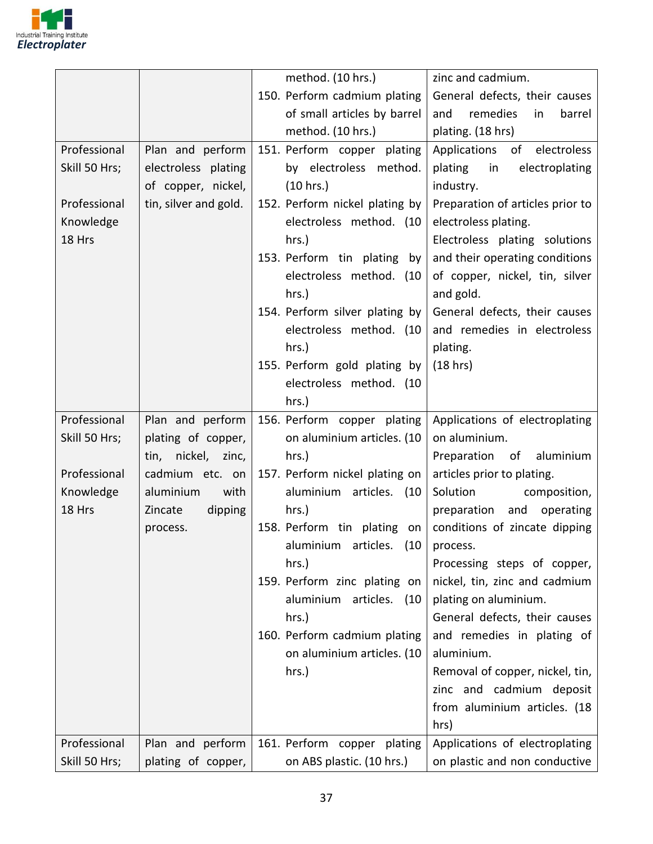

|               |                       | method. (10 hrs.)                       | zinc and cadmium.                |
|---------------|-----------------------|-----------------------------------------|----------------------------------|
|               |                       | 150. Perform cadmium plating            | General defects, their causes    |
|               |                       | of small articles by barrel             | remedies<br>barrel<br>and<br>in  |
|               |                       | method. (10 hrs.)                       | plating. (18 hrs)                |
| Professional  | Plan and perform      | 151. Perform copper plating             | Applications of electroless      |
| Skill 50 Hrs; | electroless plating   | by electroless method.                  | plating<br>in<br>electroplating  |
|               | of copper, nickel,    | (10 hrs.)                               | industry.                        |
| Professional  | tin, silver and gold. | 152. Perform nickel plating by          | Preparation of articles prior to |
| Knowledge     |                       | electroless method. (10                 | electroless plating.             |
| 18 Hrs        |                       | $hrs.$ )                                | Electroless plating solutions    |
|               |                       | 153. Perform tin plating by             | and their operating conditions   |
|               |                       | electroless method. (10                 | of copper, nickel, tin, silver   |
|               |                       | hrs.)                                   | and gold.                        |
|               |                       | 154. Perform silver plating by          | General defects, their causes    |
|               |                       | electroless method. (10                 | and remedies in electroless      |
|               |                       | $hrs.$ )                                | plating.                         |
|               |                       | 155. Perform gold plating by            | (18 hrs)                         |
|               |                       | electroless method. (10                 |                                  |
|               |                       | hrs.)                                   |                                  |
| Professional  | Plan and perform      | 156. Perform copper plating             | Applications of electroplating   |
| Skill 50 Hrs; | plating of copper,    | on aluminium articles. (10              | on aluminium.                    |
|               | tin, nickel, zinc,    | $hrs.$ )                                | Preparation of aluminium         |
| Professional  | cadmium etc. on       | 157. Perform nickel plating on          | articles prior to plating.       |
| Knowledge     | aluminium<br>with     | aluminium articles. (10                 | Solution<br>composition,         |
| 18 Hrs        | Zincate<br>dipping    | $hrs.$ )                                | preparation<br>and operating     |
|               | process.              | 158. Perform tin plating on             | conditions of zincate dipping    |
|               |                       | aluminium articles. $(10 \mid$ process. |                                  |
|               |                       | hrs.                                    | Processing steps of copper,      |
|               |                       | 159. Perform zinc plating on            | nickel, tin, zinc and cadmium    |
|               |                       | aluminium articles. (10                 | plating on aluminium.            |
|               |                       | hrs.)                                   | General defects, their causes    |
|               |                       | 160. Perform cadmium plating            | and remedies in plating of       |
|               |                       | on aluminium articles. (10              | aluminium.                       |
|               |                       | hrs.)                                   | Removal of copper, nickel, tin,  |
|               |                       |                                         | zinc and cadmium deposit         |
|               |                       |                                         | from aluminium articles. (18     |
|               |                       |                                         | hrs)                             |
| Professional  | Plan and perform      | 161. Perform copper plating             | Applications of electroplating   |
| Skill 50 Hrs; | plating of copper,    | on ABS plastic. (10 hrs.)               | on plastic and non conductive    |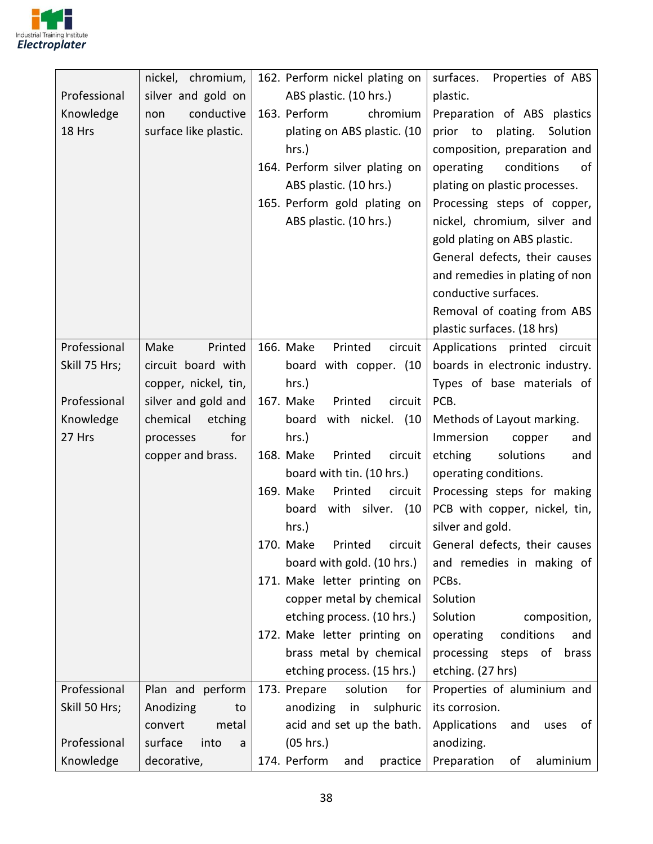

|               | nickel, chromium,     | 162. Perform nickel plating on                          | surfaces. Properties of ABS       |
|---------------|-----------------------|---------------------------------------------------------|-----------------------------------|
| Professional  | silver and gold on    | ABS plastic. (10 hrs.)                                  | plastic.                          |
| Knowledge     | conductive<br>non     | 163. Perform<br>chromium                                | Preparation of ABS plastics       |
| 18 Hrs        | surface like plastic. | plating on ABS plastic. (10                             | prior to<br>plating.<br>Solution  |
|               |                       | hrs.)                                                   | composition, preparation and      |
|               |                       | 164. Perform silver plating on                          | operating<br>conditions<br>of     |
|               |                       | ABS plastic. (10 hrs.)                                  | plating on plastic processes.     |
|               |                       | 165. Perform gold plating on                            | Processing steps of copper,       |
|               |                       | ABS plastic. (10 hrs.)                                  | nickel, chromium, silver and      |
|               |                       |                                                         | gold plating on ABS plastic.      |
|               |                       |                                                         | General defects, their causes     |
|               |                       |                                                         | and remedies in plating of non    |
|               |                       |                                                         | conductive surfaces.              |
|               |                       |                                                         | Removal of coating from ABS       |
|               |                       |                                                         | plastic surfaces. (18 hrs)        |
| Professional  | Make<br>Printed       | 166. Make<br>Printed<br>circuit                         | Applications printed circuit      |
| Skill 75 Hrs; | circuit board with    | board with copper. (10                                  | boards in electronic industry.    |
|               | copper, nickel, tin,  | hrs.)                                                   | Types of base materials of        |
| Professional  | silver and gold and   | 167. Make<br>Printed<br>circuit                         | PCB.                              |
| Knowledge     | chemical<br>etching   | with nickel. (10<br>board                               | Methods of Layout marking.        |
| 27 Hrs        | for<br>processes      | $hrs.$ )                                                | Immersion<br>and<br>copper        |
|               | copper and brass.     | 168. Make<br>Printed<br>circuit                         | etching<br>solutions<br>and       |
|               |                       | board with tin. (10 hrs.)                               | operating conditions.             |
|               |                       | 169. Make<br>Printed<br>circuit                         | Processing steps for making       |
|               |                       | with silver. (10<br>board                               | PCB with copper, nickel, tin,     |
|               |                       | $hrs.$ )                                                | silver and gold.                  |
|               |                       | 170. Make Printed circuit General defects, their causes |                                   |
|               |                       | board with gold. (10 hrs.)                              | and remedies in making of         |
|               |                       | 171. Make letter printing on                            | PCBs.                             |
|               |                       | copper metal by chemical                                | Solution                          |
|               |                       | etching process. (10 hrs.)                              | Solution<br>composition,          |
|               |                       | 172. Make letter printing on                            | operating<br>conditions<br>and    |
|               |                       | brass metal by chemical                                 | processing steps of<br>brass      |
|               |                       | etching process. (15 hrs.)                              | etching. (27 hrs)                 |
| Professional  | Plan and perform      | 173. Prepare<br>solution<br>for                         | Properties of aluminium and       |
| Skill 50 Hrs; | Anodizing<br>to       | sulphuric<br>anodizing<br>in                            | its corrosion.                    |
|               | convert<br>metal      | acid and set up the bath.                               | Applications<br>and<br>uses<br>of |
| Professional  | surface<br>into<br>a  | (05 hrs.)                                               | anodizing.                        |
| Knowledge     | decorative,           | 174. Perform<br>practice<br>and                         | Preparation<br>aluminium<br>of    |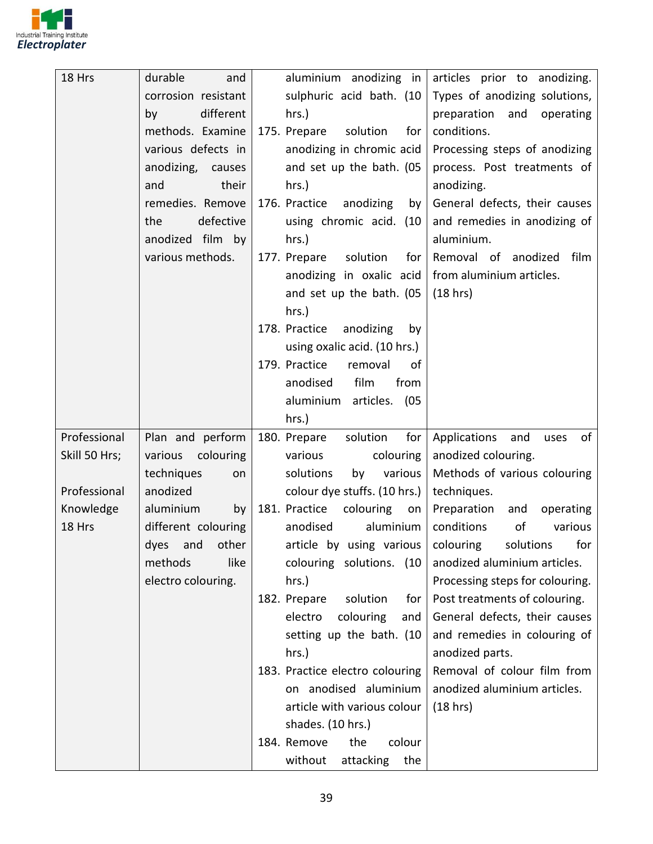

| 18 Hrs        | durable<br>and      | aluminium anodizing in                                      | articles prior to anodizing.      |
|---------------|---------------------|-------------------------------------------------------------|-----------------------------------|
|               | corrosion resistant | sulphuric acid bath. (10                                    | Types of anodizing solutions,     |
|               | different<br>by     | $hrs.$ )                                                    | preparation<br>and<br>operating   |
|               | methods. Examine    | 175. Prepare<br>solution<br>for                             | conditions.                       |
|               | various defects in  | anodizing in chromic acid                                   | Processing steps of anodizing     |
|               | anodizing, causes   | and set up the bath. (05                                    | process. Post treatments of       |
|               | and<br>their        | $hrs.$ )                                                    | anodizing.                        |
|               | remedies. Remove    | 176. Practice<br>anodizing<br>by                            | General defects, their causes     |
|               | defective<br>the    | using chromic acid. (10                                     | and remedies in anodizing of      |
|               | anodized film by    | $hrs.$ )                                                    | aluminium.                        |
|               | various methods.    | 177. Prepare<br>solution<br>for                             | Removal of anodized<br>film       |
|               |                     | anodizing in oxalic acid                                    | from aluminium articles.          |
|               |                     | and set up the bath. (05                                    | (18 hrs)                          |
|               |                     | $hrs.$ )                                                    |                                   |
|               |                     | 178. Practice<br>anodizing<br>by                            |                                   |
|               |                     | using oxalic acid. (10 hrs.)                                |                                   |
|               |                     | 179. Practice<br>removal<br>0f                              |                                   |
|               |                     | anodised<br>film<br>from                                    |                                   |
|               |                     | aluminium articles. (05                                     |                                   |
|               |                     | $hrs.$ )                                                    |                                   |
| Professional  | Plan and perform    | 180. Prepare<br>for<br>solution                             | Applications<br>and<br>of<br>uses |
| Skill 50 Hrs; | various colouring   | various<br>colouring                                        | anodized colouring.               |
|               | techniques<br>on    | solutions<br>various<br>by                                  | Methods of various colouring      |
| Professional  | anodized            | colour dye stuffs. (10 hrs.)                                | techniques.                       |
| Knowledge     | aluminium<br>by     | 181. Practice<br>colouring<br>on                            | Preparation<br>operating<br>and   |
| 18 Hrs        | different colouring | anodised<br>aluminium                                       | conditions<br>of<br>various       |
|               | dyes and other      | article by using various   colouring solutions              | for                               |
|               | methods<br>like     | colouring solutions. (10                                    | anodized aluminium articles.      |
|               | electro colouring.  | hrs.)                                                       | Processing steps for colouring.   |
|               |                     | 182. Prepare<br>solution<br>for                             | Post treatments of colouring.     |
|               |                     | electro<br>colouring<br>and                                 | General defects, their causes     |
|               |                     | setting up the bath. (10                                    | and remedies in colouring of      |
|               |                     | hrs.)                                                       | anodized parts.                   |
|               |                     | 183. Practice electro colouring                             | Removal of colour film from       |
|               |                     | on anodised aluminium                                       | anodized aluminium articles.      |
|               |                     | article with various colour                                 | (18 hrs)                          |
|               |                     | shades. (10 hrs.)                                           |                                   |
|               |                     |                                                             |                                   |
|               |                     | 184. Remove<br>the<br>colour<br>without<br>attacking<br>the |                                   |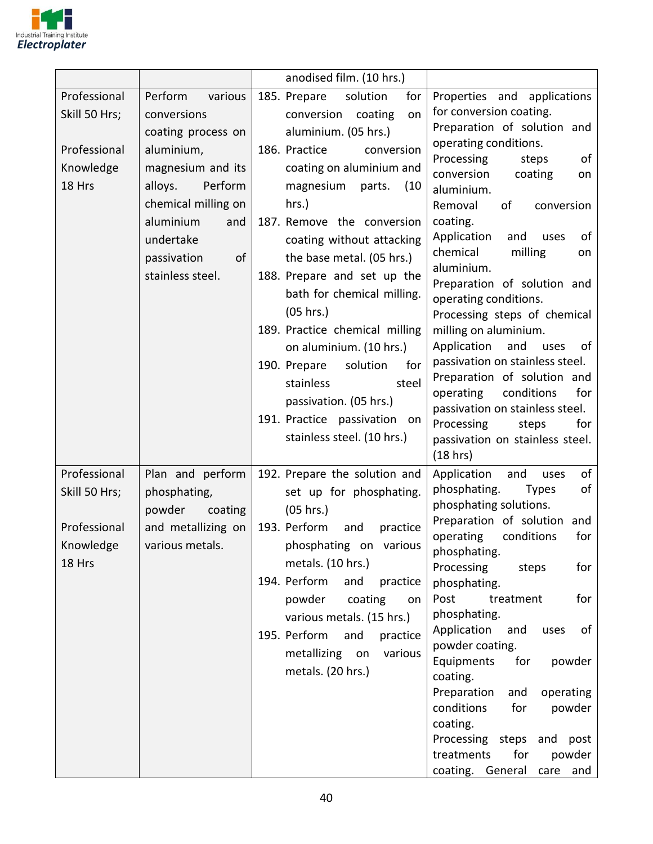

|                                                                      |                                                                                                                                                                                                                   | anodised film. (10 hrs.)                                                                                                                                                                                                                                                                                                                      |                                                                                                                                                                                                                                                                                                                                                                                                                                                                                                                                                      |
|----------------------------------------------------------------------|-------------------------------------------------------------------------------------------------------------------------------------------------------------------------------------------------------------------|-----------------------------------------------------------------------------------------------------------------------------------------------------------------------------------------------------------------------------------------------------------------------------------------------------------------------------------------------|------------------------------------------------------------------------------------------------------------------------------------------------------------------------------------------------------------------------------------------------------------------------------------------------------------------------------------------------------------------------------------------------------------------------------------------------------------------------------------------------------------------------------------------------------|
| Professional<br>Skill 50 Hrs;<br>Professional<br>Knowledge<br>18 Hrs | Perform<br>various<br>conversions<br>coating process on<br>aluminium,<br>magnesium and its<br>alloys.<br>Perform<br>chemical milling on<br>aluminium<br>and<br>undertake<br>passivation<br>οf<br>stainless steel. | 185. Prepare<br>solution<br>for<br>conversion<br>coating<br>on<br>aluminium. (05 hrs.)<br>186. Practice<br>conversion<br>coating on aluminium and<br>magnesium<br>parts.<br>(10<br>hrs.)<br>187. Remove the conversion<br>coating without attacking<br>the base metal. (05 hrs.)<br>188. Prepare and set up the<br>bath for chemical milling. | Properties and applications<br>for conversion coating.<br>Preparation of solution and<br>operating conditions.<br>Processing<br>steps<br>of<br>conversion<br>coating<br>on<br>aluminium.<br>Removal<br>of<br>conversion<br>coating.<br>Application<br>and<br>of<br>uses<br>chemical<br>milling<br>on<br>aluminium.<br>Preparation of solution and<br>operating conditions.                                                                                                                                                                           |
|                                                                      |                                                                                                                                                                                                                   | (05 hrs.)<br>189. Practice chemical milling<br>on aluminium. (10 hrs.)<br>190. Prepare<br>solution<br>for<br>stainless<br>steel<br>passivation. (05 hrs.)<br>191. Practice passivation<br>on<br>stainless steel. (10 hrs.)                                                                                                                    | Processing steps of chemical<br>milling on aluminium.<br>Application<br>and<br>uses<br>of<br>passivation on stainless steel.<br>Preparation of solution and<br>operating<br>conditions<br>for<br>passivation on stainless steel.<br>Processing<br>steps<br>for<br>passivation on stainless steel.<br>(18 hrs)                                                                                                                                                                                                                                        |
| Professional<br>Skill 50 Hrs;<br>Professional<br>Knowledge<br>18 Hrs | Plan and perform<br>phosphating,<br>powder<br>coating<br>and metallizing on<br>various metals.                                                                                                                    | 192. Prepare the solution and<br>set up for phosphating.<br>$(05$ hrs.)<br>193. Perform<br>and<br>practice<br>phosphating on various<br>metals. (10 hrs.)<br>194. Perform<br>and<br>practice<br>powder<br>coating<br>on<br>various metals. (15 hrs.)<br>195. Perform<br>and<br>practice<br>metallizing on<br>various<br>metals. (20 hrs.)     | Application<br>and<br>of<br>uses<br>phosphating.<br>of<br><b>Types</b><br>phosphating solutions.<br>Preparation of solution and<br>for<br>operating<br>conditions<br>phosphating.<br>Processing<br>for<br>steps<br>phosphating.<br>Post<br>for<br>treatment<br>phosphating.<br>Application<br>and<br>uses<br>of<br>powder coating.<br>Equipments<br>for<br>powder<br>coating.<br>Preparation<br>and<br>operating<br>conditions<br>for<br>powder<br>coating.<br>Processing steps and post<br>treatments<br>for<br>powder<br>coating. General care and |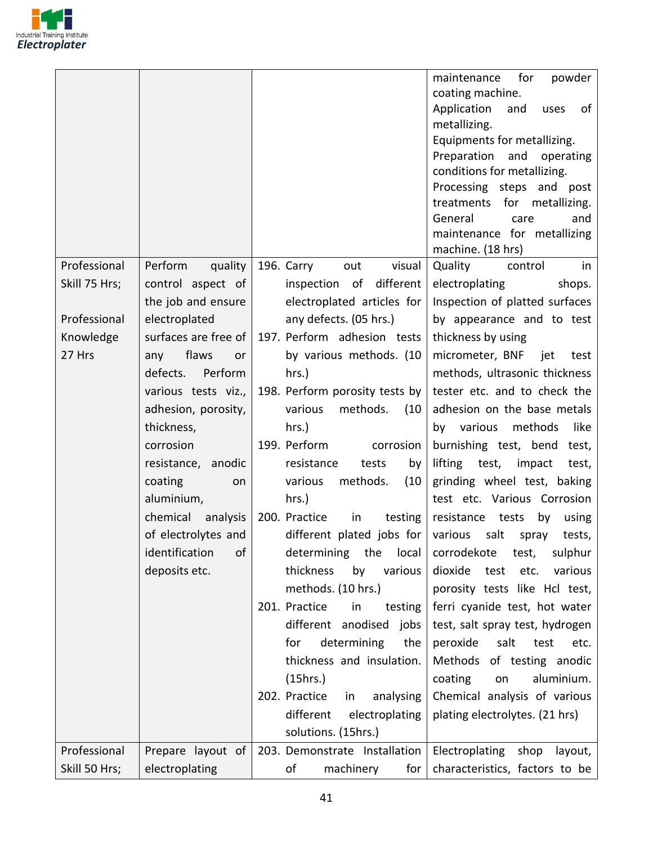

| coating machine.<br>Application<br>of<br>and<br>uses<br>metallizing.<br>Equipments for metallizing.<br>Preparation<br>and<br>operating<br>conditions for metallizing.<br>Processing steps and post<br>for metallizing.<br>treatments<br>General<br>care<br>and<br>maintenance for metallizing<br>machine. (18 hrs)<br>Professional<br>196. Carry<br>visual<br>Perform<br>quality<br>Quality<br>control<br>in<br>out<br>Skill 75 Hrs;<br>control aspect of<br>different<br>inspection of<br>electroplating<br>shops.<br>the job and ensure<br>electroplated articles for<br>Inspection of platted surfaces<br>Professional<br>electroplated<br>any defects. (05 hrs.)<br>by appearance and to test<br>197. Perform adhesion tests<br>surfaces are free of<br>thickness by using<br>Knowledge<br>27 Hrs<br>flaws<br>by various methods. (10<br>micrometer, BNF<br>iet i<br>any<br>test<br><u>or</u><br>defects.<br>Perform<br>methods, ultrasonic thickness<br>hrs.)<br>198. Perform porosity tests by<br>tester etc. and to check the<br>various tests viz.,<br>various<br>methods.<br>adhesion on the base metals<br>adhesion, porosity,<br>(10)<br>thickness,<br>methods<br>like<br>$hrs.$ )<br>by various<br>199. Perform<br>burnishing test, bend test,<br>corrosion<br>corrosion<br>lifting test,<br>resistance, anodic<br>resistance<br>impact<br>tests<br>test,<br>by<br>methods.<br>grinding wheel test, baking<br>coating<br>various<br>(10)<br>on<br>test etc. Various Corrosion<br>aluminium,<br>hrs.)<br>chemical<br>200. Practice<br>analysis<br>in<br>testing<br>resistance<br>tests<br>by<br>using<br>of electrolytes and<br>different plated jobs for<br>various<br>salt<br>tests,<br>spray<br>identification<br>determining<br>local<br>of<br>the<br>corrodekote<br>sulphur<br>test,<br>thickness<br>deposits etc.<br>by<br>various<br>dioxide<br>various<br>test<br>etc.<br>methods. (10 hrs.)<br>porosity tests like Hcl test,<br>201. Practice<br>ferri cyanide test, hot water<br>in<br>testing<br>different anodised<br>test, salt spray test, hydrogen<br>jobs<br>determining<br>salt<br>for<br>peroxide<br>test<br>the<br>etc.<br>thickness and insulation.<br>Methods of testing anodic<br>aluminium.<br>(15hrs.)<br>coating<br>on<br>202. Practice<br>Chemical analysis of various<br>analysing<br>in<br>different<br>electroplating<br>plating electrolytes. (21 hrs)<br>solutions. (15hrs.)<br>Professional<br>Prepare layout of<br>203. Demonstrate Installation<br>Electroplating shop<br>layout, |               |                |                        | for<br>maintenance<br>powder   |
|--------------------------------------------------------------------------------------------------------------------------------------------------------------------------------------------------------------------------------------------------------------------------------------------------------------------------------------------------------------------------------------------------------------------------------------------------------------------------------------------------------------------------------------------------------------------------------------------------------------------------------------------------------------------------------------------------------------------------------------------------------------------------------------------------------------------------------------------------------------------------------------------------------------------------------------------------------------------------------------------------------------------------------------------------------------------------------------------------------------------------------------------------------------------------------------------------------------------------------------------------------------------------------------------------------------------------------------------------------------------------------------------------------------------------------------------------------------------------------------------------------------------------------------------------------------------------------------------------------------------------------------------------------------------------------------------------------------------------------------------------------------------------------------------------------------------------------------------------------------------------------------------------------------------------------------------------------------------------------------------------------------------------------------------------------------------------------------------------------------------------------------------------------------------------------------------------------------------------------------------------------------------------------------------------------------------------------------------------------------------------------------------------------------------------------------------------------------------------------------------------------------------------------|---------------|----------------|------------------------|--------------------------------|
|                                                                                                                                                                                                                                                                                                                                                                                                                                                                                                                                                                                                                                                                                                                                                                                                                                                                                                                                                                                                                                                                                                                                                                                                                                                                                                                                                                                                                                                                                                                                                                                                                                                                                                                                                                                                                                                                                                                                                                                                                                                                                                                                                                                                                                                                                                                                                                                                                                                                                                                                |               |                |                        |                                |
|                                                                                                                                                                                                                                                                                                                                                                                                                                                                                                                                                                                                                                                                                                                                                                                                                                                                                                                                                                                                                                                                                                                                                                                                                                                                                                                                                                                                                                                                                                                                                                                                                                                                                                                                                                                                                                                                                                                                                                                                                                                                                                                                                                                                                                                                                                                                                                                                                                                                                                                                |               |                |                        |                                |
|                                                                                                                                                                                                                                                                                                                                                                                                                                                                                                                                                                                                                                                                                                                                                                                                                                                                                                                                                                                                                                                                                                                                                                                                                                                                                                                                                                                                                                                                                                                                                                                                                                                                                                                                                                                                                                                                                                                                                                                                                                                                                                                                                                                                                                                                                                                                                                                                                                                                                                                                |               |                |                        |                                |
|                                                                                                                                                                                                                                                                                                                                                                                                                                                                                                                                                                                                                                                                                                                                                                                                                                                                                                                                                                                                                                                                                                                                                                                                                                                                                                                                                                                                                                                                                                                                                                                                                                                                                                                                                                                                                                                                                                                                                                                                                                                                                                                                                                                                                                                                                                                                                                                                                                                                                                                                |               |                |                        |                                |
|                                                                                                                                                                                                                                                                                                                                                                                                                                                                                                                                                                                                                                                                                                                                                                                                                                                                                                                                                                                                                                                                                                                                                                                                                                                                                                                                                                                                                                                                                                                                                                                                                                                                                                                                                                                                                                                                                                                                                                                                                                                                                                                                                                                                                                                                                                                                                                                                                                                                                                                                |               |                |                        |                                |
|                                                                                                                                                                                                                                                                                                                                                                                                                                                                                                                                                                                                                                                                                                                                                                                                                                                                                                                                                                                                                                                                                                                                                                                                                                                                                                                                                                                                                                                                                                                                                                                                                                                                                                                                                                                                                                                                                                                                                                                                                                                                                                                                                                                                                                                                                                                                                                                                                                                                                                                                |               |                |                        |                                |
|                                                                                                                                                                                                                                                                                                                                                                                                                                                                                                                                                                                                                                                                                                                                                                                                                                                                                                                                                                                                                                                                                                                                                                                                                                                                                                                                                                                                                                                                                                                                                                                                                                                                                                                                                                                                                                                                                                                                                                                                                                                                                                                                                                                                                                                                                                                                                                                                                                                                                                                                |               |                |                        |                                |
|                                                                                                                                                                                                                                                                                                                                                                                                                                                                                                                                                                                                                                                                                                                                                                                                                                                                                                                                                                                                                                                                                                                                                                                                                                                                                                                                                                                                                                                                                                                                                                                                                                                                                                                                                                                                                                                                                                                                                                                                                                                                                                                                                                                                                                                                                                                                                                                                                                                                                                                                |               |                |                        |                                |
|                                                                                                                                                                                                                                                                                                                                                                                                                                                                                                                                                                                                                                                                                                                                                                                                                                                                                                                                                                                                                                                                                                                                                                                                                                                                                                                                                                                                                                                                                                                                                                                                                                                                                                                                                                                                                                                                                                                                                                                                                                                                                                                                                                                                                                                                                                                                                                                                                                                                                                                                |               |                |                        |                                |
|                                                                                                                                                                                                                                                                                                                                                                                                                                                                                                                                                                                                                                                                                                                                                                                                                                                                                                                                                                                                                                                                                                                                                                                                                                                                                                                                                                                                                                                                                                                                                                                                                                                                                                                                                                                                                                                                                                                                                                                                                                                                                                                                                                                                                                                                                                                                                                                                                                                                                                                                |               |                |                        |                                |
|                                                                                                                                                                                                                                                                                                                                                                                                                                                                                                                                                                                                                                                                                                                                                                                                                                                                                                                                                                                                                                                                                                                                                                                                                                                                                                                                                                                                                                                                                                                                                                                                                                                                                                                                                                                                                                                                                                                                                                                                                                                                                                                                                                                                                                                                                                                                                                                                                                                                                                                                |               |                |                        |                                |
|                                                                                                                                                                                                                                                                                                                                                                                                                                                                                                                                                                                                                                                                                                                                                                                                                                                                                                                                                                                                                                                                                                                                                                                                                                                                                                                                                                                                                                                                                                                                                                                                                                                                                                                                                                                                                                                                                                                                                                                                                                                                                                                                                                                                                                                                                                                                                                                                                                                                                                                                |               |                |                        |                                |
|                                                                                                                                                                                                                                                                                                                                                                                                                                                                                                                                                                                                                                                                                                                                                                                                                                                                                                                                                                                                                                                                                                                                                                                                                                                                                                                                                                                                                                                                                                                                                                                                                                                                                                                                                                                                                                                                                                                                                                                                                                                                                                                                                                                                                                                                                                                                                                                                                                                                                                                                |               |                |                        |                                |
|                                                                                                                                                                                                                                                                                                                                                                                                                                                                                                                                                                                                                                                                                                                                                                                                                                                                                                                                                                                                                                                                                                                                                                                                                                                                                                                                                                                                                                                                                                                                                                                                                                                                                                                                                                                                                                                                                                                                                                                                                                                                                                                                                                                                                                                                                                                                                                                                                                                                                                                                |               |                |                        |                                |
|                                                                                                                                                                                                                                                                                                                                                                                                                                                                                                                                                                                                                                                                                                                                                                                                                                                                                                                                                                                                                                                                                                                                                                                                                                                                                                                                                                                                                                                                                                                                                                                                                                                                                                                                                                                                                                                                                                                                                                                                                                                                                                                                                                                                                                                                                                                                                                                                                                                                                                                                |               |                |                        |                                |
|                                                                                                                                                                                                                                                                                                                                                                                                                                                                                                                                                                                                                                                                                                                                                                                                                                                                                                                                                                                                                                                                                                                                                                                                                                                                                                                                                                                                                                                                                                                                                                                                                                                                                                                                                                                                                                                                                                                                                                                                                                                                                                                                                                                                                                                                                                                                                                                                                                                                                                                                |               |                |                        |                                |
|                                                                                                                                                                                                                                                                                                                                                                                                                                                                                                                                                                                                                                                                                                                                                                                                                                                                                                                                                                                                                                                                                                                                                                                                                                                                                                                                                                                                                                                                                                                                                                                                                                                                                                                                                                                                                                                                                                                                                                                                                                                                                                                                                                                                                                                                                                                                                                                                                                                                                                                                |               |                |                        |                                |
|                                                                                                                                                                                                                                                                                                                                                                                                                                                                                                                                                                                                                                                                                                                                                                                                                                                                                                                                                                                                                                                                                                                                                                                                                                                                                                                                                                                                                                                                                                                                                                                                                                                                                                                                                                                                                                                                                                                                                                                                                                                                                                                                                                                                                                                                                                                                                                                                                                                                                                                                |               |                |                        |                                |
|                                                                                                                                                                                                                                                                                                                                                                                                                                                                                                                                                                                                                                                                                                                                                                                                                                                                                                                                                                                                                                                                                                                                                                                                                                                                                                                                                                                                                                                                                                                                                                                                                                                                                                                                                                                                                                                                                                                                                                                                                                                                                                                                                                                                                                                                                                                                                                                                                                                                                                                                |               |                |                        |                                |
|                                                                                                                                                                                                                                                                                                                                                                                                                                                                                                                                                                                                                                                                                                                                                                                                                                                                                                                                                                                                                                                                                                                                                                                                                                                                                                                                                                                                                                                                                                                                                                                                                                                                                                                                                                                                                                                                                                                                                                                                                                                                                                                                                                                                                                                                                                                                                                                                                                                                                                                                |               |                |                        |                                |
|                                                                                                                                                                                                                                                                                                                                                                                                                                                                                                                                                                                                                                                                                                                                                                                                                                                                                                                                                                                                                                                                                                                                                                                                                                                                                                                                                                                                                                                                                                                                                                                                                                                                                                                                                                                                                                                                                                                                                                                                                                                                                                                                                                                                                                                                                                                                                                                                                                                                                                                                |               |                |                        |                                |
|                                                                                                                                                                                                                                                                                                                                                                                                                                                                                                                                                                                                                                                                                                                                                                                                                                                                                                                                                                                                                                                                                                                                                                                                                                                                                                                                                                                                                                                                                                                                                                                                                                                                                                                                                                                                                                                                                                                                                                                                                                                                                                                                                                                                                                                                                                                                                                                                                                                                                                                                |               |                |                        |                                |
|                                                                                                                                                                                                                                                                                                                                                                                                                                                                                                                                                                                                                                                                                                                                                                                                                                                                                                                                                                                                                                                                                                                                                                                                                                                                                                                                                                                                                                                                                                                                                                                                                                                                                                                                                                                                                                                                                                                                                                                                                                                                                                                                                                                                                                                                                                                                                                                                                                                                                                                                |               |                |                        |                                |
|                                                                                                                                                                                                                                                                                                                                                                                                                                                                                                                                                                                                                                                                                                                                                                                                                                                                                                                                                                                                                                                                                                                                                                                                                                                                                                                                                                                                                                                                                                                                                                                                                                                                                                                                                                                                                                                                                                                                                                                                                                                                                                                                                                                                                                                                                                                                                                                                                                                                                                                                |               |                |                        |                                |
|                                                                                                                                                                                                                                                                                                                                                                                                                                                                                                                                                                                                                                                                                                                                                                                                                                                                                                                                                                                                                                                                                                                                                                                                                                                                                                                                                                                                                                                                                                                                                                                                                                                                                                                                                                                                                                                                                                                                                                                                                                                                                                                                                                                                                                                                                                                                                                                                                                                                                                                                |               |                |                        |                                |
|                                                                                                                                                                                                                                                                                                                                                                                                                                                                                                                                                                                                                                                                                                                                                                                                                                                                                                                                                                                                                                                                                                                                                                                                                                                                                                                                                                                                                                                                                                                                                                                                                                                                                                                                                                                                                                                                                                                                                                                                                                                                                                                                                                                                                                                                                                                                                                                                                                                                                                                                |               |                |                        |                                |
|                                                                                                                                                                                                                                                                                                                                                                                                                                                                                                                                                                                                                                                                                                                                                                                                                                                                                                                                                                                                                                                                                                                                                                                                                                                                                                                                                                                                                                                                                                                                                                                                                                                                                                                                                                                                                                                                                                                                                                                                                                                                                                                                                                                                                                                                                                                                                                                                                                                                                                                                |               |                |                        |                                |
|                                                                                                                                                                                                                                                                                                                                                                                                                                                                                                                                                                                                                                                                                                                                                                                                                                                                                                                                                                                                                                                                                                                                                                                                                                                                                                                                                                                                                                                                                                                                                                                                                                                                                                                                                                                                                                                                                                                                                                                                                                                                                                                                                                                                                                                                                                                                                                                                                                                                                                                                |               |                |                        |                                |
|                                                                                                                                                                                                                                                                                                                                                                                                                                                                                                                                                                                                                                                                                                                                                                                                                                                                                                                                                                                                                                                                                                                                                                                                                                                                                                                                                                                                                                                                                                                                                                                                                                                                                                                                                                                                                                                                                                                                                                                                                                                                                                                                                                                                                                                                                                                                                                                                                                                                                                                                |               |                |                        |                                |
|                                                                                                                                                                                                                                                                                                                                                                                                                                                                                                                                                                                                                                                                                                                                                                                                                                                                                                                                                                                                                                                                                                                                                                                                                                                                                                                                                                                                                                                                                                                                                                                                                                                                                                                                                                                                                                                                                                                                                                                                                                                                                                                                                                                                                                                                                                                                                                                                                                                                                                                                |               |                |                        |                                |
|                                                                                                                                                                                                                                                                                                                                                                                                                                                                                                                                                                                                                                                                                                                                                                                                                                                                                                                                                                                                                                                                                                                                                                                                                                                                                                                                                                                                                                                                                                                                                                                                                                                                                                                                                                                                                                                                                                                                                                                                                                                                                                                                                                                                                                                                                                                                                                                                                                                                                                                                |               |                |                        |                                |
|                                                                                                                                                                                                                                                                                                                                                                                                                                                                                                                                                                                                                                                                                                                                                                                                                                                                                                                                                                                                                                                                                                                                                                                                                                                                                                                                                                                                                                                                                                                                                                                                                                                                                                                                                                                                                                                                                                                                                                                                                                                                                                                                                                                                                                                                                                                                                                                                                                                                                                                                |               |                |                        |                                |
|                                                                                                                                                                                                                                                                                                                                                                                                                                                                                                                                                                                                                                                                                                                                                                                                                                                                                                                                                                                                                                                                                                                                                                                                                                                                                                                                                                                                                                                                                                                                                                                                                                                                                                                                                                                                                                                                                                                                                                                                                                                                                                                                                                                                                                                                                                                                                                                                                                                                                                                                |               |                |                        |                                |
|                                                                                                                                                                                                                                                                                                                                                                                                                                                                                                                                                                                                                                                                                                                                                                                                                                                                                                                                                                                                                                                                                                                                                                                                                                                                                                                                                                                                                                                                                                                                                                                                                                                                                                                                                                                                                                                                                                                                                                                                                                                                                                                                                                                                                                                                                                                                                                                                                                                                                                                                |               |                |                        |                                |
|                                                                                                                                                                                                                                                                                                                                                                                                                                                                                                                                                                                                                                                                                                                                                                                                                                                                                                                                                                                                                                                                                                                                                                                                                                                                                                                                                                                                                                                                                                                                                                                                                                                                                                                                                                                                                                                                                                                                                                                                                                                                                                                                                                                                                                                                                                                                                                                                                                                                                                                                |               |                |                        |                                |
|                                                                                                                                                                                                                                                                                                                                                                                                                                                                                                                                                                                                                                                                                                                                                                                                                                                                                                                                                                                                                                                                                                                                                                                                                                                                                                                                                                                                                                                                                                                                                                                                                                                                                                                                                                                                                                                                                                                                                                                                                                                                                                                                                                                                                                                                                                                                                                                                                                                                                                                                |               |                |                        |                                |
|                                                                                                                                                                                                                                                                                                                                                                                                                                                                                                                                                                                                                                                                                                                                                                                                                                                                                                                                                                                                                                                                                                                                                                                                                                                                                                                                                                                                                                                                                                                                                                                                                                                                                                                                                                                                                                                                                                                                                                                                                                                                                                                                                                                                                                                                                                                                                                                                                                                                                                                                |               |                |                        |                                |
|                                                                                                                                                                                                                                                                                                                                                                                                                                                                                                                                                                                                                                                                                                                                                                                                                                                                                                                                                                                                                                                                                                                                                                                                                                                                                                                                                                                                                                                                                                                                                                                                                                                                                                                                                                                                                                                                                                                                                                                                                                                                                                                                                                                                                                                                                                                                                                                                                                                                                                                                |               |                |                        |                                |
|                                                                                                                                                                                                                                                                                                                                                                                                                                                                                                                                                                                                                                                                                                                                                                                                                                                                                                                                                                                                                                                                                                                                                                                                                                                                                                                                                                                                                                                                                                                                                                                                                                                                                                                                                                                                                                                                                                                                                                                                                                                                                                                                                                                                                                                                                                                                                                                                                                                                                                                                | Skill 50 Hrs; | electroplating | of<br>machinery<br>for | characteristics, factors to be |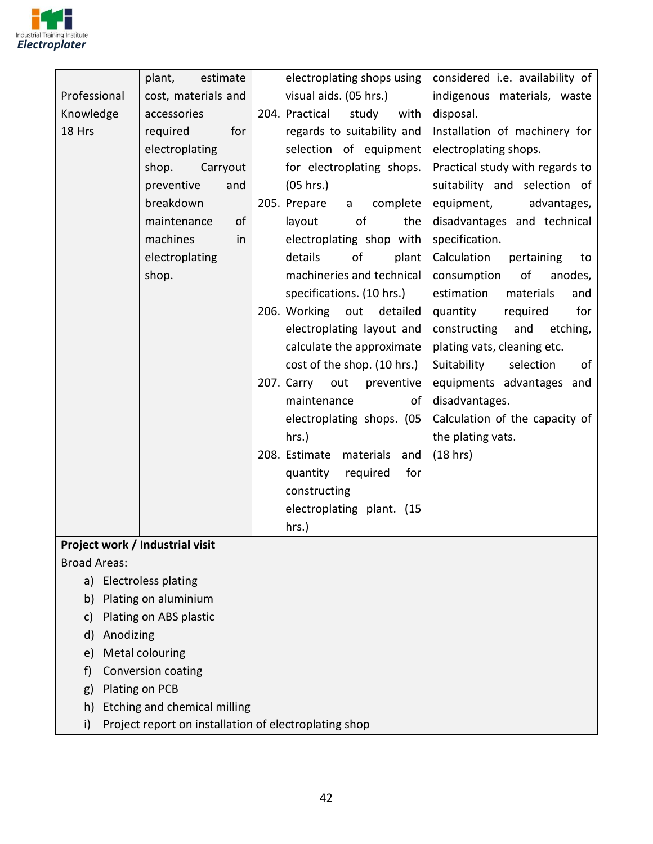

|              | plant,<br>estimate  | electroplating shops using        | considered i.e. availability of |
|--------------|---------------------|-----------------------------------|---------------------------------|
| Professional | cost, materials and | visual aids. (05 hrs.)            | indigenous materials, waste     |
| Knowledge    | accessories         | 204. Practical<br>study<br>with   | disposal.                       |
| 18 Hrs       | required<br>for     | regards to suitability and        | Installation of machinery for   |
|              | electroplating      | selection of equipment            | electroplating shops.           |
|              | shop.<br>Carryout   | for electroplating shops.         | Practical study with regards to |
|              | preventive<br>and   | (05 hrs.)                         | suitability and selection of    |
|              | breakdown           | 205. Prepare<br>complete<br>a     | equipment,<br>advantages,       |
|              | of<br>maintenance   | of<br>layout<br>the               | disadvantages and technical     |
|              | machines<br>in      | electroplating shop with          | specification.                  |
|              | electroplating      | of<br>details<br>plant            | Calculation<br>pertaining<br>to |
|              | shop.               | machineries and technical         | of<br>consumption<br>anodes,    |
|              |                     | specifications. (10 hrs.)         | estimation<br>materials<br>and  |
|              |                     | 206. Working<br>out<br>detailed   | for<br>quantity<br>required     |
|              |                     | electroplating layout and         | constructing<br>and<br>etching, |
|              |                     | calculate the approximate         | plating vats, cleaning etc.     |
|              |                     | cost of the shop. (10 hrs.)       | Suitability<br>selection<br>of  |
|              |                     | 207. Carry out<br>preventive      | equipments advantages and       |
|              |                     | maintenance<br>of                 | disadvantages.                  |
|              |                     | electroplating shops. (05         | Calculation of the capacity of  |
|              |                     | $hrs.$ )                          | the plating vats.               |
|              |                     | 208. Estimate<br>materials<br>and | (18 hr)                         |
|              |                     | for<br>quantity<br>required       |                                 |
|              |                     | constructing                      |                                 |
|              |                     | electroplating plant. (15         |                                 |
|              |                     | hrs.)                             |                                 |

#### **Project work / Industrial visit**

Broad Areas:

- a) Electroless plating
- b) Plating on aluminium
- c) Plating on ABS plastic
- d) Anodizing
- e) Metal colouring
- f) Conversion coating
- g) Plating on PCB
- h) Etching and chemical milling
- i) Project report on installation of electroplating shop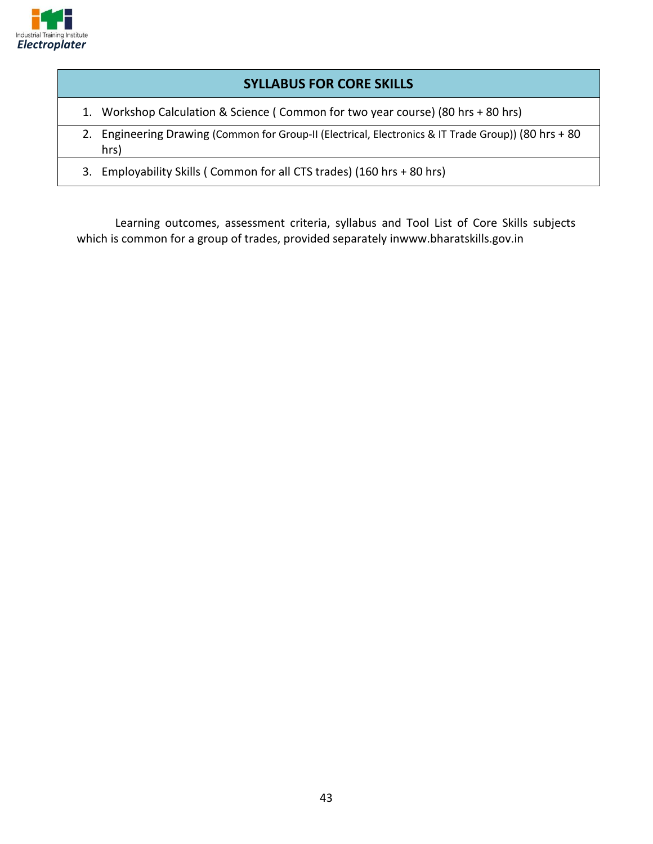

#### **SYLLABUS FOR CORE SKILLS**

- 1. Workshop Calculation & Science ( Common for two year course) (80 hrs + 80 hrs)
- 2. Engineering Drawing (Common for Group-II (Electrical, Electronics & IT Trade Group)) (80 hrs + 80 hrs)
- 3. Employability Skills ( Common for all CTS trades) (160 hrs + 80 hrs)

Learning outcomes, assessment criteria, syllabus and Tool List of Core Skills subjects which is common for a group of trades, provided separately inwww.bharatskills.gov.in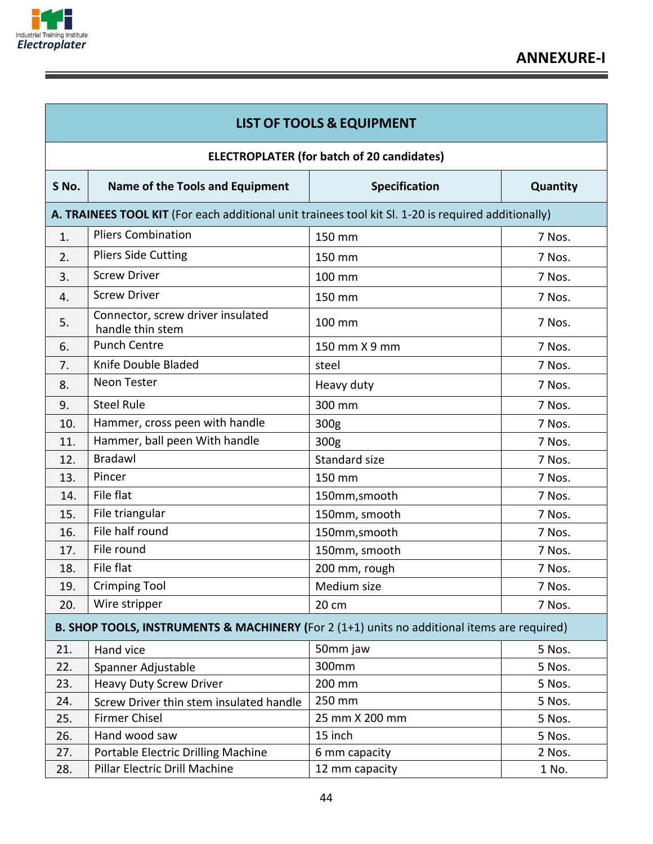

|       |                                                                                                     | <b>LIST OF TOOLS &amp; EQUIPMENT</b>              |          |
|-------|-----------------------------------------------------------------------------------------------------|---------------------------------------------------|----------|
|       |                                                                                                     | <b>ELECTROPLATER (for batch of 20 candidates)</b> |          |
| S No. | Name of the Tools and Equipment                                                                     | <b>Specification</b>                              | Quantity |
|       | A. TRAINEES TOOL KIT (For each additional unit trainees tool kit SI. 1-20 is required additionally) |                                                   |          |
| 1.    | <b>Pliers Combination</b>                                                                           | 150 mm                                            | 7 Nos.   |
| 2.    | <b>Pliers Side Cutting</b>                                                                          | 150 mm                                            | 7 Nos.   |
| 3.    | <b>Screw Driver</b>                                                                                 | 100 mm                                            | 7 Nos.   |
| 4.    | <b>Screw Driver</b>                                                                                 | 150 mm                                            | 7 Nos.   |
| 5.    | Connector, screw driver insulated<br>handle thin stem                                               | 100 mm                                            | 7 Nos.   |
| 6.    | <b>Punch Centre</b>                                                                                 | 150 mm X 9 mm                                     | 7 Nos.   |
| 7.    | Knife Double Bladed                                                                                 | steel                                             | 7 Nos.   |
| 8.    | <b>Neon Tester</b>                                                                                  | Heavy duty                                        | 7 Nos.   |
| 9.    | <b>Steel Rule</b>                                                                                   | 300 mm                                            | 7 Nos.   |
| 10.   | Hammer, cross peen with handle                                                                      | 300g                                              | 7 Nos.   |
| 11.   | Hammer, ball peen With handle                                                                       | 300g                                              | 7 Nos.   |
| 12.   | <b>Bradawl</b>                                                                                      | Standard size                                     | 7 Nos.   |
| 13.   | Pincer                                                                                              | 150 mm                                            | 7 Nos.   |
| 14.   | File flat                                                                                           | 150mm, smooth                                     | 7 Nos.   |
| 15.   | File triangular                                                                                     | 150mm, smooth                                     | 7 Nos.   |
| 16.   | File half round                                                                                     | 150mm, smooth                                     | 7 Nos.   |
| 17.   | File round                                                                                          | 150mm, smooth                                     | 7 Nos.   |
| 18.   | File flat                                                                                           | 200 mm, rough                                     | 7 Nos.   |
| 19.   | Crimping Tool                                                                                       | Medium size                                       | 7 Nos.   |
| 20.   | Wire stripper                                                                                       | 20 cm                                             | 7 Nos.   |
|       | B. SHOP TOOLS, INSTRUMENTS & MACHINERY (For 2 (1+1) units no additional items are required)         |                                                   |          |
| 21.   | Hand vice                                                                                           | 50mm jaw                                          | 5 Nos.   |
| 22.   | Spanner Adjustable                                                                                  | 300mm                                             | 5 Nos.   |
| 23.   | <b>Heavy Duty Screw Driver</b>                                                                      | 200 mm                                            | 5 Nos.   |
| 24.   | Screw Driver thin stem insulated handle                                                             | 250 mm                                            | 5 Nos.   |
| 25.   | <b>Firmer Chisel</b>                                                                                | 25 mm X 200 mm                                    | 5 Nos.   |
| 26.   | Hand wood saw                                                                                       | 15 inch                                           | 5 Nos.   |
| 27.   | Portable Electric Drilling Machine                                                                  | 6 mm capacity                                     | 2 Nos.   |
| 28.   | Pillar Electric Drill Machine                                                                       | 12 mm capacity                                    | 1 No.    |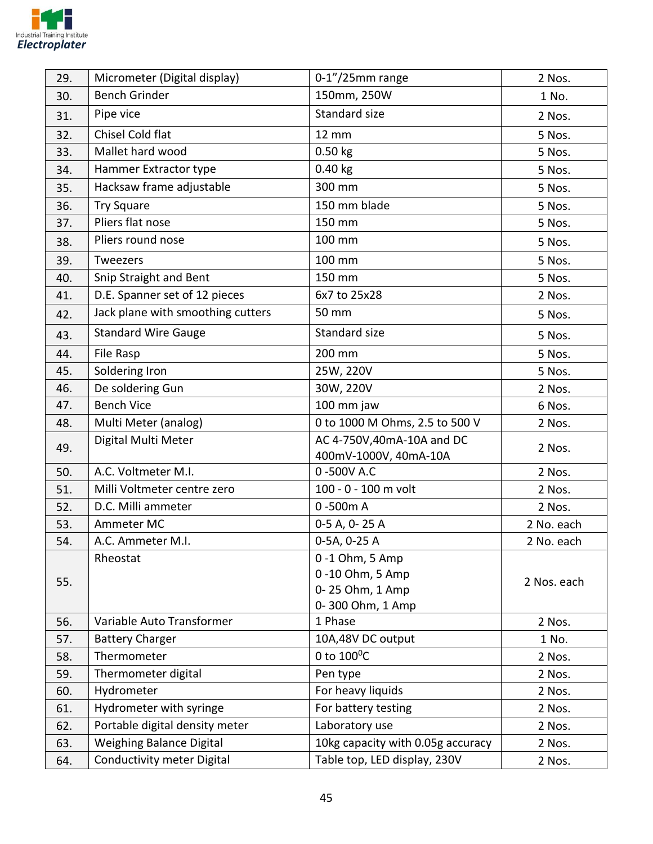

| 29. | Micrometer (Digital display)      | $0-1''/25$ mm range                                    | 2 Nos.      |
|-----|-----------------------------------|--------------------------------------------------------|-------------|
| 30. | <b>Bench Grinder</b>              | 150mm, 250W                                            | 1 No.       |
| 31. | Pipe vice                         | Standard size                                          | 2 Nos.      |
| 32. | Chisel Cold flat                  | <b>12 mm</b>                                           | 5 Nos.      |
| 33. | Mallet hard wood                  | $0.50$ kg                                              | 5 Nos.      |
| 34. | Hammer Extractor type             | $0.40$ kg                                              | 5 Nos.      |
| 35. | Hacksaw frame adjustable          | 300 mm                                                 | 5 Nos.      |
| 36. | <b>Try Square</b>                 | 150 mm blade                                           | 5 Nos.      |
| 37. | Pliers flat nose                  | 150 mm                                                 | 5 Nos.      |
| 38. | Pliers round nose                 | 100 mm                                                 | 5 Nos.      |
| 39. | Tweezers                          | 100 mm                                                 | 5 Nos.      |
| 40. | Snip Straight and Bent            | 150 mm                                                 | 5 Nos.      |
| 41. | D.E. Spanner set of 12 pieces     | 6x7 to 25x28                                           | 2 Nos.      |
| 42. | Jack plane with smoothing cutters | 50 mm                                                  | 5 Nos.      |
| 43. | <b>Standard Wire Gauge</b>        | Standard size                                          | 5 Nos.      |
| 44. | File Rasp                         | 200 mm                                                 | 5 Nos.      |
| 45. | Soldering Iron                    | 25W, 220V                                              | 5 Nos.      |
| 46. | De soldering Gun                  | 30W, 220V                                              | 2 Nos.      |
| 47. | <b>Bench Vice</b>                 | 100 mm jaw                                             | 6 Nos.      |
| 48. | Multi Meter (analog)              | 0 to 1000 M Ohms, 2.5 to 500 V                         | 2 Nos.      |
| 49. | Digital Multi Meter               | AC 4-750V,40mA-10A and DC<br>400mV-1000V, 40mA-10A     | 2 Nos.      |
| 50. | A.C. Voltmeter M.I.               | 0-500V A.C                                             | 2 Nos.      |
| 51. | Milli Voltmeter centre zero       | 100 - 0 - 100 m volt                                   | 2 Nos.      |
| 52. | D.C. Milli ammeter                | 0-500m A                                               | 2 Nos.      |
| 53. | Ammeter MC                        | 0-5 A, 0-25 A                                          | 2 No. each  |
| 54. | A.C. Ammeter M.I.                 | 0-5A, 0-25 A                                           | 2 No. each  |
|     | Rheostat                          | 0-1 Ohm, 5 Amp                                         |             |
| 55. |                                   | 0-10 Ohm, 5 Amp<br>0-25 Ohm, 1 Amp<br>0-300 Ohm, 1 Amp | 2 Nos. each |
| 56. | Variable Auto Transformer         | 1 Phase                                                | 2 Nos.      |
| 57. | <b>Battery Charger</b>            | 10A,48V DC output                                      | 1 No.       |
| 58. | Thermometer                       | 0 to 100°C                                             | 2 Nos.      |
| 59. | Thermometer digital               | Pen type                                               | 2 Nos.      |
| 60. | Hydrometer                        | For heavy liquids                                      | 2 Nos.      |
| 61. | Hydrometer with syringe           | For battery testing                                    | 2 Nos.      |
| 62. | Portable digital density meter    | Laboratory use                                         | 2 Nos.      |
| 63. | <b>Weighing Balance Digital</b>   | 10kg capacity with 0.05g accuracy                      | 2 Nos.      |
| 64. | Conductivity meter Digital        | Table top, LED display, 230V                           | 2 Nos.      |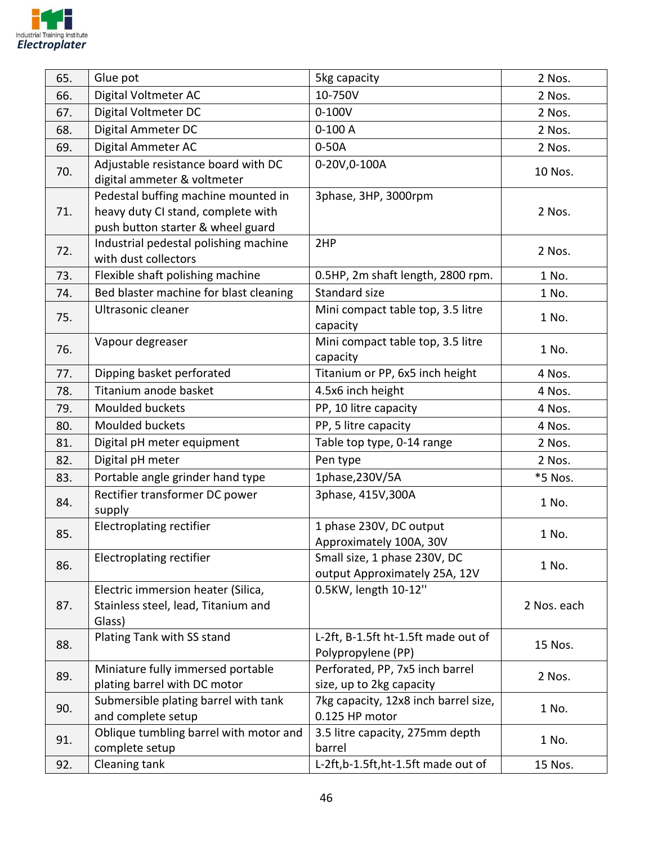

| 65. | Glue pot                                                                                                       | 5kg capacity                                                  | 2 Nos.      |
|-----|----------------------------------------------------------------------------------------------------------------|---------------------------------------------------------------|-------------|
| 66. | Digital Voltmeter AC                                                                                           | 10-750V                                                       | 2 Nos.      |
| 67. | Digital Voltmeter DC                                                                                           | $0 - 100V$                                                    | 2 Nos.      |
| 68. | Digital Ammeter DC                                                                                             | $0-100A$                                                      | 2 Nos.      |
| 69. | Digital Ammeter AC                                                                                             | $0-50A$                                                       | 2 Nos.      |
| 70. | Adjustable resistance board with DC<br>digital ammeter & voltmeter                                             | 0-20V,0-100A                                                  | 10 Nos.     |
| 71. | Pedestal buffing machine mounted in<br>heavy duty CI stand, complete with<br>push button starter & wheel guard | 3phase, 3HP, 3000rpm                                          | 2 Nos.      |
| 72. | Industrial pedestal polishing machine<br>with dust collectors                                                  | 2HP                                                           | 2 Nos.      |
| 73. | Flexible shaft polishing machine                                                                               | 0.5HP, 2m shaft length, 2800 rpm.                             | 1 No.       |
| 74. | Bed blaster machine for blast cleaning                                                                         | Standard size                                                 | 1 No.       |
| 75. | Ultrasonic cleaner                                                                                             | Mini compact table top, 3.5 litre<br>capacity                 | 1 No.       |
| 76. | Vapour degreaser                                                                                               | Mini compact table top, 3.5 litre<br>capacity                 | 1 No.       |
| 77. | Dipping basket perforated                                                                                      | Titanium or PP, 6x5 inch height                               | 4 Nos.      |
| 78. | Titanium anode basket                                                                                          | 4.5x6 inch height                                             | 4 Nos.      |
| 79. | Moulded buckets                                                                                                | PP, 10 litre capacity                                         | 4 Nos.      |
| 80. | Moulded buckets                                                                                                | PP, 5 litre capacity                                          | 4 Nos.      |
| 81. | Digital pH meter equipment                                                                                     | Table top type, 0-14 range                                    | 2 Nos.      |
| 82. | Digital pH meter                                                                                               | Pen type                                                      | 2 Nos.      |
| 83. | Portable angle grinder hand type                                                                               | 1phase, 230V/5A                                               | *5 Nos.     |
| 84. | Rectifier transformer DC power<br>supply                                                                       | 3phase, 415V, 300A                                            | 1 No.       |
| 85. | <b>Electroplating rectifier</b>                                                                                | 1 phase 230V, DC output<br>Approximately 100A, 30V            | 1 No.       |
| 86. | Electroplating rectifier                                                                                       | Small size, 1 phase 230V, DC<br>output Approximately 25A, 12V | 1 No.       |
| 87. | Electric immersion heater (Silica,<br>Stainless steel, lead, Titanium and<br>Glass)                            | 0.5KW, length 10-12"                                          | 2 Nos. each |
| 88. | Plating Tank with SS stand                                                                                     | L-2ft, B-1.5ft ht-1.5ft made out of<br>Polypropylene (PP)     | 15 Nos.     |
| 89. | Miniature fully immersed portable<br>plating barrel with DC motor                                              | Perforated, PP, 7x5 inch barrel<br>size, up to 2kg capacity   | 2 Nos.      |
| 90. | Submersible plating barrel with tank<br>and complete setup                                                     | 7kg capacity, 12x8 inch barrel size,<br>0.125 HP motor        | 1 No.       |
| 91. | Oblique tumbling barrel with motor and<br>complete setup                                                       | 3.5 litre capacity, 275mm depth<br>barrel                     | 1 No.       |
| 92. | Cleaning tank                                                                                                  | L-2ft,b-1.5ft,ht-1.5ft made out of                            | 15 Nos.     |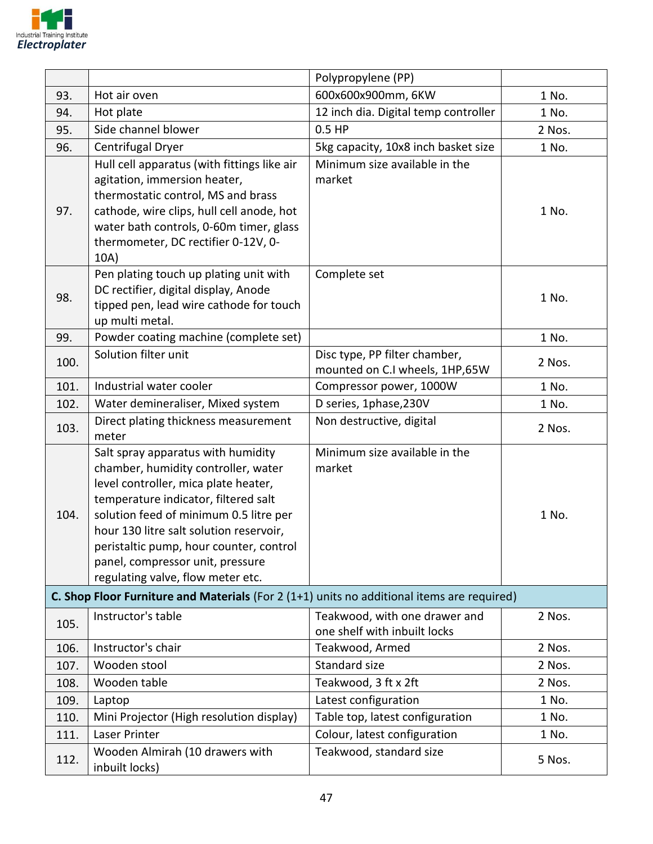

|      |                                                                                                                                                                                                                                                                                                                                                                    | Polypropylene (PP)                                              |        |
|------|--------------------------------------------------------------------------------------------------------------------------------------------------------------------------------------------------------------------------------------------------------------------------------------------------------------------------------------------------------------------|-----------------------------------------------------------------|--------|
| 93.  | Hot air oven                                                                                                                                                                                                                                                                                                                                                       | 600x600x900mm, 6KW                                              | 1 No.  |
| 94.  | Hot plate                                                                                                                                                                                                                                                                                                                                                          | 12 inch dia. Digital temp controller                            | 1 No.  |
| 95.  | Side channel blower                                                                                                                                                                                                                                                                                                                                                | $0.5$ HP                                                        | 2 Nos. |
| 96.  | Centrifugal Dryer                                                                                                                                                                                                                                                                                                                                                  | 5kg capacity, 10x8 inch basket size                             | 1 No.  |
| 97.  | Hull cell apparatus (with fittings like air<br>agitation, immersion heater,<br>thermostatic control, MS and brass<br>cathode, wire clips, hull cell anode, hot<br>water bath controls, 0-60m timer, glass<br>thermometer, DC rectifier 0-12V, 0-<br>10A)                                                                                                           | Minimum size available in the<br>market                         | 1 No.  |
| 98.  | Pen plating touch up plating unit with<br>DC rectifier, digital display, Anode<br>tipped pen, lead wire cathode for touch<br>up multi metal.                                                                                                                                                                                                                       | Complete set                                                    | 1 No.  |
| 99.  | Powder coating machine (complete set)                                                                                                                                                                                                                                                                                                                              |                                                                 | 1 No.  |
| 100. | Solution filter unit                                                                                                                                                                                                                                                                                                                                               | Disc type, PP filter chamber,<br>mounted on C.I wheels, 1HP,65W | 2 Nos. |
| 101. | Industrial water cooler                                                                                                                                                                                                                                                                                                                                            | Compressor power, 1000W                                         | 1 No.  |
| 102. | Water demineraliser, Mixed system                                                                                                                                                                                                                                                                                                                                  | D series, 1phase, 230V                                          | 1 No.  |
| 103. | Direct plating thickness measurement<br>meter                                                                                                                                                                                                                                                                                                                      | Non destructive, digital                                        | 2 Nos. |
| 104. | Salt spray apparatus with humidity<br>chamber, humidity controller, water<br>level controller, mica plate heater,<br>temperature indicator, filtered salt<br>solution feed of minimum 0.5 litre per<br>hour 130 litre salt solution reservoir,<br>peristaltic pump, hour counter, control<br>panel, compressor unit, pressure<br>regulating valve, flow meter etc. | Minimum size available in the<br>market                         | 1 No.  |
|      | C. Shop Floor Furniture and Materials (For 2 (1+1) units no additional items are required)                                                                                                                                                                                                                                                                         |                                                                 |        |
| 105. | Instructor's table                                                                                                                                                                                                                                                                                                                                                 | Teakwood, with one drawer and<br>one shelf with inbuilt locks   | 2 Nos. |
| 106. | Instructor's chair                                                                                                                                                                                                                                                                                                                                                 | Teakwood, Armed                                                 | 2 Nos. |
| 107. | Wooden stool                                                                                                                                                                                                                                                                                                                                                       | Standard size                                                   | 2 Nos. |
| 108. | Wooden table                                                                                                                                                                                                                                                                                                                                                       | Teakwood, 3 ft x 2ft                                            | 2 Nos. |
| 109. | Laptop                                                                                                                                                                                                                                                                                                                                                             | Latest configuration                                            | 1 No.  |
| 110. | Mini Projector (High resolution display)                                                                                                                                                                                                                                                                                                                           | Table top, latest configuration                                 | 1 No.  |
| 111. | Laser Printer                                                                                                                                                                                                                                                                                                                                                      | Colour, latest configuration                                    | 1 No.  |
| 112. | Wooden Almirah (10 drawers with<br>inbuilt locks)                                                                                                                                                                                                                                                                                                                  | Teakwood, standard size                                         | 5 Nos. |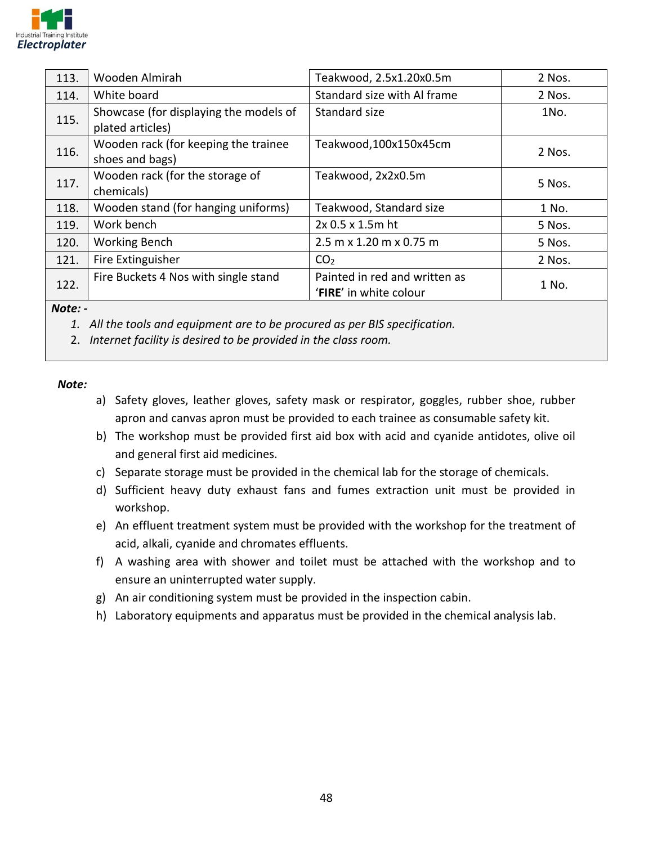

| 113.    | Wooden Almirah                                             | Teakwood, 2.5x1.20x0.5m                                 | 2 Nos. |
|---------|------------------------------------------------------------|---------------------------------------------------------|--------|
| 114.    | White board                                                | Standard size with Al frame                             | 2 Nos. |
| 115.    | Showcase (for displaying the models of<br>plated articles) | Standard size                                           | 1No.   |
| 116.    | Wooden rack (for keeping the trainee<br>shoes and bags)    | Teakwood,100x150x45cm                                   | 2 Nos. |
| 117.    | Wooden rack (for the storage of<br>chemicals)              | Teakwood, 2x2x0.5m                                      | 5 Nos. |
| 118.    | Wooden stand (for hanging uniforms)                        | Teakwood, Standard size                                 | 1 No.  |
| 119.    | Work bench                                                 | 2x 0.5 x 1.5m ht                                        | 5 Nos. |
| 120.    | <b>Working Bench</b>                                       | 2.5 m x 1.20 m x 0.75 m                                 | 5 Nos. |
| 121.    | Fire Extinguisher                                          | CO <sub>2</sub>                                         | 2 Nos. |
| 122.    | Fire Buckets 4 Nos with single stand                       | Painted in red and written as<br>'FIRE' in white colour | 1 No.  |
| $N = +$ |                                                            |                                                         |        |

*Note: -*

*1. All the tools and equipment are to be procured as per BIS specification.* 

2. *Internet facility is desired to be provided in the class room.*

*Note:*

- a) Safety gloves, leather gloves, safety mask or respirator, goggles, rubber shoe, rubber apron and canvas apron must be provided to each trainee as consumable safety kit.
- b) The workshop must be provided first aid box with acid and cyanide antidotes, olive oil and general first aid medicines.
- c) Separate storage must be provided in the chemical lab for the storage of chemicals.
- d) Sufficient heavy duty exhaust fans and fumes extraction unit must be provided in workshop.
- e) An effluent treatment system must be provided with the workshop for the treatment of acid, alkali, cyanide and chromates effluents.
- f) A washing area with shower and toilet must be attached with the workshop and to ensure an uninterrupted water supply.
- g) An air conditioning system must be provided in the inspection cabin.
- h) Laboratory equipments and apparatus must be provided in the chemical analysis lab.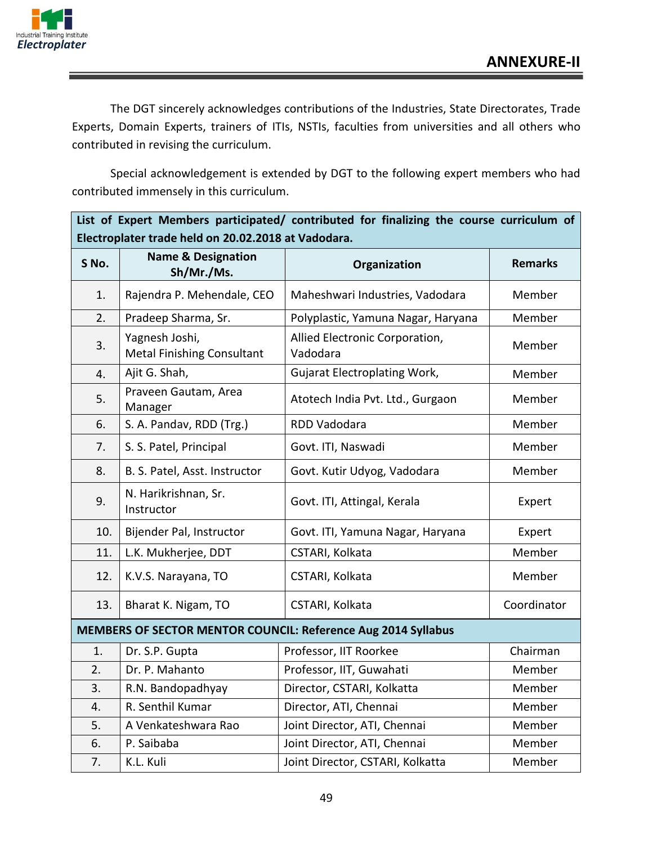

The DGT sincerely acknowledges contributions of the Industries, State Directorates, Trade Experts, Domain Experts, trainers of ITIs, NSTIs, faculties from universities and all others who contributed in revising the curriculum.

Special acknowledgement is extended by DGT to the following expert members who had contributed immensely in this curriculum.

|       | List of Expert Members participated/ contributed for finalizing the course curriculum of |                                                               |                |
|-------|------------------------------------------------------------------------------------------|---------------------------------------------------------------|----------------|
|       | Electroplater trade held on 20.02.2018 at Vadodara.                                      |                                                               |                |
| S No. | <b>Name &amp; Designation</b><br>Sh/Mr./Ms.                                              | Organization                                                  | <b>Remarks</b> |
| 1.    | Rajendra P. Mehendale, CEO                                                               | Maheshwari Industries, Vadodara                               | Member         |
| 2.    | Pradeep Sharma, Sr.                                                                      | Polyplastic, Yamuna Nagar, Haryana                            | Member         |
| 3.    | Yagnesh Joshi,<br><b>Metal Finishing Consultant</b>                                      | Allied Electronic Corporation,<br>Vadodara                    | Member         |
| 4.    | Ajit G. Shah,                                                                            | <b>Gujarat Electroplating Work,</b>                           | Member         |
| 5.    | Praveen Gautam, Area<br>Manager                                                          | Atotech India Pvt. Ltd., Gurgaon                              | Member         |
| 6.    | S. A. Pandav, RDD (Trg.)                                                                 | RDD Vadodara                                                  | Member         |
| 7.    | S. S. Patel, Principal                                                                   | Govt. ITI, Naswadi                                            | Member         |
| 8.    | B. S. Patel, Asst. Instructor                                                            | Govt. Kutir Udyog, Vadodara                                   | Member         |
| 9.    | N. Harikrishnan, Sr.<br>Instructor                                                       | Govt. ITI, Attingal, Kerala                                   | Expert         |
| 10.   | Bijender Pal, Instructor                                                                 | Govt. ITI, Yamuna Nagar, Haryana                              | Expert         |
| 11.   | L.K. Mukherjee, DDT                                                                      | CSTARI, Kolkata                                               | Member         |
| 12.   | K.V.S. Narayana, TO                                                                      | CSTARI, Kolkata                                               | Member         |
| 13.   | Bharat K. Nigam, TO                                                                      | CSTARI, Kolkata                                               | Coordinator    |
|       |                                                                                          | MEMBERS OF SECTOR MENTOR COUNCIL: Reference Aug 2014 Syllabus |                |
| 1.    | Dr. S.P. Gupta                                                                           | Professor, IIT Roorkee                                        | Chairman       |
| 2.    | Dr. P. Mahanto                                                                           | Professor, IIT, Guwahati                                      | Member         |
| 3.    | R.N. Bandopadhyay                                                                        | Director, CSTARI, Kolkatta                                    | Member         |
| 4.    | R. Senthil Kumar                                                                         | Director, ATI, Chennai                                        | Member         |
| 5.    | A Venkateshwara Rao                                                                      | Joint Director, ATI, Chennai                                  | Member         |
| 6.    | P. Saibaba                                                                               | Joint Director, ATI, Chennai                                  | Member         |
| 7.    | K.L. Kuli                                                                                | Joint Director, CSTARI, Kolkatta                              | Member         |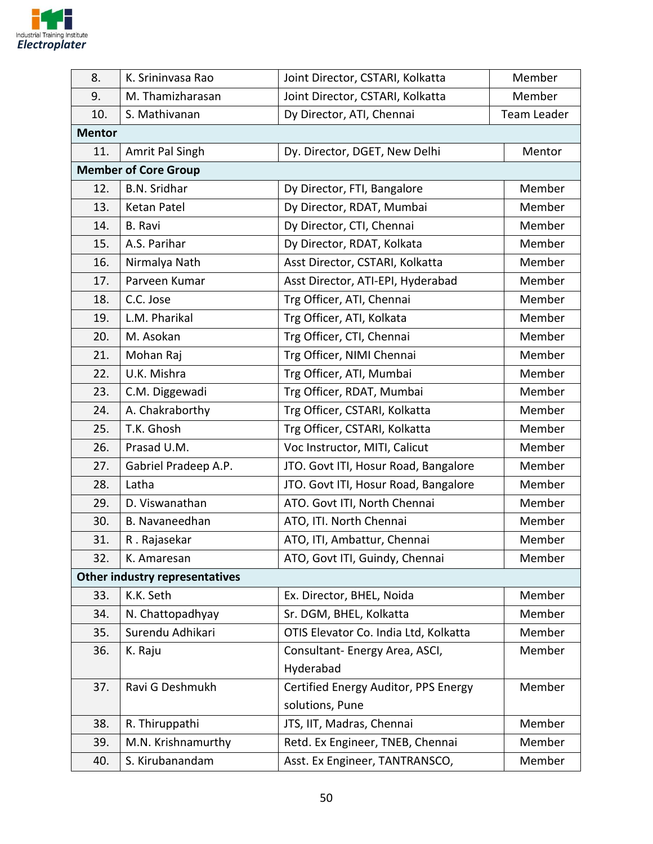

| 8.            | K. Srininvasa Rao                     | Joint Director, CSTARI, Kolkatta      | Member      |
|---------------|---------------------------------------|---------------------------------------|-------------|
| 9.            | M. Thamizharasan                      | Joint Director, CSTARI, Kolkatta      | Member      |
| 10.           | S. Mathivanan                         | Dy Director, ATI, Chennai             | Team Leader |
| <b>Mentor</b> |                                       |                                       |             |
| 11.           | Amrit Pal Singh                       | Dy. Director, DGET, New Delhi         | Mentor      |
|               | <b>Member of Core Group</b>           |                                       |             |
| 12.           | <b>B.N. Sridhar</b>                   | Dy Director, FTI, Bangalore           | Member      |
| 13.           | Ketan Patel                           | Dy Director, RDAT, Mumbai             | Member      |
| 14.           | <b>B.</b> Ravi                        | Dy Director, CTI, Chennai             | Member      |
| 15.           | A.S. Parihar                          | Dy Director, RDAT, Kolkata            | Member      |
| 16.           | Nirmalya Nath                         | Asst Director, CSTARI, Kolkatta       | Member      |
| 17.           | Parveen Kumar                         | Asst Director, ATI-EPI, Hyderabad     | Member      |
| 18.           | C.C. Jose                             | Trg Officer, ATI, Chennai             | Member      |
| 19.           | L.M. Pharikal                         | Trg Officer, ATI, Kolkata             | Member      |
| 20.           | M. Asokan                             | Trg Officer, CTI, Chennai             | Member      |
| 21.           | Mohan Raj                             | Trg Officer, NIMI Chennai             | Member      |
| 22.           | U.K. Mishra                           | Trg Officer, ATI, Mumbai              | Member      |
| 23.           | C.M. Diggewadi                        | Trg Officer, RDAT, Mumbai             | Member      |
| 24.           | A. Chakraborthy                       | Trg Officer, CSTARI, Kolkatta         | Member      |
| 25.           | T.K. Ghosh                            | Trg Officer, CSTARI, Kolkatta         | Member      |
| 26.           | Prasad U.M.                           | Voc Instructor, MITI, Calicut         | Member      |
| 27.           | Gabriel Pradeep A.P.                  | JTO. Govt ITI, Hosur Road, Bangalore  | Member      |
| 28.           | Latha                                 | JTO. Govt ITI, Hosur Road, Bangalore  | Member      |
| 29.           | D. Viswanathan                        | ATO. Govt ITI, North Chennai          | Member      |
| 30.           | B. Navaneedhan                        | ATO, ITI. North Chennai               | Member      |
| 31.           | R. Rajasekar                          | ATO, ITI, Ambattur, Chennai           | Member      |
| 32.           | K. Amaresan                           | ATO, Govt ITI, Guindy, Chennai        | Member      |
|               | <b>Other industry representatives</b> |                                       |             |
| 33.           | K.K. Seth                             | Ex. Director, BHEL, Noida             | Member      |
| 34.           | N. Chattopadhyay                      | Sr. DGM, BHEL, Kolkatta               | Member      |
| 35.           | Surendu Adhikari                      | OTIS Elevator Co. India Ltd, Kolkatta | Member      |
| 36.           | K. Raju                               | Consultant- Energy Area, ASCI,        | Member      |
|               |                                       | Hyderabad                             |             |
| 37.           | Ravi G Deshmukh                       | Certified Energy Auditor, PPS Energy  | Member      |
|               |                                       | solutions, Pune                       |             |
| 38.           | R. Thiruppathi                        | JTS, IIT, Madras, Chennai             | Member      |
| 39.           | M.N. Krishnamurthy                    | Retd. Ex Engineer, TNEB, Chennai      | Member      |
| 40.           | S. Kirubanandam                       | Asst. Ex Engineer, TANTRANSCO,        | Member      |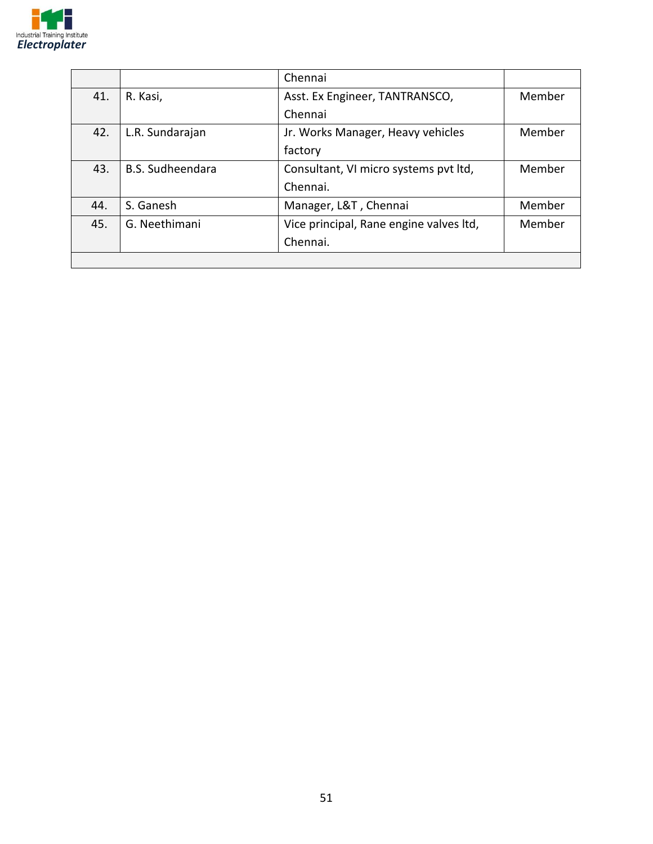

|     |                         | Chennai                                 |        |
|-----|-------------------------|-----------------------------------------|--------|
| 41. | R. Kasi,                | Asst. Ex Engineer, TANTRANSCO,          | Member |
|     |                         | Chennai                                 |        |
| 42. | L.R. Sundarajan         | Jr. Works Manager, Heavy vehicles       | Member |
|     |                         | factory                                 |        |
| 43. | <b>B.S. Sudheendara</b> | Consultant, VI micro systems pvt ltd,   | Member |
|     |                         | Chennai.                                |        |
| 44. | S. Ganesh               | Manager, L&T, Chennai                   | Member |
| 45. | G. Neethimani           | Vice principal, Rane engine valves ltd, | Member |
|     |                         | Chennai.                                |        |
|     |                         |                                         |        |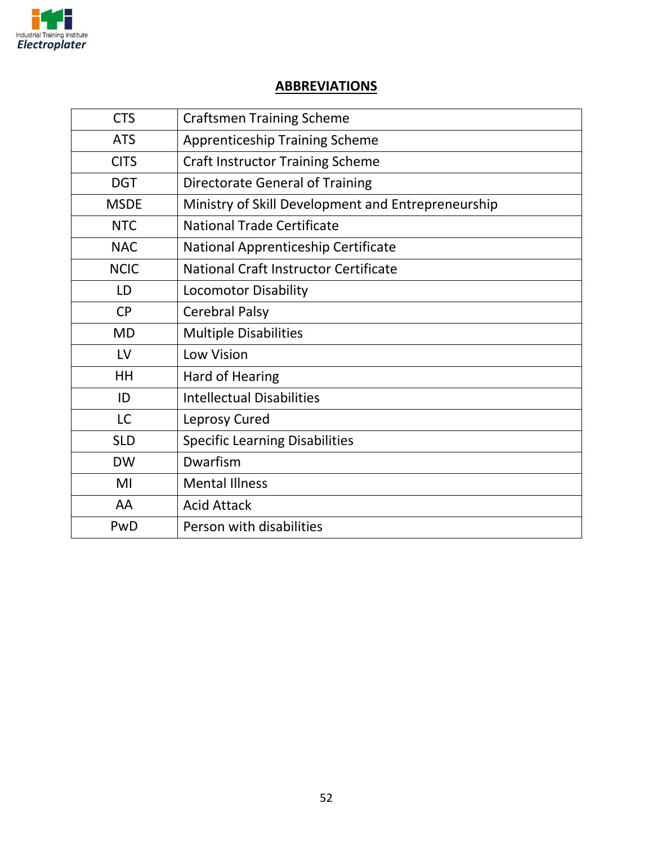

#### **ABBREVIATIONS**

| <b>CTS</b>  | <b>Craftsmen Training Scheme</b>                   |
|-------------|----------------------------------------------------|
| <b>ATS</b>  | <b>Apprenticeship Training Scheme</b>              |
| <b>CITS</b> | <b>Craft Instructor Training Scheme</b>            |
| <b>DGT</b>  | <b>Directorate General of Training</b>             |
| <b>MSDE</b> | Ministry of Skill Development and Entrepreneurship |
| <b>NTC</b>  | <b>National Trade Certificate</b>                  |
| <b>NAC</b>  | National Apprenticeship Certificate                |
| <b>NCIC</b> | National Craft Instructor Certificate              |
| LD          | <b>Locomotor Disability</b>                        |
| <b>CP</b>   | <b>Cerebral Palsy</b>                              |
| <b>MD</b>   | <b>Multiple Disabilities</b>                       |
| LV          | Low Vision                                         |
| HH          | Hard of Hearing                                    |
| ID          | <b>Intellectual Disabilities</b>                   |
| <b>LC</b>   | <b>Leprosy Cured</b>                               |
| <b>SLD</b>  | <b>Specific Learning Disabilities</b>              |
| <b>DW</b>   | Dwarfism                                           |
| MI          | <b>Mental Illness</b>                              |
| AA          | <b>Acid Attack</b>                                 |
| PwD         | Person with disabilities                           |